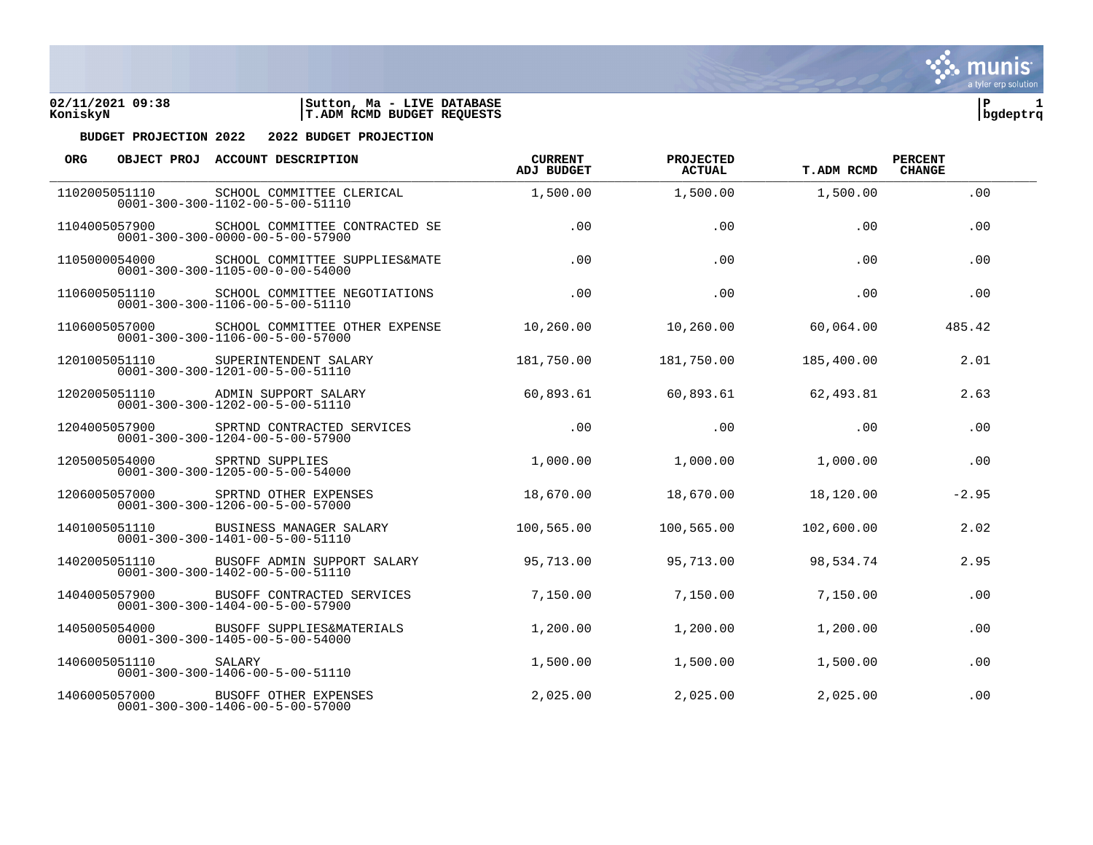



| <b>ORG</b> |               | OBJECT PROJ ACCOUNT DESCRIPTION                                                                | <b>CURRENT</b><br>ADJ BUDGET | PROJECTED<br><b>ACTUAL</b> | <b>T.ADM RCMD</b> | <b>PERCENT</b><br><b>CHANGE</b> |  |
|------------|---------------|------------------------------------------------------------------------------------------------|------------------------------|----------------------------|-------------------|---------------------------------|--|
|            | 1102005051110 | SCHOOL COMMITTEE CLERICAL<br>$0001 - 300 - 300 - 1102 - 00 - 5 - 00 - 51110$                   | 1,500.00                     | 1,500.00                   | 1,500.00          | .00                             |  |
|            | 1104005057900 | SCHOOL COMMITTEE CONTRACTED SE<br>$0001 - 300 - 300 - 0000 - 00 - 5 - 00 - 57900$              | .00.                         | .00                        | .00               | .00                             |  |
|            | 1105000054000 | SCHOOL COMMITTEE SUPPLIES&MATE<br>$0001 - 300 - 300 - 1105 - 00 - 0 - 00 - 54000$              | .00                          | .00                        | .00               | .00                             |  |
|            |               | 1106005051110 SCHOOL COMMITTEE NEGOTIATIONS<br>$0001 - 300 - 300 - 1106 - 00 - 5 - 00 - 51110$ | .00                          | .00                        | .00               | .00                             |  |
|            | 1106005057000 | SCHOOL COMMITTEE OTHER EXPENSE<br>$0001 - 300 - 300 - 1106 - 00 - 5 - 00 - 57000$              | 10,260.00                    | 10,260.00                  | 60,064.00         | 485.42                          |  |
|            | 1201005051110 | SUPERINTENDENT SALARY<br>$0001 - 300 - 300 - 1201 - 00 - 5 - 00 - 51110$                       | 181,750.00                   | 181,750.00                 | 185,400.00        | 2.01                            |  |
|            | 1202005051110 | ADMIN SUPPORT SALARY<br>$0001 - 300 - 300 - 1202 - 00 - 5 - 00 - 51110$                        | 60,893.61                    | 60,893.61                  | 62,493.81         | 2.63                            |  |
|            | 1204005057900 | SPRTND CONTRACTED SERVICES<br>$0001 - 300 - 300 - 1204 - 00 - 5 - 00 - 57900$                  | .00                          | .00                        | .00               | .00                             |  |
|            | 1205005054000 | SPRTND SUPPLIES<br>$0001 - 300 - 300 - 1205 - 00 - 5 - 00 - 54000$                             | 1,000.00                     | 1,000.00                   | 1,000.00          | .00                             |  |
|            | 1206005057000 | SPRTND OTHER EXPENSES<br>$0001 - 300 - 300 - 1206 - 00 - 5 - 00 - 57000$                       | 18,670.00                    | 18,670.00                  | 18,120.00         | $-2.95$                         |  |
|            | 1401005051110 | BUSINESS MANAGER SALARY<br>$0001 - 300 - 300 - 1401 - 00 - 5 - 00 - 51110$                     | 100,565.00                   | 100,565.00                 | 102,600.00        | 2.02                            |  |
|            | 1402005051110 | BUSOFF ADMIN SUPPORT SALARY<br>$0001 - 300 - 300 - 1402 - 00 - 5 - 00 - 51110$                 | 95,713.00                    | 95,713.00                  | 98,534.74         | 2.95                            |  |
|            | 1404005057900 | BUSOFF CONTRACTED SERVICES<br>$0001 - 300 - 300 - 1404 - 00 - 5 - 00 - 57900$                  | 7,150.00                     | 7,150.00                   | 7,150.00          | .00                             |  |
|            | 1405005054000 | BUSOFF SUPPLIES&MATERIALS<br>$0001 - 300 - 300 - 1405 - 00 - 5 - 00 - 54000$                   | 1,200.00                     | 1,200.00                   | 1,200.00          | .00                             |  |
|            | 1406005051110 | SALARY<br>$0001 - 300 - 300 - 1406 - 00 - 5 - 00 - 51110$                                      | 1,500.00                     | 1,500.00                   | 1,500.00          | .00                             |  |
|            | 1406005057000 | BUSOFF OTHER EXPENSES<br>$0001 - 300 - 300 - 1406 - 00 - 5 - 00 - 57000$                       | 2,025.00                     | 2,025.00                   | 2,025.00          | .00                             |  |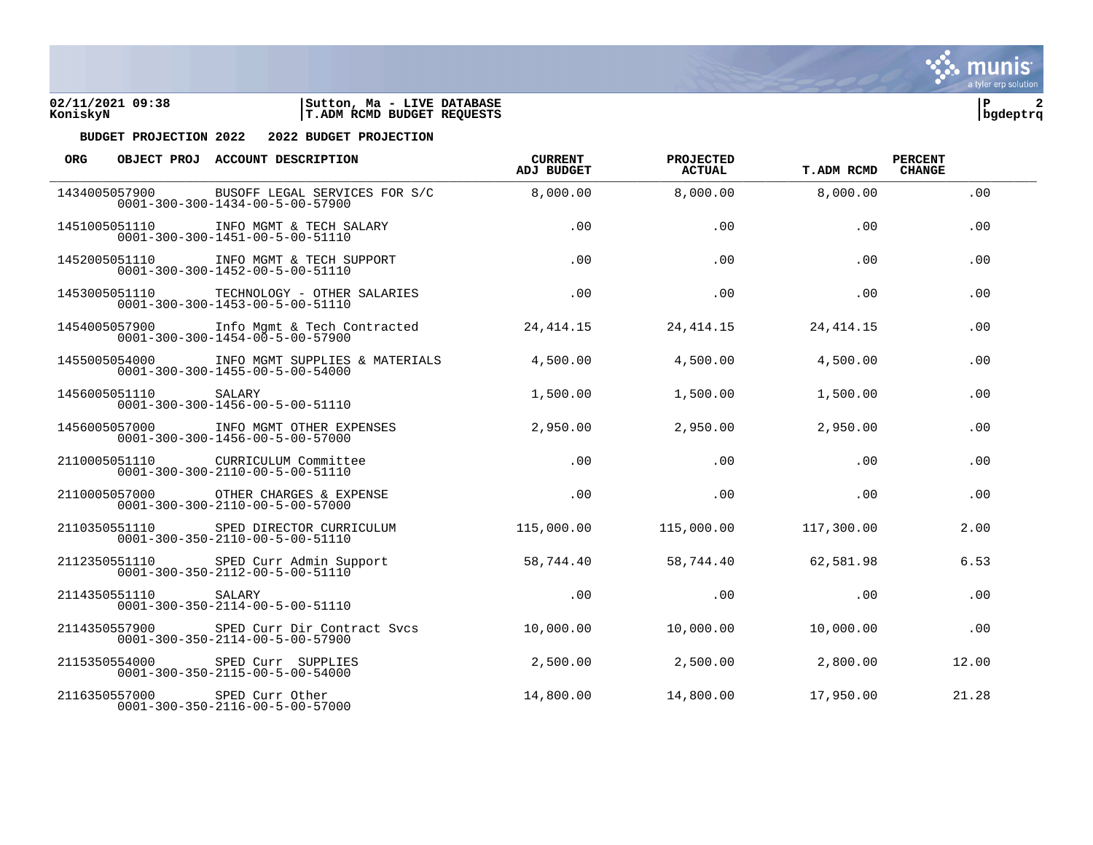

| <b>ORG</b> |               | OBJECT PROJ ACCOUNT DESCRIPTION                                                              | <b>CURRENT</b><br><b>ADJ BUDGET</b> | PROJECTED<br><b>ACTUAL</b> | <b>T.ADM RCMD</b> | <b>PERCENT</b><br><b>CHANGE</b> |  |
|------------|---------------|----------------------------------------------------------------------------------------------|-------------------------------------|----------------------------|-------------------|---------------------------------|--|
|            | 1434005057900 | BUSOFF LEGAL SERVICES FOR S/C<br>$0001 - 300 - 300 - 1434 - 00 - 5 - 00 - 57900$             | 8,000.00                            | 8,000.00                   | 8,000.00          | .00                             |  |
|            | 1451005051110 | INFO MGMT & TECH SALARY<br>$0001 - 300 - 300 - 1451 - 00 - 5 - 00 - 51110$                   | .00                                 | .00                        | .00               | .00                             |  |
|            |               | 1452005051110 INFO MGMT & TECH SUPPORT<br>$0001 - 300 - 300 - 1452 - 00 - 5 - 00 - 51110$    | .00                                 | .00                        | .00               | .00                             |  |
|            |               | 1453005051110 TECHNOLOGY - OTHER SALARIES<br>$0001 - 300 - 300 - 1453 - 00 - 5 - 00 - 51110$ | .00                                 | .00                        | .00               | .00                             |  |
|            | 1454005057900 | Info Mgmt & Tech Contracted<br>$0001 - 300 - 300 - 1454 - 00 - 5 - 00 - 57900$               | 24,414.15                           | 24,414.15                  | 24, 414. 15       | .00                             |  |
|            | 1455005054000 | INFO MGMT SUPPLIES & MATERIALS<br>$0001 - 300 - 300 - 1455 - 00 - 5 - 00 - 54000$            | 4,500.00                            | 4,500.00                   | 4,500.00          | .00                             |  |
|            | 1456005051110 | SALARY<br>$0001 - 300 - 300 - 1456 - 00 - 5 - 00 - 51110$                                    | 1,500.00                            | 1,500.00                   | 1,500.00          | .00                             |  |
|            |               | 1456005057000 INFO MGMT OTHER EXPENSES<br>$0001 - 300 - 300 - 1456 - 00 - 5 - 00 - 57000$    | 2,950.00                            | 2,950.00                   | 2,950.00          | .00                             |  |
|            | 2110005051110 | CURRICULUM Committee<br>$0001 - 300 - 300 - 2110 - 00 - 5 - 00 - 51110$                      | .00                                 | .00                        | .00               | .00                             |  |
|            | 2110005057000 | OTHER CHARGES & EXPENSE<br>$0001 - 300 - 300 - 2110 - 00 - 5 - 00 - 57000$                   | .00.                                | .00                        | .00               | .00                             |  |
|            | 2110350551110 | SPED DIRECTOR CURRICULUM<br>$0001 - 300 - 350 - 2110 - 00 - 5 - 00 - 51110$                  | 115,000.00                          | 115,000.00                 | 117,300.00        | 2.00                            |  |
|            |               | 2112350551110 SPED Curr Admin Support<br>$0001 - 300 - 350 - 2112 - 00 - 5 - 00 - 51110$     | 58,744.40                           | 58,744.40                  | 62,581.98         | 6.53                            |  |
|            | 2114350551110 | SALARY<br>$0001 - 300 - 350 - 2114 - 00 - 5 - 00 - 51110$                                    | .00                                 | .00                        | .00               | .00                             |  |
|            | 2114350557900 | SPED Curr Dir Contract Svcs<br>$0001 - 300 - 350 - 2114 - 00 - 5 - 00 - 57900$               | 10,000.00                           | 10,000.00                  | 10,000.00         | .00                             |  |
|            | 2115350554000 | SPED Curr SUPPLIES<br>$0001 - 300 - 350 - 2115 - 00 - 5 - 00 - 54000$                        | 2,500.00                            | 2,500.00                   | 2,800.00          | 12.00                           |  |
|            | 2116350557000 | SPED Curr Other<br>$0001 - 300 - 350 - 2116 - 00 - 5 - 00 - 57000$                           | 14,800.00                           | 14,800.00                  | 17,950.00         | 21.28                           |  |

**∵∴** munis a tyler erp solution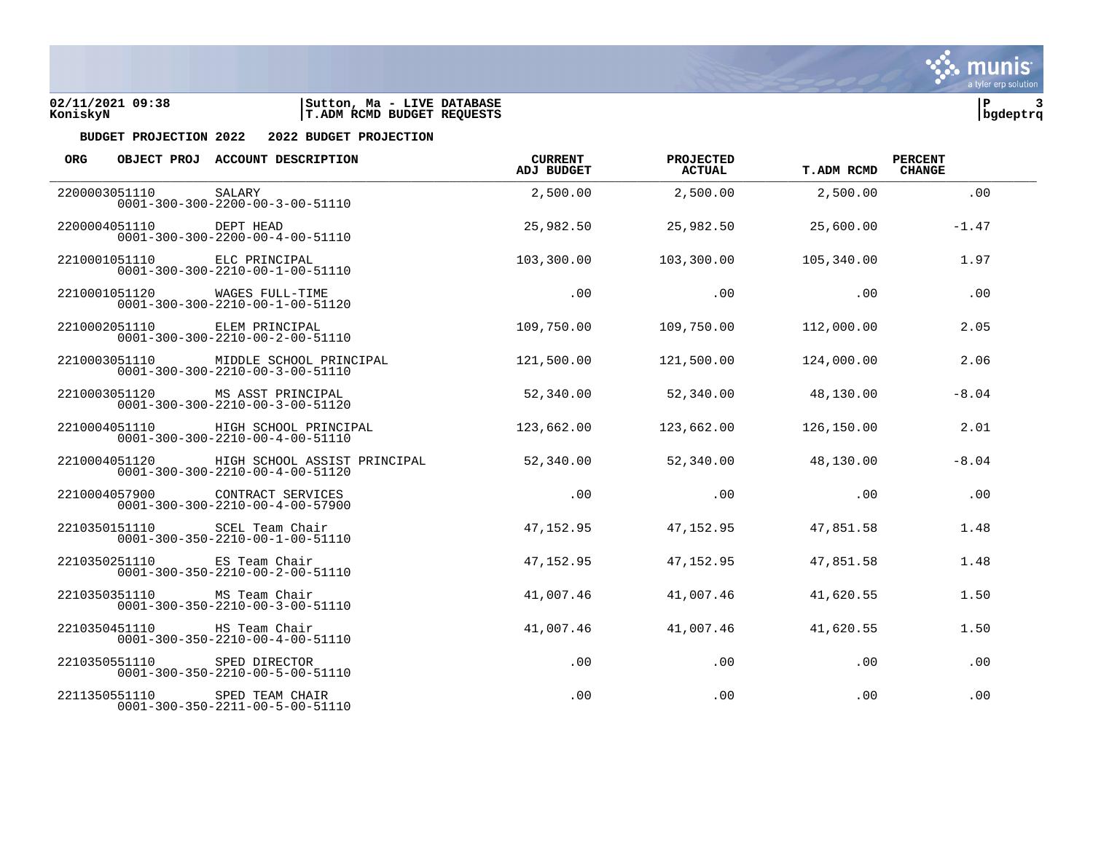



| <b>ORG</b> |               | OBJECT PROJ ACCOUNT DESCRIPTION                                                    | <b>CURRENT</b><br><b>ADJ BUDGET</b> | <b>PROJECTED</b><br><b>ACTUAL</b> | <b>T.ADM RCMD</b> | <b>PERCENT</b><br><b>CHANGE</b> |  |
|------------|---------------|------------------------------------------------------------------------------------|-------------------------------------|-----------------------------------|-------------------|---------------------------------|--|
|            | 2200003051110 | SALARY<br>$0001 - 300 - 300 - 2200 - 00 - 3 - 00 - 51110$                          | 2,500.00                            | 2,500.00                          | 2,500.00          | .00                             |  |
|            | 2200004051110 | DEPT HEAD<br>$0001 - 300 - 300 - 2200 - 00 - 4 - 00 - 51110$                       | 25,982.50                           | 25,982.50                         | 25,600.00         | $-1.47$                         |  |
|            | 2210001051110 | ELC PRINCIPAL<br>$0001 - 300 - 300 - 2210 - 00 - 1 - 00 - 51110$                   | 103,300.00                          | 103,300.00                        | 105,340.00        | 1.97                            |  |
|            | 2210001051120 | WAGES FULL-TIME<br>$0001 - 300 - 300 - 2210 - 00 - 1 - 00 - 51120$                 | .00                                 | $.00 \,$                          | .00               | .00                             |  |
|            | 2210002051110 | ELEM PRINCIPAL<br>$0001 - 300 - 300 - 2210 - 00 - 2 - 00 - 51110$                  | 109,750.00                          | 109,750.00                        | 112,000.00        | 2.05                            |  |
|            | 2210003051110 | MIDDLE SCHOOL PRINCIPAL<br>$0001 - 300 - 300 - 2210 - 00 - 3 - 00 - 51110$         | 121,500.00                          | 121,500.00                        | 124,000.00        | 2.06                            |  |
|            |               | 2210003051120 MS ASST PRINCIPAL<br>$0001 - 300 - 300 - 2210 - 00 - 3 - 00 - 51120$ | 52,340.00                           | 52,340.00                         | 48,130.00         | $-8.04$                         |  |
|            | 2210004051110 | HIGH SCHOOL PRINCIPAL<br>$0001 - 300 - 300 - 2210 - 00 - 4 - 00 - 51110$           | 123,662.00                          | 123,662.00                        | 126,150.00        | 2.01                            |  |
|            | 2210004051120 | HIGH SCHOOL ASSIST PRINCIPAL<br>$0001 - 300 - 300 - 2210 - 00 - 4 - 00 - 51120$    | 52,340.00                           | 52,340.00                         | 48,130.00         | $-8.04$                         |  |
|            | 2210004057900 | CONTRACT SERVICES<br>$0001 - 300 - 300 - 2210 - 00 - 4 - 00 - 57900$               | .00                                 | .00                               | .00               | .00                             |  |
|            |               | 2210350151110 SCEL Team Chair<br>$0001 - 300 - 350 - 2210 - 00 - 1 - 00 - 51110$   | 47,152.95                           | 47,152.95                         | 47,851.58         | 1.48                            |  |
|            |               | 2210350251110 ES Team Chair<br>$0001 - 300 - 350 - 2210 - 00 - 2 - 00 - 51110$     | 47,152.95                           | 47, 152.95                        | 47,851.58         | 1.48                            |  |
|            | 2210350351110 | MS Team Chair<br>$0001 - 300 - 350 - 2210 - 00 - 3 - 00 - 51110$                   | 41,007.46                           | 41,007.46                         | 41,620.55         | 1.50                            |  |
|            | 2210350451110 | HS Team Chair<br>$0001 - 300 - 350 - 2210 - 00 - 4 - 00 - 51110$                   | 41,007.46                           | 41,007.46                         | 41,620.55         | 1.50                            |  |
|            | 2210350551110 | SPED DIRECTOR<br>0001-300-350-2210-00-5-00-51110                                   | .00                                 | .00                               | .00               | .00                             |  |
|            | 2211350551110 | SPED TEAM CHAIR<br>$0001 - 300 - 350 - 2211 - 00 - 5 - 00 - 51110$                 | .00                                 | .00                               | .00               | .00                             |  |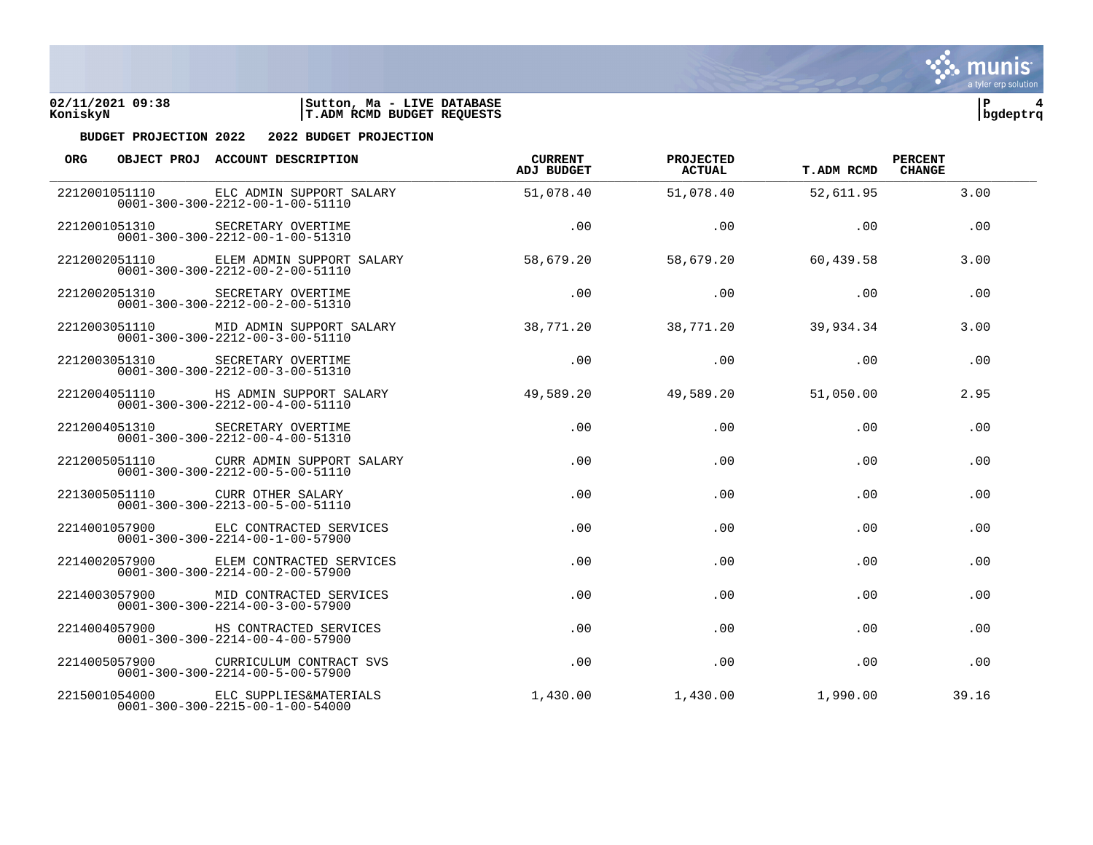



| <b>ORG</b> |               | OBJECT PROJ ACCOUNT DESCRIPTION                                                           | <b>CURRENT</b><br><b>ADJ BUDGET</b> | PROJECTED<br>ACTUAL | <b>T.ADM RCMD</b> | <b>PERCENT</b><br><b>CHANGE</b> |  |
|------------|---------------|-------------------------------------------------------------------------------------------|-------------------------------------|---------------------|-------------------|---------------------------------|--|
|            | 2212001051110 | ELC ADMIN SUPPORT SALARY<br>$0001 - 300 - 300 - 2212 - 00 - 1 - 00 - 51110$               | 51,078.40                           | 51,078.40           | 52,611.95         | 3.00                            |  |
|            | 2212001051310 | SECRETARY OVERTIME<br>$0001 - 300 - 300 - 2212 - 00 - 1 - 00 - 51310$                     | .00                                 | .00                 | .00               | .00                             |  |
|            | 2212002051110 | ELEM ADMIN SUPPORT SALARY<br>$0001 - 300 - 300 - 2212 - 00 - 2 - 00 - 51110$              | 58,679.20                           | 58,679.20           | 60,439.58         | 3.00                            |  |
|            | 2212002051310 | SECRETARY OVERTIME<br>$0001 - 300 - 300 - 2212 - 00 - 2 - 00 - 51310$                     | $.00 \,$                            | .00                 | .00               | .00                             |  |
|            | 2212003051110 | MID ADMIN SUPPORT SALARY<br>$0001 - 300 - 300 - 2212 - 00 - 3 - 00 - 51110$               | 38,771.20                           | 38,771.20           | 39,934.34         | 3.00                            |  |
|            | 2212003051310 | SECRETARY OVERTIME<br>$0001 - 300 - 300 - 2212 - 00 - 3 - 00 - 51310$                     | .00                                 | .00                 | .00               | .00                             |  |
|            |               | 2212004051110 HS ADMIN SUPPORT SALARY<br>$0001 - 300 - 300 - 2212 - 00 - 4 - 00 - 51110$  | 49,589.20                           | 49,589.20           | 51,050.00         | 2.95                            |  |
|            |               | 2212004051310 SECRETARY OVERTIME<br>$0001 - 300 - 300 - 2212 - 00 - 4 - 00 - 51310$       | .00                                 | .00                 | .00               | .00                             |  |
|            | 2212005051110 | CURR ADMIN SUPPORT SALARY<br>$0001 - 300 - 300 - 2212 - 00 - 5 - 00 - 51110$              | .00                                 | .00                 | .00               | .00                             |  |
|            | 2213005051110 | CURR OTHER SALARY<br>$0001 - 300 - 300 - 2213 - 00 - 5 - 00 - 51110$                      | .00                                 | .00                 | .00               | .00                             |  |
|            |               | 2214001057900 ELC CONTRACTED SERVICES<br>$0001 - 300 - 300 - 2214 - 00 - 1 - 00 - 57900$  | .00                                 | .00                 | .00               | .00                             |  |
|            |               | 2214002057900 ELEM CONTRACTED SERVICES<br>$0001 - 300 - 300 - 2214 - 00 - 2 - 00 - 57900$ | .00                                 | .00                 | .00               | .00                             |  |
|            | 2214003057900 | MID CONTRACTED SERVICES<br>$0001 - 300 - 300 - 2214 - 00 - 3 - 00 - 57900$                | .00.                                | .00                 | .00               | .00                             |  |
|            | 2214004057900 | HS CONTRACTED SERVICES<br>$0001 - 300 - 300 - 2214 - 00 - 4 - 00 - 57900$                 | .00                                 | .00                 | .00               | .00                             |  |
|            |               | 2214005057900 CURRICULUM CONTRACT SVS<br>$0001 - 300 - 300 - 2214 - 00 - 5 - 00 - 57900$  | .00                                 | .00                 | .00               | .00                             |  |
|            | 2215001054000 | ELC SUPPLIES&MATERIALS<br>$0001 - 300 - 300 - 2215 - 00 - 1 - 00 - 54000$                 | 1,430.00                            | 1,430.00            | 1,990.00          | 39.16                           |  |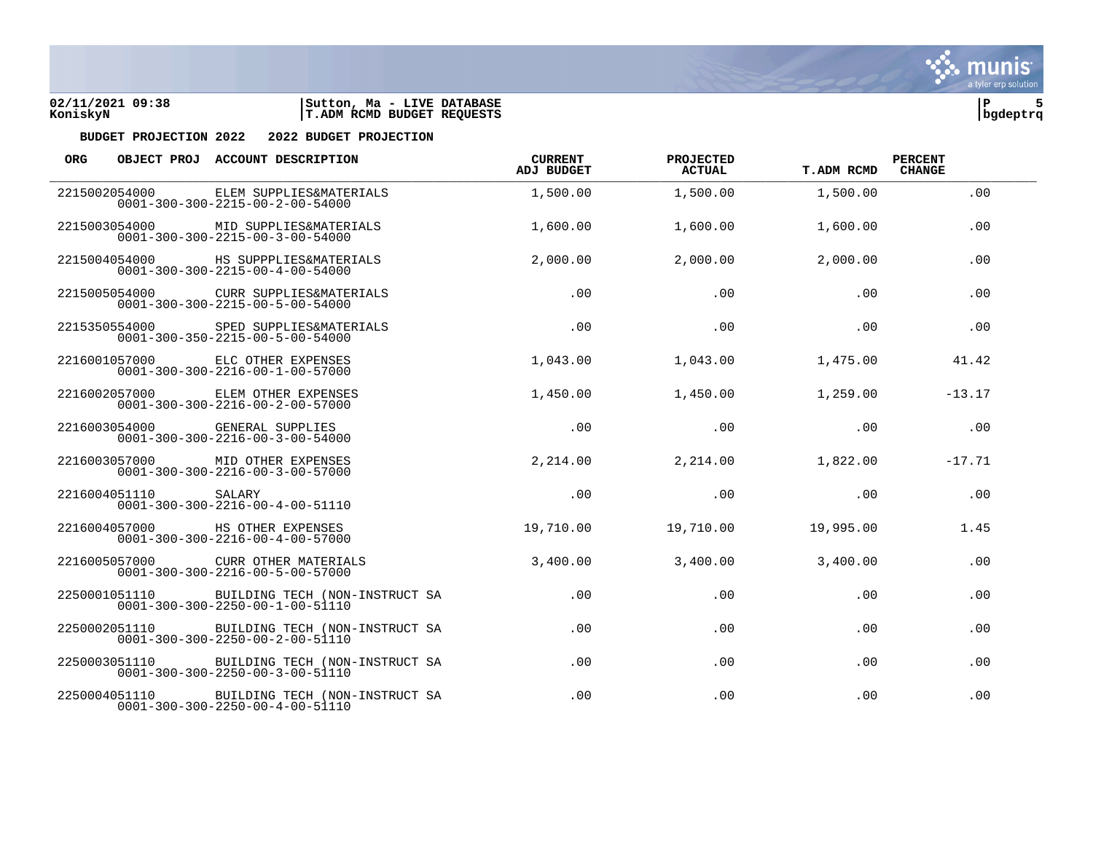



| <b>ORG</b>    |               | OBJECT PROJ ACCOUNT DESCRIPTION                                                    | <b>CURRENT</b><br>ADJ BUDGET | PROJECTED<br><b>ACTUAL</b> | <b>T.ADM RCMD</b> | <b>PERCENT</b><br><b>CHANGE</b> |  |
|---------------|---------------|------------------------------------------------------------------------------------|------------------------------|----------------------------|-------------------|---------------------------------|--|
| 2215002054000 |               | ELEM SUPPLIES&MATERIALS<br>$0001 - 300 - 300 - 2215 - 00 - 2 - 00 - 54000$         | 1,500.00                     | 1,500.00                   | 1,500.00          | .00                             |  |
|               | 2215003054000 | MID SUPPLIES&MATERIALS<br>$0001 - 300 - 300 - 2215 - 00 - 3 - 00 - 54000$          | 1,600.00                     | 1,600.00                   | 1,600.00          | .00                             |  |
|               | 2215004054000 | HS SUPPPLIES&MATERIALS<br>$0001 - 300 - 300 - 2215 - 00 - 4 - 00 - 54000$          | 2,000.00                     | 2,000.00                   | 2,000.00          | .00                             |  |
|               | 2215005054000 | CURR SUPPLIES&MATERIALS<br>$0001 - 300 - 300 - 2215 - 00 - 5 - 00 - 54000$         | .00                          | .00                        | .00               | .00                             |  |
|               | 2215350554000 | SPED SUPPLIES&MATERIALS<br>$0001 - 300 - 350 - 2215 - 00 - 5 - 00 - 54000$         | .00                          | .00                        | .00               | .00                             |  |
|               | 2216001057000 | ELC OTHER EXPENSES<br>$0001 - 300 - 300 - 2216 - 00 - 1 - 00 - 57000$              | 1,043.00                     | 1,043.00                   | 1,475.00          | 41.42                           |  |
|               | 2216002057000 | ELEM OTHER EXPENSES<br>$0001 - 300 - 300 - 2216 - 00 - 2 - 00 - 57000$             | 1,450.00                     | 1,450.00                   | 1,259.00          | $-13.17$                        |  |
|               | 2216003054000 | <b>GENERAL SUPPLIES</b><br>$0001 - 300 - 300 - 2216 - 00 - 3 - 00 - 54000$         | .00                          | .00                        | .00               | .00                             |  |
|               | 2216003057000 | MID OTHER EXPENSES<br>$0001 - 300 - 300 - 2216 - 00 - 3 - 00 - 57000$              | 2,214.00                     | 2,214.00                   | 1,822.00          | $-17.71$                        |  |
|               | 2216004051110 | SALARY<br>$0001 - 300 - 300 - 2216 - 00 - 4 - 00 - 51110$                          | .00                          | .00                        | .00               | .00                             |  |
|               |               | 2216004057000 HS OTHER EXPENSES<br>$0001 - 300 - 300 - 2216 - 00 - 4 - 00 - 57000$ | 19,710.00                    | 19,710.00                  | 19,995.00         | 1.45                            |  |
|               | 2216005057000 | CURR OTHER MATERIALS<br>$0001 - 300 - 300 - 2216 - 00 - 5 - 00 - 57000$            | 3,400.00                     | 3,400.00                   | 3,400.00          | .00                             |  |
| 2250001051110 |               | BUILDING TECH (NON-INSTRUCT SA<br>$0001 - 300 - 300 - 2250 - 00 - 1 - 00 - 51110$  | .00                          | .00                        | .00               | .00                             |  |
|               | 2250002051110 | BUILDING TECH (NON-INSTRUCT SA<br>$0001 - 300 - 300 - 2250 - 00 - 2 - 00 - 51110$  | .00                          | .00                        | .00               | .00                             |  |
|               | 2250003051110 | BUILDING TECH (NON-INSTRUCT SA<br>$0001 - 300 - 300 - 2250 - 00 - 3 - 00 - 51110$  | .00                          | .00                        | $.00 \,$          | .00                             |  |
|               | 2250004051110 | BUILDING TECH (NON-INSTRUCT SA<br>$0001 - 300 - 300 - 2250 - 00 - 4 - 00 - 51110$  | .00                          | .00                        | .00               | .00                             |  |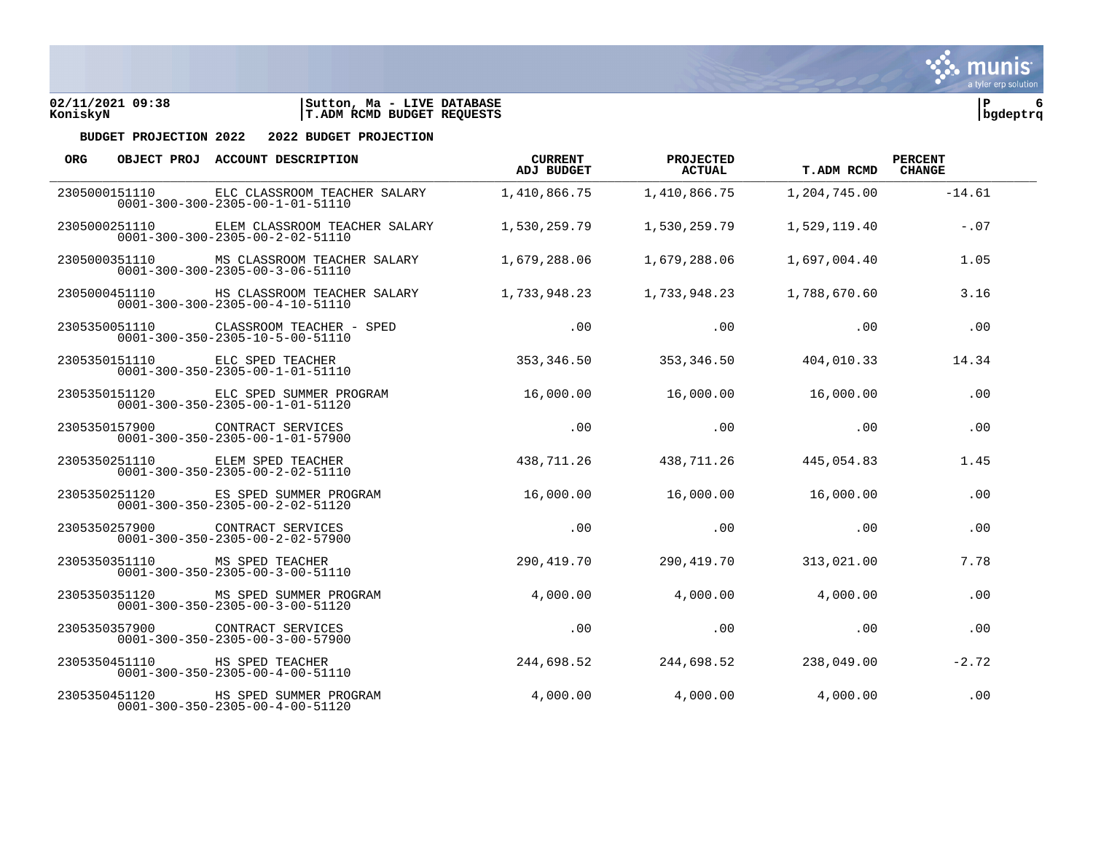

| ORG. |               | OBJECT PROJ ACCOUNT DESCRIPTION                                                              | <b>CURRENT</b><br>ADJ BUDGET | PROJECTED<br>ACTUAL | <b>T.ADM RCMD</b> | <b>PERCENT</b><br><b>CHANGE</b> |  |
|------|---------------|----------------------------------------------------------------------------------------------|------------------------------|---------------------|-------------------|---------------------------------|--|
|      | 2305000151110 | ELC CLASSROOM TEACHER SALARY<br>$0001 - 300 - 300 - 2305 - 00 - 1 - 01 - 51110$              | 1,410,866.75                 | 1,410,866.75        | 1,204,745.00      | $-14.61$                        |  |
|      | 2305000251110 | ELEM CLASSROOM TEACHER SALARY<br>$0001 - 300 - 300 - 2305 - 00 - 2 - 02 - 51110$             | 1,530,259.79                 | 1,530,259.79        | 1,529,119.40      | $-.07$                          |  |
|      |               | 2305000351110 MS CLASSROOM TEACHER SALARY<br>$0001 - 300 - 300 - 2305 - 00 - 3 - 06 - 51110$ | 1,679,288.06                 | 1,679,288.06        | 1,697,004.40      | 1.05                            |  |
|      |               | 2305000451110 HS CLASSROOM TEACHER SALARY<br>$0001 - 300 - 300 - 2305 - 00 - 4 - 10 - 51110$ | 1,733,948.23                 | 1,733,948.23        | 1,788,670.60      | 3.16                            |  |
|      | 2305350051110 | CLASSROOM TEACHER - SPED<br>$0001 - 300 - 350 - 2305 - 10 - 5 - 00 - 51110$                  | .00                          | .00                 | .00               | .00                             |  |
|      | 2305350151110 | ELC SPED TEACHER<br>$0001 - 300 - 350 - 2305 - 00 - 1 - 01 - 51110$                          | 353,346.50                   | 353,346.50          | 404,010.33        | 14.34                           |  |
|      |               | 2305350151120 ELC SPED SUMMER PROGRAM<br>$0001 - 300 - 350 - 2305 - 00 - 1 - 01 - 51120$     | 16,000.00                    | 16,000.00           | 16,000.00         | .00                             |  |
|      |               | 2305350157900 CONTRACT SERVICES<br>$0001 - 300 - 350 - 2305 - 00 - 1 - 01 - 57900$           | .00                          | .00                 | .00               | .00                             |  |
|      | 2305350251110 | ELEM SPED TEACHER<br>$0001 - 300 - 350 - 2305 - 00 - 2 - 02 - 51110$                         | 438,711.26                   | 438,711.26          | 445,054.83        | 1.45                            |  |
|      | 2305350251120 | ES SPED SUMMER PROGRAM<br>$0001 - 300 - 350 - 2305 - 00 - 2 - 02 - 51120$                    | 16,000.00                    | 16,000.00           | 16,000.00         | .00                             |  |
|      |               | 2305350257900 CONTRACT SERVICES<br>$0001 - 300 - 350 - 2305 - 00 - 2 - 02 - 57900$           | .00                          | .00                 | .00               | .00                             |  |
|      |               | 2305350351110 MS SPED TEACHER<br>$0001 - 300 - 350 - 2305 - 00 - 3 - 00 - 51110$             | 290,419.70                   | 290,419.70          | 313,021.00        | 7.78                            |  |
|      | 2305350351120 | MS SPED SUMMER PROGRAM<br>$0001 - 300 - 350 - 2305 - 00 - 3 - 00 - 51120$                    | 4,000.00                     | 4,000.00            | 4,000.00          | .00                             |  |
|      | 2305350357900 | CONTRACT SERVICES<br>$0001 - 300 - 350 - 2305 - 00 - 3 - 00 - 57900$                         | .00                          | .00                 | .00               | .00                             |  |
|      |               | 2305350451110 HS SPED TEACHER<br>$0001 - 300 - 350 - 2305 - 00 - 4 - 00 - 51110$             | 244,698.52                   | 244,698.52          | 238,049.00        | $-2.72$                         |  |
|      | 2305350451120 | HS SPED SUMMER PROGRAM<br>$0001 - 300 - 350 - 2305 - 00 - 4 - 00 - 51120$                    | 4,000.00                     | 4,000.00            | 4,000.00          | .00                             |  |

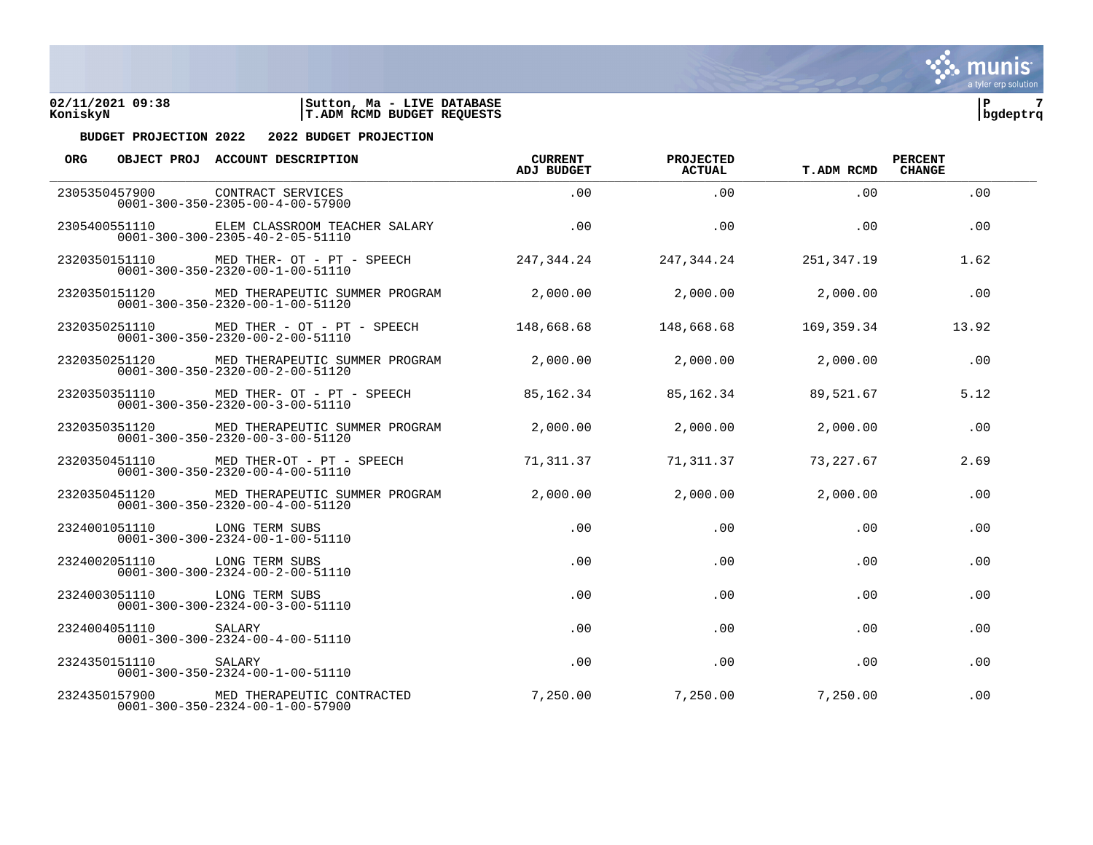



| <b>ORG</b> |               | OBJECT PROJ ACCOUNT DESCRIPTION                                                                 | <b>CURRENT</b><br><b>ADJ BUDGET</b> | <b>PROJECTED</b><br><b>ACTUAL</b> | <b>T.ADM RCMD</b> | <b>PERCENT</b><br><b>CHANGE</b> |  |
|------------|---------------|-------------------------------------------------------------------------------------------------|-------------------------------------|-----------------------------------|-------------------|---------------------------------|--|
|            | 2305350457900 | CONTRACT SERVICES<br>$0001 - 300 - 350 - 2305 - 00 - 4 - 00 - 57900$                            | .00.                                | .00                               | $.00 \,$          | .00                             |  |
|            | 2305400551110 | ELEM CLASSROOM TEACHER SALARY<br>$0001 - 300 - 300 - 2305 - 40 - 2 - 05 - 51110$                | .00.                                | .00                               | .00.              | .00                             |  |
|            |               | 2320350151110 MED THER- OT - PT - SPEECH<br>$0001 - 300 - 350 - 2320 - 00 - 1 - 00 - 51110$     | 247.344.24                          | 247,344.24                        | 251,347.19        | 1.62                            |  |
|            |               | 2320350151120 MED THERAPEUTIC SUMMER PROGRAM<br>$0001 - 300 - 350 - 2320 - 00 - 1 - 00 - 51120$ | 2,000.00                            | 2,000.00                          | 2,000.00          | .00                             |  |
|            | 2320350251110 | MED THER - OT - PT - SPEECH<br>$0001 - 300 - 350 - 2320 - 00 - 2 - 00 - 51110$                  | 148,668.68                          | 148,668.68                        | 169.359.34        | 13.92                           |  |
|            | 2320350251120 | MED THERAPEUTIC SUMMER PROGRAM<br>$0001 - 300 - 350 - 2320 - 00 - 2 - 00 - 51120$               | 2,000.00                            | 2,000.00                          | 2,000.00          | .00                             |  |
|            |               | 2320350351110 MED THER- OT - PT - SPEECH<br>$0001 - 300 - 350 - 2320 - 00 - 3 - 00 - 51110$     | 85, 162. 34                         | 85,162.34                         | 89,521.67         | 5.12                            |  |
|            |               | 2320350351120 MED THERAPEUTIC SUMMER PROGRAM<br>$0001 - 300 - 350 - 2320 - 00 - 3 - 00 - 51120$ | 2,000.00                            | 2,000.00                          | 2,000.00          | .00                             |  |
|            | 2320350451110 | MED THER-OT - PT - SPEECH<br>$0001 - 300 - 350 - 2320 - 00 - 4 - 00 - 51110$                    | 71,311.37                           | 71,311.37                         | 73,227.67         | 2.69                            |  |
|            | 2320350451120 | MED THERAPEUTIC SUMMER PROGRAM<br>$0001 - 300 - 350 - 2320 - 00 - 4 - 00 - 51120$               | 2,000.00                            | 2,000.00                          | 2,000.00          | .00                             |  |
|            |               | 2324001051110 LONG TERM SUBS<br>$0001 - 300 - 300 - 2324 - 00 - 1 - 00 - 51110$                 | .00                                 | .00                               | .00               | .00                             |  |
|            |               | 2324002051110 LONG TERM SUBS<br>$0001 - 300 - 300 - 2324 - 00 - 2 - 00 - 51110$                 | .00.                                | .00                               | .00.              | .00                             |  |
|            | 2324003051110 | LONG TERM SUBS<br>$0001 - 300 - 300 - 2324 - 00 - 3 - 00 - 51110$                               | .00                                 | .00                               | .00               | .00                             |  |
|            | 2324004051110 | SALARY<br>$0001 - 300 - 300 - 2324 - 00 - 4 - 00 - 51110$                                       | .00                                 | .00                               | .00               | .00                             |  |
|            | 2324350151110 | SALARY<br>$0001 - 300 - 350 - 2324 - 00 - 1 - 00 - 51110$                                       | .00                                 | .00                               | .00               | .00                             |  |
|            | 2324350157900 | MED THERAPEUTIC CONTRACTED<br>$0001 - 300 - 350 - 2324 - 00 - 1 - 00 - 57900$                   | 7,250.00                            | 7,250.00                          | 7,250.00          | .00                             |  |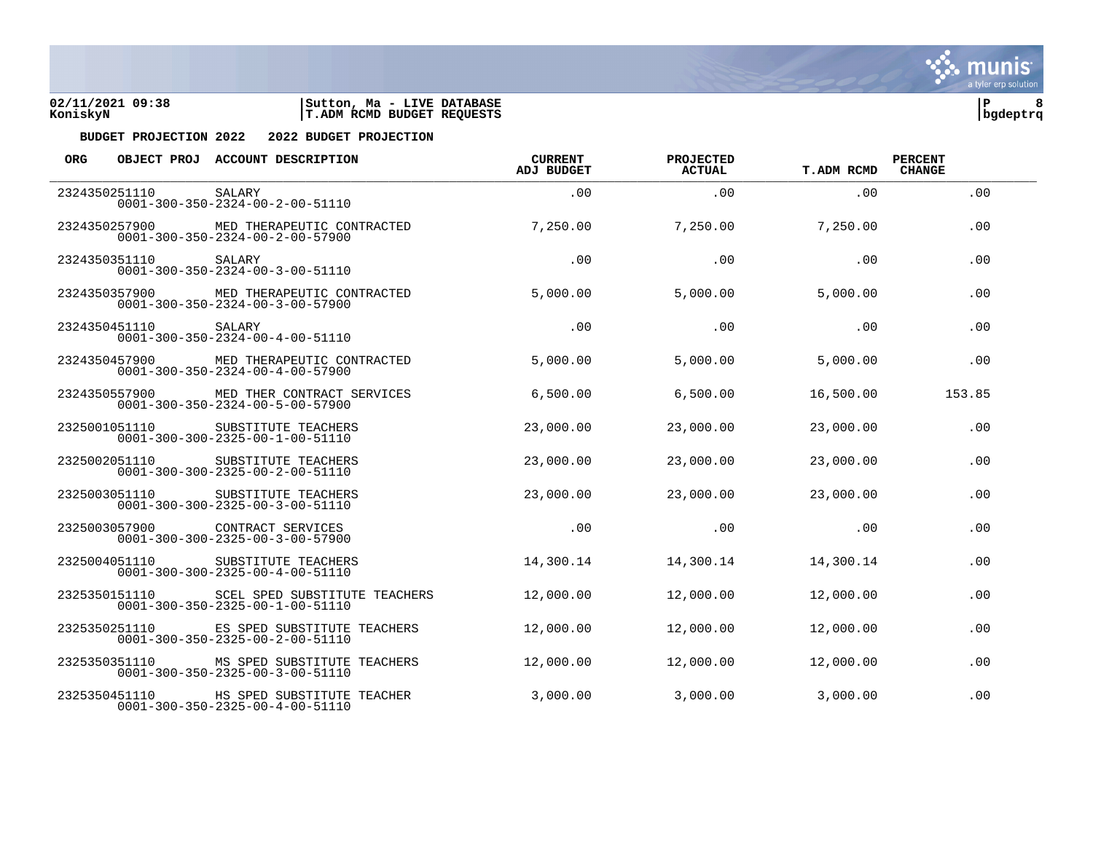



| <b>ORG</b>    |               | OBJECT PROJ ACCOUNT DESCRIPTION                                                  | <b>CURRENT</b><br><b>ADJ BUDGET</b> | PROJECTED<br><b>ACTUAL</b> | <b>T.ADM RCMD</b> | <b>PERCENT</b><br><b>CHANGE</b> |  |
|---------------|---------------|----------------------------------------------------------------------------------|-------------------------------------|----------------------------|-------------------|---------------------------------|--|
| 2324350251110 |               | SALARY<br>$0001 - 300 - 350 - 2324 - 00 - 2 - 00 - 51110$                        | .00                                 | .00                        | .00               | .00                             |  |
|               | 2324350257900 | MED THERAPEUTIC CONTRACTED<br>$0001 - 300 - 350 - 2324 - 00 - 2 - 00 - 57900$    | 7,250.00                            | 7,250.00                   | 7,250.00          | .00                             |  |
|               | 2324350351110 | SALARY<br>$0001 - 300 - 350 - 2324 - 00 - 3 - 00 - 51110$                        | .00                                 | .00                        | .00               | .00                             |  |
|               | 2324350357900 | MED THERAPEUTIC CONTRACTED<br>$0001 - 300 - 350 - 2324 - 00 - 3 - 00 - 57900$    | 5,000.00                            | 5,000.00                   | 5,000.00          | .00                             |  |
|               | 2324350451110 | SALARY<br>$0001 - 300 - 350 - 2324 - 00 - 4 - 00 - 51110$                        | .00                                 | .00                        | .00               | .00                             |  |
|               | 2324350457900 | MED THERAPEUTIC CONTRACTED<br>$0001 - 300 - 350 - 2324 - 00 - 4 - 00 - 57900$    | 5,000.00                            | 5,000.00                   | 5,000.00          | .00                             |  |
|               | 2324350557900 | MED THER CONTRACT SERVICES<br>$0001 - 300 - 350 - 2324 - 00 - 5 - 00 - 57900$    | 6,500.00                            | 6,500.00                   | 16,500.00         | 153.85                          |  |
|               | 2325001051110 | SUBSTITUTE TEACHERS<br>$0001 - 300 - 300 - 2325 - 00 - 1 - 00 - 51110$           | 23,000.00                           | 23,000.00                  | 23,000.00         | .00                             |  |
|               | 2325002051110 | SUBSTITUTE TEACHERS<br>$0001 - 300 - 300 - 2325 - 00 - 2 - 00 - 51110$           | 23,000.00                           | 23,000.00                  | 23,000.00         | .00                             |  |
|               | 2325003051110 | SUBSTITUTE TEACHERS<br>$0001 - 300 - 300 - 2325 - 00 - 3 - 00 - 51110$           | 23,000.00                           | 23,000.00                  | 23,000.00         | .00                             |  |
|               | 2325003057900 | CONTRACT SERVICES<br>$0001 - 300 - 300 - 2325 - 00 - 3 - 00 - 57900$             | .00                                 | .00                        | .00               | .00                             |  |
|               | 2325004051110 | SUBSTITUTE TEACHERS<br>$0001 - 300 - 300 - 2325 - 00 - 4 - 00 - 51110$           | 14,300.14                           | 14,300.14                  | 14,300.14         | .00                             |  |
|               | 2325350151110 | SCEL SPED SUBSTITUTE TEACHERS<br>$0001 - 300 - 350 - 2325 - 00 - 1 - 00 - 51110$ | 12,000.00                           | 12,000.00                  | 12,000.00         | .00                             |  |
|               | 2325350251110 | ES SPED SUBSTITUTE TEACHERS<br>$0001 - 300 - 350 - 2325 - 00 - 2 - 00 - 51110$   | 12,000.00                           | 12,000.00                  | 12,000.00         | .00                             |  |
|               | 2325350351110 | MS SPED SUBSTITUTE TEACHERS<br>$0001 - 300 - 350 - 2325 - 00 - 3 - 00 - 51110$   | 12,000.00                           | 12,000.00                  | 12,000.00         | .00                             |  |
|               | 2325350451110 | HS SPED SUBSTITUTE TEACHER<br>$0001 - 300 - 350 - 2325 - 00 - 4 - 00 - 51110$    | 3,000.00                            | 3,000.00                   | 3,000.00          | .00                             |  |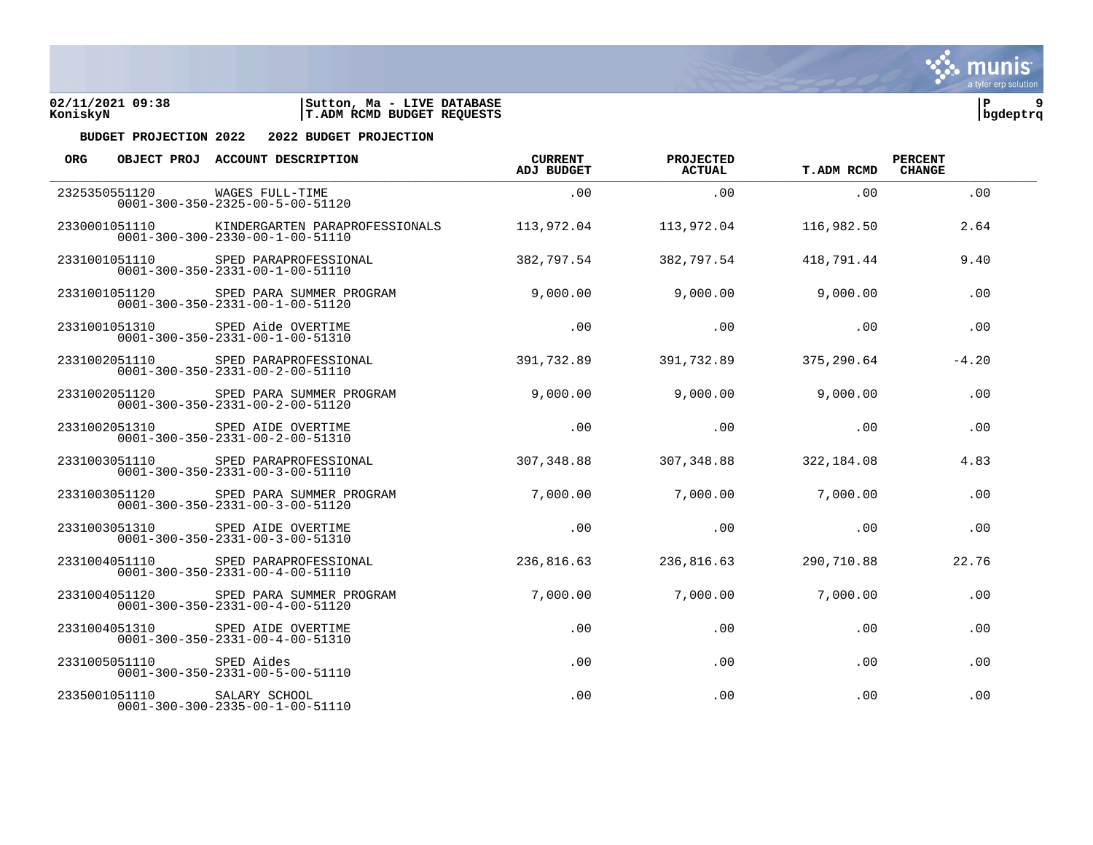

| <b>ORG</b> |                          | OBJECT PROJ ACCOUNT DESCRIPTION                                                   | <b>CURRENT</b><br><b>ADJ BUDGET</b> | PROJECTED<br><b>ACTUAL</b> | <b>T.ADM RCMD</b> | <b>PERCENT</b><br><b>CHANGE</b> |  |
|------------|--------------------------|-----------------------------------------------------------------------------------|-------------------------------------|----------------------------|-------------------|---------------------------------|--|
|            | 2325350551120            | WAGES FULL-TIME<br>$0001 - 300 - 350 - 2325 - 00 - 5 - 00 - 51120$                | .00                                 | .00                        | .00.              | .00                             |  |
|            | 2330001051110            | KINDERGARTEN PARAPROFESSIONALS<br>$0001 - 300 - 300 - 2330 - 00 - 1 - 00 - 51110$ | 113,972.04                          | 113,972.04                 | 116,982.50        | 2.64                            |  |
|            | 2331001051110            | SPED PARAPROFESSIONAL<br>$0001 - 300 - 350 - 2331 - 00 - 1 - 00 - 51110$          | 382,797.54                          | 382,797.54                 | 418,791.44        | 9.40                            |  |
|            | 2331001051120            | SPED PARA SUMMER PROGRAM<br>$0001 - 300 - 350 - 2331 - 00 - 1 - 00 - 51120$       | 9,000.00                            | 9,000.00                   | 9,000.00          | .00.                            |  |
|            | 2331001051310            | SPED Aide OVERTIME<br>$0001 - 300 - 350 - 2331 - 00 - 1 - 00 - 51310$             | .00                                 | .00                        | .00               | .00                             |  |
|            | 2331002051110            | SPED PARAPROFESSIONAL<br>$0001 - 300 - 350 - 2331 - 00 - 2 - 00 - 51110$          | 391,732.89                          | 391,732.89                 | 375,290.64        | $-4.20$                         |  |
|            | 2331002051120            | SPED PARA SUMMER PROGRAM<br>$0001 - 300 - 350 - 2331 - 00 - 2 - 00 - 51120$       | 9,000.00                            | 9,000.00                   | 9,000.00          | .00                             |  |
|            | 2331002051310            | SPED AIDE OVERTIME<br>$0001 - 300 - 350 - 2331 - 00 - 2 - 00 - 51310$             | .00                                 | .00                        | .00               | .00                             |  |
|            | 2331003051110            | SPED PARAPROFESSIONAL<br>$0001 - 300 - 350 - 2331 - 00 - 3 - 00 - 51110$          | 307,348.88                          | 307,348.88                 | 322,184.08        | 4.83                            |  |
|            | 2331003051120            | SPED PARA SUMMER PROGRAM<br>$0001 - 300 - 350 - 2331 - 00 - 3 - 00 - 51120$       | 7,000.00                            | 7,000.00                   | 7,000.00          | .00                             |  |
|            | 2331003051310            | SPED AIDE OVERTIME<br>$0001 - 300 - 350 - 2331 - 00 - 3 - 00 - 51310$             | .00                                 | .00                        | .00               | .00                             |  |
|            | 2331004051110            | SPED PARAPROFESSIONAL<br>$0001 - 300 - 350 - 2331 - 00 - 4 - 00 - 51110$          | 236,816.63                          | 236,816.63                 | 290,710.88        | 22.76                           |  |
|            | 2331004051120            | SPED PARA SUMMER PROGRAM<br>$0001 - 300 - 350 - 2331 - 00 - 4 - 00 - 51120$       | 7,000.00                            | 7,000.00                   | 7,000.00          | .00                             |  |
|            | 2331004051310            | SPED AIDE OVERTIME<br>$0001 - 300 - 350 - 2331 - 00 - 4 - 00 - 51310$             | .00                                 | .00                        | .00               | .00                             |  |
|            | 2331005051110 SPED Aides | $0001 - 300 - 350 - 2331 - 00 - 5 - 00 - 51110$                                   | .00                                 | .00                        | .00               | .00                             |  |
|            | 2335001051110            | SALARY SCHOOL<br>$0001 - 300 - 300 - 2335 - 00 - 1 - 00 - 51110$                  | .00                                 | .00                        | .00               | .00                             |  |



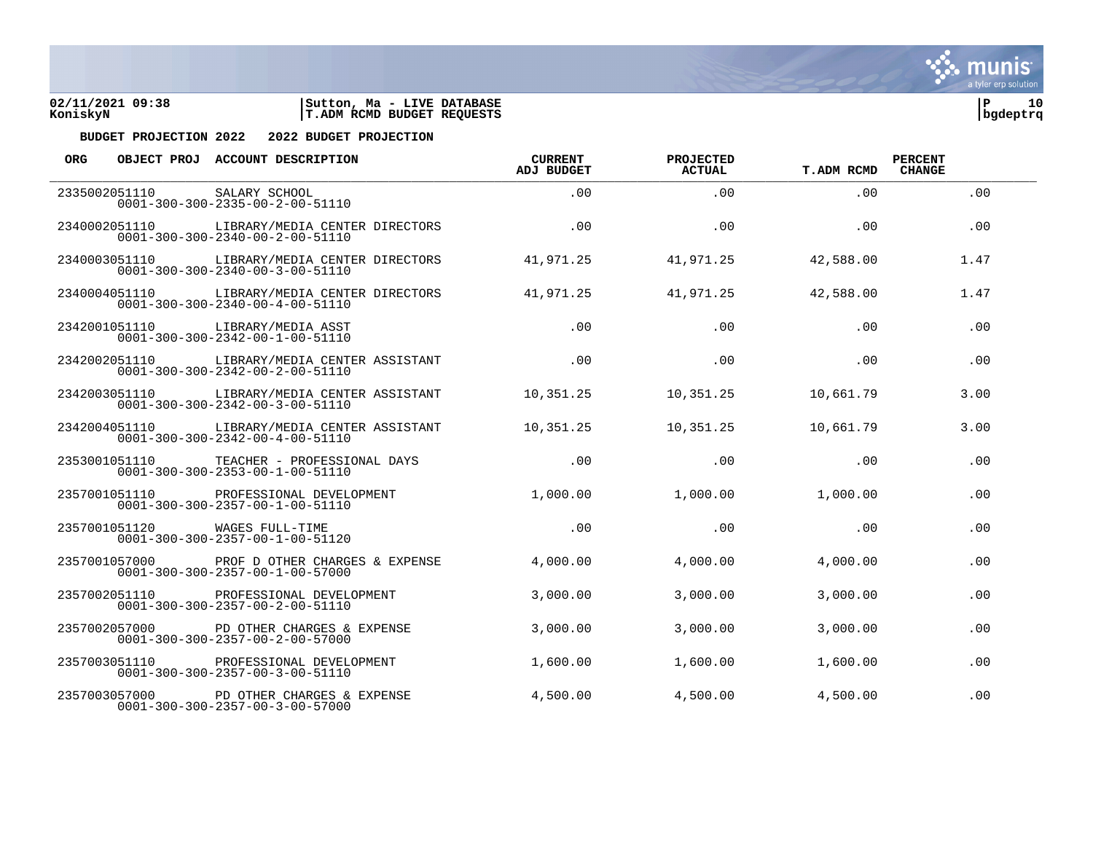

| <b>ORG</b> |               | OBJECT PROJ ACCOUNT DESCRIPTION                                                                 | <b>CURRENT</b><br><b>ADJ BUDGET</b> | PROJECTED<br><b>ACTUAL</b> | <b>T.ADM RCMD</b> | <b>PERCENT</b><br><b>CHANGE</b> |  |
|------------|---------------|-------------------------------------------------------------------------------------------------|-------------------------------------|----------------------------|-------------------|---------------------------------|--|
|            | 2335002051110 | SALARY SCHOOL<br>$0001 - 300 - 300 - 2335 - 00 - 2 - 00 - 51110$                                | .00                                 | .00                        | .00               | .00                             |  |
|            | 2340002051110 | LIBRARY/MEDIA CENTER DIRECTORS<br>$0001 - 300 - 300 - 2340 - 00 - 2 - 00 - 51110$               | .00.                                | .00                        | .00.              | .00                             |  |
|            | 2340003051110 | LIBRARY/MEDIA CENTER DIRECTORS<br>$0001 - 300 - 300 - 2340 - 00 - 3 - 00 - 51110$               | 41,971.25                           | 41,971.25                  | 42,588.00         | 1.47                            |  |
|            |               | 2340004051110 LIBRARY/MEDIA CENTER DIRECTORS<br>$0001 - 300 - 300 - 2340 - 00 - 4 - 00 - 51110$ | 41,971.25                           | 41,971.25                  | 42,588.00         | 1.47                            |  |
|            | 2342001051110 | LIBRARY/MEDIA ASST<br>$0001 - 300 - 300 - 2342 - 00 - 1 - 00 - 51110$                           | .00                                 | .00                        | .00               | .00                             |  |
|            | 2342002051110 | LIBRARY/MEDIA CENTER ASSISTANT<br>$0001 - 300 - 300 - 2342 - 00 - 2 - 00 - 51110$               | .00                                 | .00                        | .00.              | .00                             |  |
|            | 2342003051110 | LIBRARY/MEDIA CENTER ASSISTANT<br>$0001 - 300 - 300 - 2342 - 00 - 3 - 00 - 51110$               | 10,351.25                           | 10,351.25                  | 10,661.79         | 3.00                            |  |
|            |               | 2342004051110 LIBRARY/MEDIA CENTER ASSISTANT<br>$0001 - 300 - 300 - 2342 - 00 - 4 - 00 - 51110$ | 10,351.25                           | 10,351.25                  | 10,661.79         | 3.00                            |  |
|            | 2353001051110 | TEACHER - PROFESSIONAL DAYS<br>$0001 - 300 - 300 - 2353 - 00 - 1 - 00 - 51110$                  | .00                                 | .00                        | .00.              | .00                             |  |
|            | 2357001051110 | PROFESSIONAL DEVELOPMENT<br>$0001 - 300 - 300 - 2357 - 00 - 1 - 00 - 51110$                     | 1,000.00                            | 1,000.00                   | 1,000.00          | .00                             |  |
|            | 2357001051120 | WAGES FULL-TIME<br>$0001 - 300 - 300 - 2357 - 00 - 1 - 00 - 51120$                              | .00                                 | .00                        | .00.              | .00                             |  |
|            |               | 2357001057000 PROF D OTHER CHARGES & EXPENSE<br>$0001 - 300 - 300 - 2357 - 00 - 1 - 00 - 57000$ | 4,000.00                            | 4,000.00                   | 4,000.00          | .00                             |  |
|            | 2357002051110 | PROFESSIONAL DEVELOPMENT<br>$0001 - 300 - 300 - 2357 - 00 - 2 - 00 - 51110$                     | 3,000.00                            | 3,000.00                   | 3,000.00          | .00                             |  |
|            | 2357002057000 | PD OTHER CHARGES & EXPENSE<br>$0001 - 300 - 300 - 2357 - 00 - 2 - 00 - 57000$                   | 3,000.00                            | 3,000.00                   | 3,000.00          | .00                             |  |
|            | 2357003051110 | PROFESSIONAL DEVELOPMENT<br>$0001 - 300 - 300 - 2357 - 00 - 3 - 00 - 51110$                     | 1,600.00                            | 1,600.00                   | 1,600.00          | .00                             |  |
|            | 2357003057000 | PD OTHER CHARGES & EXPENSE<br>$0001 - 300 - 300 - 2357 - 00 - 3 - 00 - 57000$                   | 4,500.00                            | 4,500.00                   | 4,500.00          | .00                             |  |

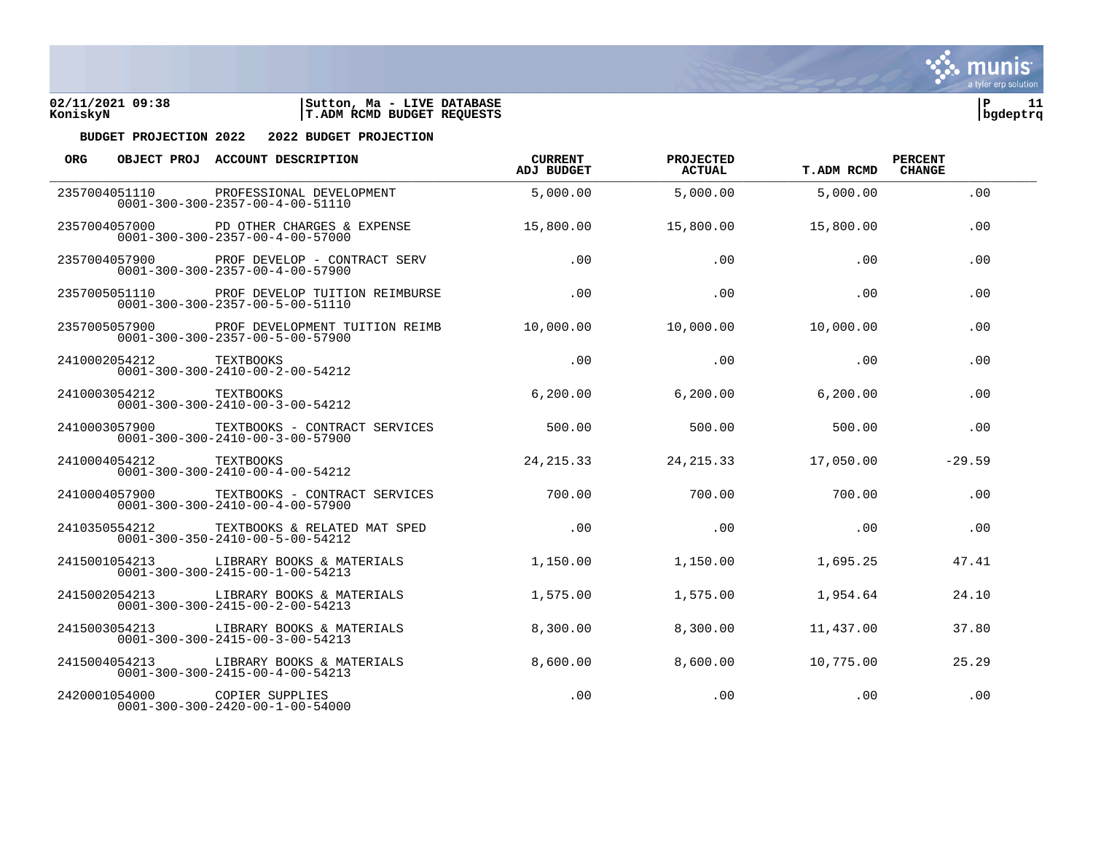



| <b>ORG</b> |               | OBJECT PROJ ACCOUNT DESCRIPTION                                                                | <b>CURRENT</b><br><b>ADJ BUDGET</b> | PROJECTED<br><b>ACTUAL</b> | <b>T.ADM RCMD</b> | <b>PERCENT</b><br><b>CHANGE</b> |  |
|------------|---------------|------------------------------------------------------------------------------------------------|-------------------------------------|----------------------------|-------------------|---------------------------------|--|
|            | 2357004051110 | PROFESSIONAL DEVELOPMENT<br>$0001 - 300 - 300 - 2357 - 00 - 4 - 00 - 51110$                    | 5,000.00                            | 5,000.00                   | 5,000.00          | .00                             |  |
|            | 2357004057000 | PD OTHER CHARGES & EXPENSE<br>$0001 - 300 - 300 - 2357 - 00 - 4 - 00 - 57000$                  | 15,800.00                           | 15,800.00                  | 15,800.00         | .00                             |  |
|            | 2357004057900 | PROF DEVELOP - CONTRACT SERV<br>$0001 - 300 - 300 - 2357 - 00 - 4 - 00 - 57900$                | .00                                 | .00                        | .00               | .00                             |  |
|            | 2357005051110 | PROF DEVELOP TUITION REIMBURSE<br>$0001 - 300 - 300 - 2357 - 00 - 5 - 00 - 51110$              | .00                                 | .00                        | .00               | .00.                            |  |
|            | 2357005057900 | PROF DEVELOPMENT TUITION REIMB<br>$0001 - 300 - 300 - 2357 - 00 - 5 - 00 - 57900$              | 10,000.00                           | 10,000.00                  | 10,000.00         | .00                             |  |
|            | 2410002054212 | <b>TEXTBOOKS</b><br>$0001 - 300 - 300 - 2410 - 00 - 2 - 00 - 54212$                            | .00                                 | .00                        | .00               | .00                             |  |
|            | 2410003054212 | TEXTBOOKS<br>$0001 - 300 - 300 - 2410 - 00 - 3 - 00 - 54212$                                   | 6, 200.00                           | 6, 200.00                  | 6, 200.00         | .00                             |  |
|            |               | 2410003057900 TEXTBOOKS - CONTRACT SERVICES<br>$0001 - 300 - 300 - 2410 - 00 - 3 - 00 - 57900$ | 500.00                              | 500.00                     | 500.00            | .00                             |  |
|            | 2410004054212 | <b>TEXTBOOKS</b><br>$0001 - 300 - 300 - 2410 - 00 - 4 - 00 - 54212$                            | 24, 215.33                          | 24, 215. 33                | 17,050.00         | $-29.59$                        |  |
|            | 2410004057900 | TEXTBOOKS - CONTRACT SERVICES<br>$0001 - 300 - 300 - 2410 - 00 - 4 - 00 - 57900$               | 700.00                              | 700.00                     | 700.00            | .00                             |  |
|            | 2410350554212 | TEXTBOOKS & RELATED MAT SPED<br>$0001 - 300 - 350 - 2410 - 00 - 5 - 00 - 54212$                | .00                                 | .00                        | .00               | .00                             |  |
|            |               | 2415001054213 LIBRARY BOOKS & MATERIALS<br>$0001 - 300 - 300 - 2415 - 00 - 1 - 00 - 54213$     | 1,150.00                            | 1,150.00                   | 1,695.25          | 47.41                           |  |
|            | 2415002054213 | LIBRARY BOOKS & MATERIALS<br>$0001 - 300 - 300 - 2415 - 00 - 2 - 00 - 54213$                   | 1,575.00                            | 1,575.00                   | 1,954.64          | 24.10                           |  |
|            | 2415003054213 | LIBRARY BOOKS & MATERIALS<br>$0001 - 300 - 300 - 2415 - 00 - 3 - 00 - 54213$                   | 8,300.00                            | 8,300.00                   | 11,437.00         | 37.80                           |  |
|            | 2415004054213 | LIBRARY BOOKS & MATERIALS<br>$0001 - 300 - 300 - 2415 - 00 - 4 - 00 - 54213$                   | 8,600.00                            | 8,600.00                   | 10,775.00         | 25.29                           |  |
|            | 2420001054000 | COPIER SUPPLIES<br>$0001 - 300 - 300 - 2420 - 00 - 1 - 00 - 54000$                             | .00                                 | .00                        | .00               | .00                             |  |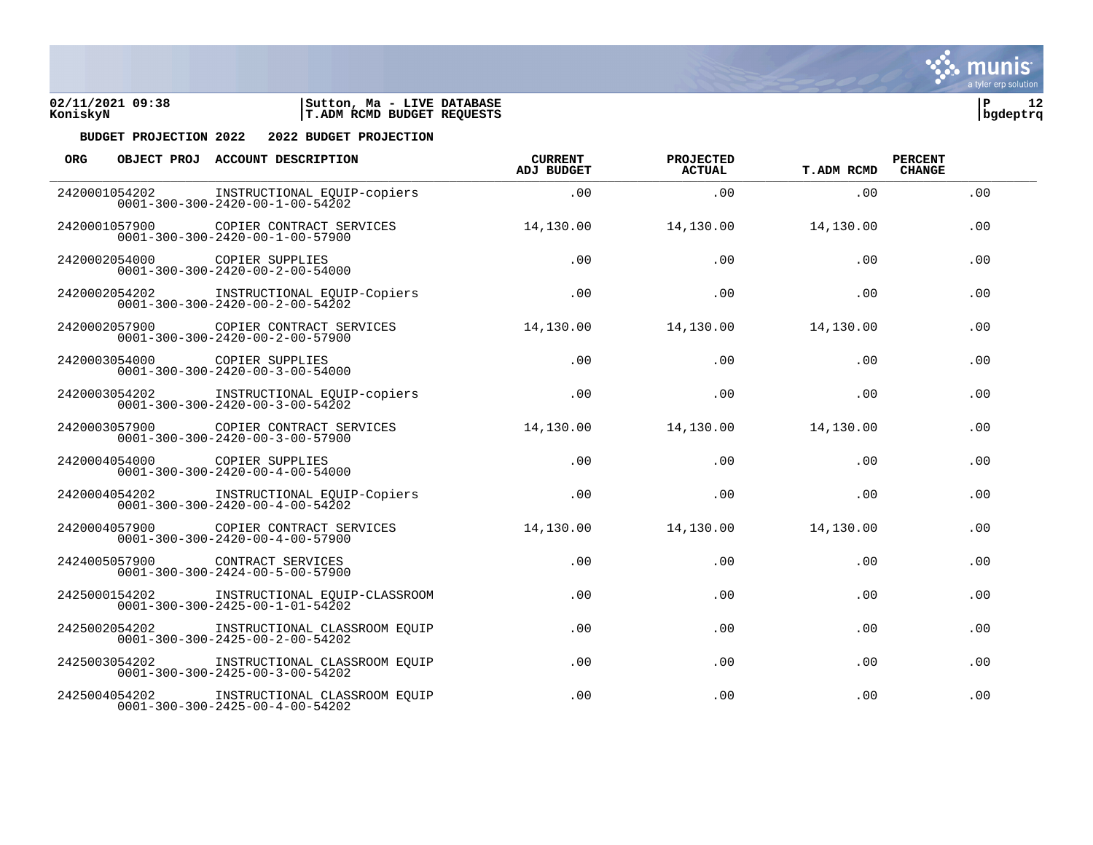

| <b>ORG</b>    |               | OBJECT PROJ ACCOUNT DESCRIPTION                                                  | <b>CURRENT</b><br><b>ADJ BUDGET</b> | PROJECTED<br><b>ACTUAL</b> | <b>T.ADM RCMD</b> | <b>PERCENT</b><br><b>CHANGE</b> |
|---------------|---------------|----------------------------------------------------------------------------------|-------------------------------------|----------------------------|-------------------|---------------------------------|
|               | 2420001054202 | INSTRUCTIONAL EQUIP-copiers<br>$0001 - 300 - 300 - 2420 - 00 - 1 - 00 - 54202$   | .00.                                | .00                        | .00.              | .00                             |
|               | 2420001057900 | COPIER CONTRACT SERVICES<br>$0001 - 300 - 300 - 2420 - 00 - 1 - 00 - 57900$      | 14,130.00                           | 14,130.00                  | 14,130.00         | .00                             |
|               | 2420002054000 | COPIER SUPPLIES<br>$0001 - 300 - 300 - 2420 - 00 - 2 - 00 - 54000$               | .00                                 | .00                        | .00               | .00                             |
|               | 2420002054202 | INSTRUCTIONAL EQUIP-Copiers<br>$0001 - 300 - 300 - 2420 - 00 - 2 - 00 - 54202$   | .00.                                | .00                        | .00               | .00                             |
| 2420002057900 |               | COPIER CONTRACT SERVICES<br>$0001 - 300 - 300 - 2420 - 00 - 2 - 00 - 57900$      | 14,130.00                           | 14,130.00                  | 14,130.00         | .00                             |
|               | 2420003054000 | COPIER SUPPLIES<br>$0001 - 300 - 300 - 2420 - 00 - 3 - 00 - 54000$               | .00.                                | .00                        | .00.              | .00                             |
|               | 2420003054202 | INSTRUCTIONAL EQUIP-copiers<br>$0001 - 300 - 300 - 2420 - 00 - 3 - 00 - 54202$   | .00                                 | .00                        | .00               | .00                             |
|               | 2420003057900 | COPIER CONTRACT SERVICES<br>$0001 - 300 - 300 - 2420 - 00 - 3 - 00 - 57900$      | 14,130.00                           | 14,130.00                  | 14,130.00         | .00                             |
|               | 2420004054000 | COPIER SUPPLIES<br>$0001 - 300 - 300 - 2420 - 00 - 4 - 00 - 54000$               | .00                                 | .00                        | .00               | .00                             |
|               | 2420004054202 | INSTRUCTIONAL EQUIP-Copiers<br>$0001 - 300 - 300 - 2420 - 00 - 4 - 00 - 54202$   | .00                                 | .00                        | .00               | .00                             |
|               | 2420004057900 | COPIER CONTRACT SERVICES<br>$0001 - 300 - 300 - 2420 - 00 - 4 - 00 - 57900$      | 14,130.00                           | 14,130.00                  | 14,130.00         | .00                             |
|               | 2424005057900 | CONTRACT SERVICES<br>$0001 - 300 - 300 - 2424 - 00 - 5 - 00 - 57900$             | .00                                 | .00                        | .00               | .00                             |
|               | 2425000154202 | INSTRUCTIONAL EQUIP-CLASSROOM<br>$0001 - 300 - 300 - 2425 - 00 - 1 - 01 - 54202$ | .00                                 | .00                        | .00               | .00                             |
|               | 2425002054202 | INSTRUCTIONAL CLASSROOM EQUIP<br>$0001 - 300 - 300 - 2425 - 00 - 2 - 00 - 54202$ | .00                                 | .00                        | .00               | .00                             |
|               | 2425003054202 | INSTRUCTIONAL CLASSROOM EOUIP<br>$0001 - 300 - 300 - 2425 - 00 - 3 - 00 - 54202$ | .00                                 | .00                        | .00               | .00                             |
|               | 2425004054202 | INSTRUCTIONAL CLASSROOM EOUIP<br>$0001 - 300 - 300 - 2425 - 00 - 4 - 00 - 54202$ | .00                                 | .00                        | .00               | .00                             |

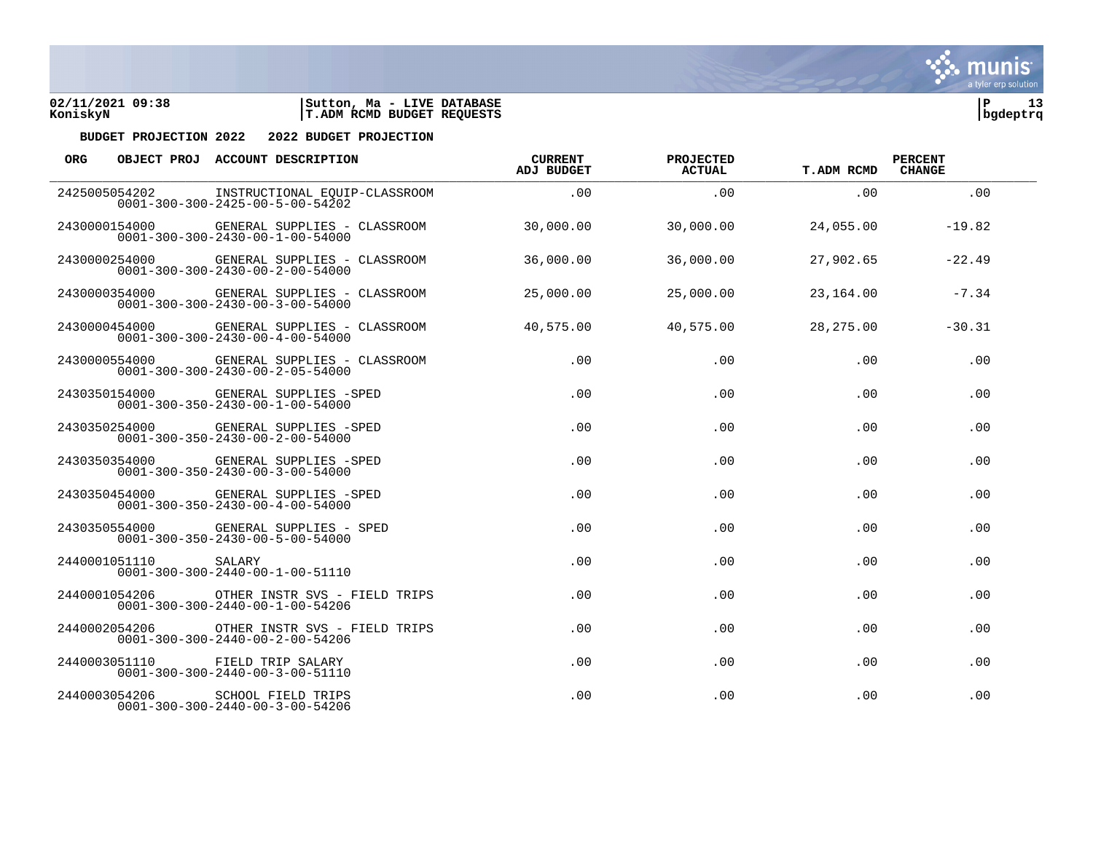

| <b>ORG</b> |               | OBJECT PROJ ACCOUNT DESCRIPTION                                                            | <b>CURRENT</b><br><b>ADJ BUDGET</b> | PROJECTED<br><b>ACTUAL</b> | <b>T.ADM RCMD</b> | <b>PERCENT</b><br><b>CHANGE</b> |  |
|------------|---------------|--------------------------------------------------------------------------------------------|-------------------------------------|----------------------------|-------------------|---------------------------------|--|
|            | 2425005054202 | INSTRUCTIONAL EOUIP-CLASSROOM<br>$0001 - 300 - 300 - 2425 - 00 - 5 - 00 - 54202$           | .00.                                | .00                        | .00.              | .00                             |  |
|            | 2430000154000 | GENERAL SUPPLIES - CLASSROOM<br>$0001 - 300 - 300 - 2430 - 00 - 1 - 00 - 54000$            | 30,000.00                           | 30,000.00                  | 24,055.00         | $-19.82$                        |  |
|            | 2430000254000 | GENERAL SUPPLIES - CLASSROOM<br>$0001 - 300 - 300 - 2430 - 00 - 2 - 00 - 54000$            | 36,000.00                           | 36,000.00                  | 27,902.65         | $-22.49$                        |  |
|            | 2430000354000 | GENERAL SUPPLIES - CLASSROOM<br>$0001 - 300 - 300 - 2430 - 00 - 3 - 00 - 54000$            | 25,000.00                           | 25,000.00                  | 23,164.00         | $-7.34$                         |  |
|            | 2430000454000 | GENERAL SUPPLIES - CLASSROOM<br>$0001 - 300 - 300 - 2430 - 00 - 4 - 00 - 54000$            | 40,575.00                           | 40,575.00                  | 28, 275, 00       | $-30.31$                        |  |
|            | 2430000554000 | GENERAL SUPPLIES - CLASSROOM<br>$0001 - 300 - 300 - 2430 - 00 - 2 - 05 - 54000$            | .00                                 | .00                        | .00               | .00                             |  |
|            |               | 2430350154000 GENERAL SUPPLIES -SPED<br>$0001 - 300 - 350 - 2430 - 00 - 1 - 00 - 54000$    | .00                                 | .00                        | .00               | .00                             |  |
|            |               | 2430350254000 GENERAL SUPPLIES -SPED<br>$0001 - 300 - 350 - 2430 - 00 - 2 - 00 - 54000$    | .00                                 | .00                        | .00               | .00                             |  |
|            | 2430350354000 | GENERAL SUPPLIES -SPED<br>$0001 - 300 - 350 - 2430 - 00 - 3 - 00 - 54000$                  | .00                                 | .00                        | .00               | .00                             |  |
|            | 2430350454000 | GENERAL SUPPLIES -SPED<br>$0001 - 300 - 350 - 2430 - 00 - 4 - 00 - 54000$                  | .00                                 | .00                        | .00               | .00                             |  |
|            |               | 2430350554000   GENERAL SUPPLIES - SPED<br>$0001 - 300 - 350 - 2430 - 00 - 5 - 00 - 54000$ | .00                                 | .00                        | .00               | .00                             |  |
|            | 2440001051110 | SALARY<br>$0001 - 300 - 300 - 2440 - 00 - 1 - 00 - 51110$                                  | .00                                 | .00                        | .00               | .00                             |  |
|            | 2440001054206 | OTHER INSTR SVS - FIELD TRIPS<br>$0001 - 300 - 300 - 2440 - 00 - 1 - 00 - 54206$           | .00                                 | .00                        | $.00 \,$          | .00                             |  |
|            | 2440002054206 | OTHER INSTR SVS - FIELD TRIPS<br>$0001 - 300 - 300 - 2440 - 00 - 2 - 00 - 54206$           | .00                                 | .00                        | $.00 \,$          | .00                             |  |
|            | 2440003051110 | FIELD TRIP SALARY<br>$0001 - 300 - 300 - 2440 - 00 - 3 - 00 - 51110$                       | .00                                 | .00                        | $.00 \,$          | .00                             |  |
|            | 2440003054206 | SCHOOL FIELD TRIPS<br>$0001 - 300 - 300 - 2440 - 00 - 3 - 00 - 54206$                      | .00                                 | .00                        | .00               | .00                             |  |



Sive munis a tyler erp solution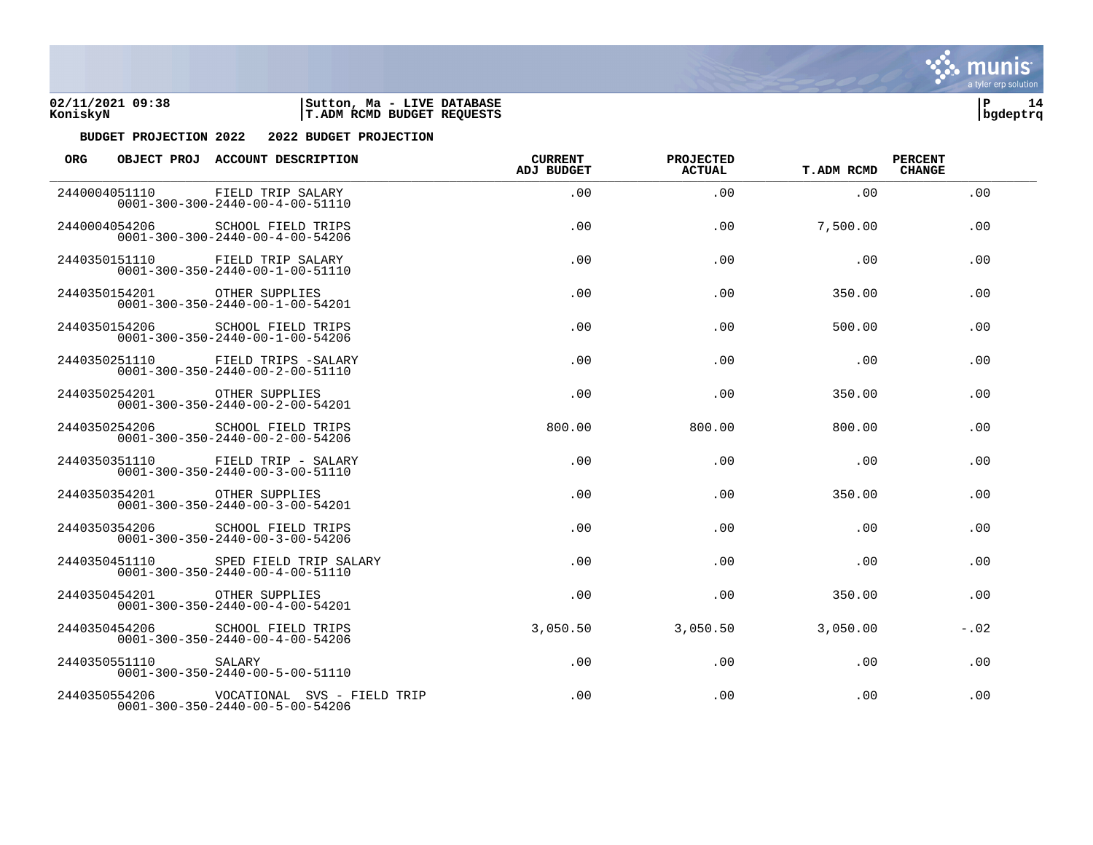



| <b>ORG</b> |               | OBJECT PROJ ACCOUNT DESCRIPTION                                                | <b>CURRENT</b><br><b>ADJ BUDGET</b> | <b>PROJECTED</b><br><b>ACTUAL</b> | <b>T.ADM RCMD</b> | <b>PERCENT</b><br><b>CHANGE</b> |
|------------|---------------|--------------------------------------------------------------------------------|-------------------------------------|-----------------------------------|-------------------|---------------------------------|
|            | 2440004051110 | FIELD TRIP SALARY<br>$0001 - 300 - 300 - 2440 - 00 - 4 - 00 - 51110$           | .00                                 | .00                               | .00.              | .00                             |
|            | 2440004054206 | <b>SCHOOL FIELD TRIPS</b><br>$0001 - 300 - 300 - 2440 - 00 - 4 - 00 - 54206$   | .00                                 | .00                               | 7,500.00          | .00                             |
|            | 2440350151110 | FIELD TRIP SALARY<br>$0001 - 300 - 350 - 2440 - 00 - 1 - 00 - 51110$           | .00                                 | .00                               | .00               | .00                             |
|            | 2440350154201 | OTHER SUPPLIES<br>$0001 - 300 - 350 - 2440 - 00 - 1 - 00 - 54201$              | .00                                 | .00                               | 350.00            | .00                             |
|            | 2440350154206 | <b>SCHOOL FIELD TRIPS</b><br>$0001 - 300 - 350 - 2440 - 00 - 1 - 00 - 54206$   | .00                                 | .00                               | 500.00            | .00                             |
|            | 2440350251110 | FIELD TRIPS -SALARY<br>$0001 - 300 - 350 - 2440 - 00 - 2 - 00 - 51110$         | .00                                 | .00                               | .00               | .00                             |
|            | 2440350254201 | OTHER SUPPLIES<br>$0001 - 300 - 350 - 2440 - 00 - 2 - 00 - 54201$              | .00.                                | .00                               | 350.00            | .00                             |
|            | 2440350254206 | <b>SCHOOL FIELD TRIPS</b><br>$0001 - 300 - 350 - 2440 - 00 - 2 - 00 - 54206$   | 800.00                              | 800.00                            | 800.00            | .00                             |
|            | 2440350351110 | FIELD TRIP - SALARY<br>$0001 - 300 - 350 - 2440 - 00 - 3 - 00 - 51110$         | .00                                 | .00                               | .00               | .00                             |
|            | 2440350354201 | OTHER SUPPLIES<br>$0001 - 300 - 350 - 2440 - 00 - 3 - 00 - 54201$              | .00.                                | .00                               | 350.00            | .00                             |
|            | 2440350354206 | <b>SCHOOL FIELD TRIPS</b><br>$0001 - 300 - 350 - 2440 - 00 - 3 - 00 - 54206$   | .00                                 | .00                               | .00               | .00                             |
|            | 2440350451110 | SPED FIELD TRIP SALARY<br>$0001 - 300 - 350 - 2440 - 00 - 4 - 00 - 51110$      | .00.                                | .00                               | .00               | .00                             |
|            | 2440350454201 | OTHER SUPPLIES<br>$0001 - 300 - 350 - 2440 - 00 - 4 - 00 - 54201$              | .00                                 | .00                               | 350.00            | .00                             |
|            | 2440350454206 | SCHOOL FIELD TRIPS<br>$0001 - 300 - 350 - 2440 - 00 - 4 - 00 - 54206$          | 3,050.50                            | 3,050.50                          | 3,050.00          | $-.02$                          |
|            | 2440350551110 | SALARY<br>$0001 - 300 - 350 - 2440 - 00 - 5 - 00 - 51110$                      | .00                                 | .00                               | .00               | .00                             |
|            | 2440350554206 | VOCATIONAL SVS - FIELD TRIP<br>$0001 - 300 - 350 - 2440 - 00 - 5 - 00 - 54206$ | .00                                 | .00                               | .00               | .00                             |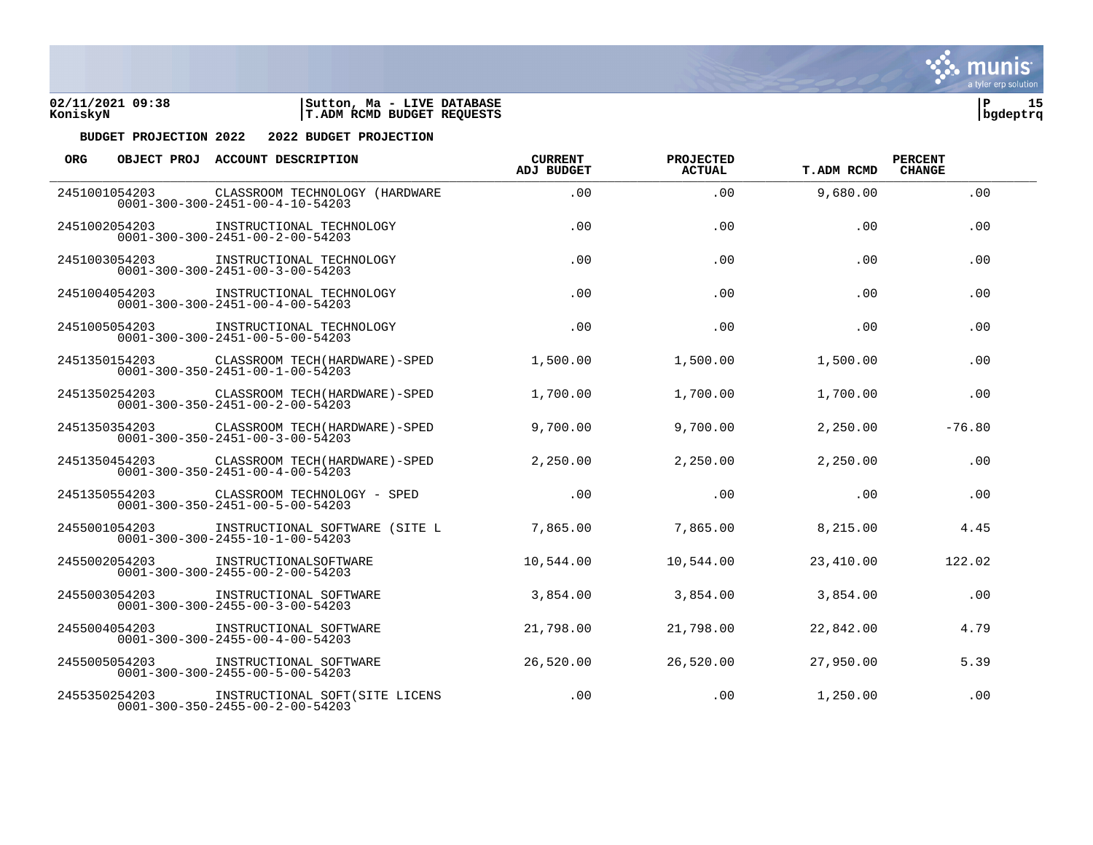



| <b>ORG</b> |               | OBJECT PROJ ACCOUNT DESCRIPTION                                                                 | <b>CURRENT</b><br><b>ADJ BUDGET</b> | PROJECTED<br><b>ACTUAL</b> | <b>T.ADM RCMD</b> | <b>PERCENT</b><br><b>CHANGE</b> |  |
|------------|---------------|-------------------------------------------------------------------------------------------------|-------------------------------------|----------------------------|-------------------|---------------------------------|--|
|            | 2451001054203 | CLASSROOM TECHNOLOGY (HARDWARE<br>$0001 - 300 - 300 - 2451 - 00 - 4 - 10 - 54203$               | .00.                                | .00                        | 9,680.00          | .00                             |  |
|            | 2451002054203 | INSTRUCTIONAL TECHNOLOGY<br>$0001 - 300 - 300 - 2451 - 00 - 2 - 00 - 54203$                     | .00                                 | .00                        | .00               | .00                             |  |
|            | 2451003054203 | INSTRUCTIONAL TECHNOLOGY<br>$0001 - 300 - 300 - 2451 - 00 - 3 - 00 - 54203$                     | .00                                 | .00                        | .00               | .00                             |  |
|            | 2451004054203 | INSTRUCTIONAL TECHNOLOGY<br>$0001 - 300 - 300 - 2451 - 00 - 4 - 00 - 54203$                     | .00                                 | .00                        | .00               | .00                             |  |
|            | 2451005054203 | INSTRUCTIONAL TECHNOLOGY<br>$0001 - 300 - 300 - 2451 - 00 - 5 - 00 - 54203$                     | .00                                 | .00                        | .00               | .00                             |  |
|            | 2451350154203 | CLASSROOM TECH (HARDWARE) - SPED<br>$0001 - 300 - 350 - 2451 - 00 - 1 - 00 - 54203$             | 1,500.00                            | 1,500.00                   | 1,500.00          | .00                             |  |
|            | 2451350254203 | CLASSROOM TECH (HARDWARE)-SPED<br>$0001 - 300 - 350 - 2451 - 00 - 2 - 00 - 54203$               | 1,700.00                            | 1,700.00                   | 1,700.00          | .00                             |  |
|            |               | 2451350354203 CLASSROOM TECH (HARDWARE)-SPED<br>$0001 - 300 - 350 - 2451 - 00 - 3 - 00 - 54203$ | 9,700.00                            | 9,700.00                   | 2,250.00          | $-76.80$                        |  |
|            | 2451350454203 | CLASSROOM TECH (HARDWARE)-SPED<br>$0001 - 300 - 350 - 2451 - 00 - 4 - 00 - 54203$               | 2,250.00                            | 2,250.00                   | 2,250.00          | .00                             |  |
|            | 2451350554203 | CLASSROOM TECHNOLOGY - SPED<br>$0001 - 300 - 350 - 2451 - 00 - 5 - 00 - 54203$                  | .00                                 | .00                        | .00               | .00                             |  |
|            | 2455001054203 | INSTRUCTIONAL SOFTWARE (SITE L<br>$0001 - 300 - 300 - 2455 - 10 - 1 - 00 - 54203$               | 7,865.00                            | 7,865.00                   | 8,215.00          | 4.45                            |  |
|            | 2455002054203 | INSTRUCTIONALSOFTWARE<br>$0001 - 300 - 300 - 2455 - 00 - 2 - 00 - 54203$                        | 10,544.00                           | 10,544.00                  | 23,410.00         | 122.02                          |  |
|            | 2455003054203 | INSTRUCTIONAL SOFTWARE<br>$0001 - 300 - 300 - 2455 - 00 - 3 - 00 - 54203$                       | 3,854.00                            | 3,854.00                   | 3,854.00          | .00                             |  |
|            | 2455004054203 | INSTRUCTIONAL SOFTWARE<br>$0001 - 300 - 300 - 2455 - 00 - 4 - 00 - 54203$                       | 21,798.00                           | 21,798.00                  | 22,842.00         | 4.79                            |  |
|            | 2455005054203 | INSTRUCTIONAL SOFTWARE<br>$0001 - 300 - 300 - 2455 - 00 - 5 - 00 - 54203$                       | 26,520.00                           | 26,520.00                  | 27,950.00         | 5.39                            |  |
|            | 2455350254203 | INSTRUCTIONAL SOFT (SITE LICENS<br>$0001 - 300 - 350 - 2455 - 00 - 2 - 00 - 54203$              | .00                                 | .00                        | 1,250.00          | .00                             |  |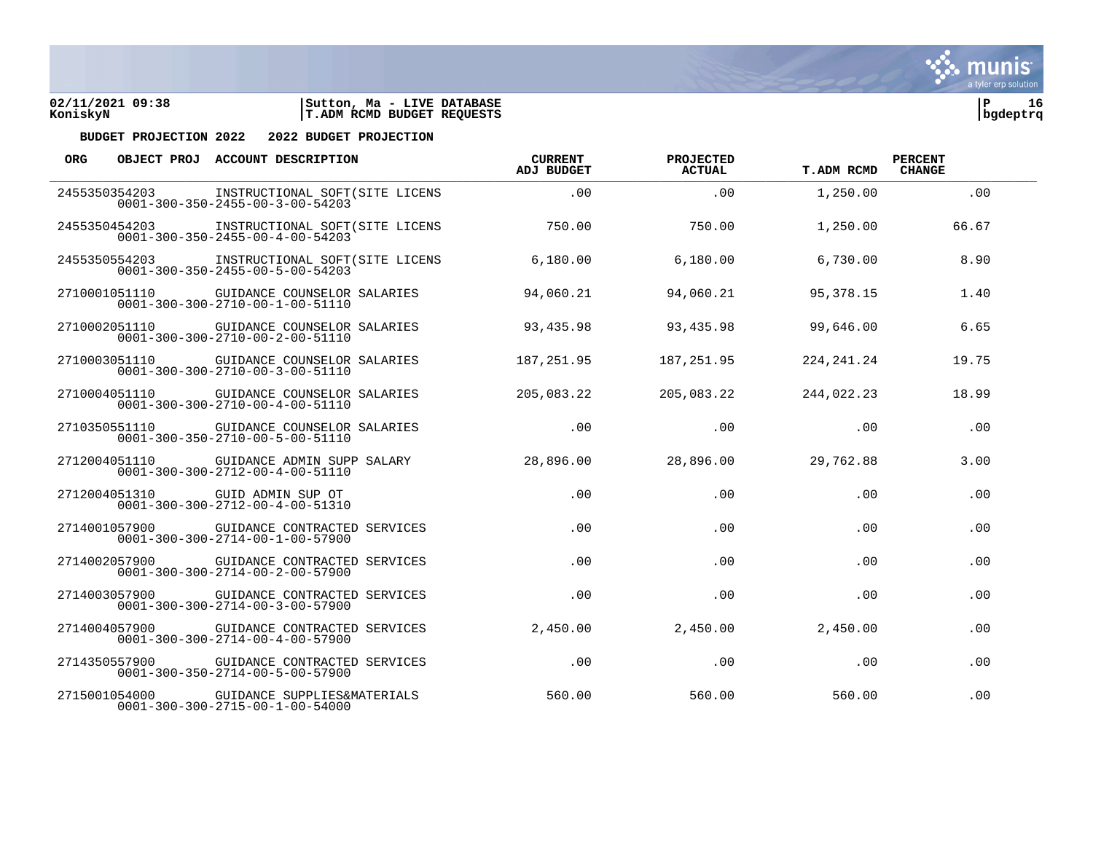



| <b>ORG</b> |               | OBJECT PROJ ACCOUNT DESCRIPTION                                                               | <b>CURRENT</b><br>ADJ BUDGET | PROJECTED<br>ACTUAL | <b>T.ADM RCMD</b> | <b>PERCENT</b><br><b>CHANGE</b> |  |
|------------|---------------|-----------------------------------------------------------------------------------------------|------------------------------|---------------------|-------------------|---------------------------------|--|
|            | 2455350354203 | INSTRUCTIONAL SOFT (SITE LICENS<br>$0001 - 300 - 350 - 2455 - 00 - 3 - 00 - 54203$            | .00.                         | .00                 | 1,250.00          | .00                             |  |
|            | 2455350454203 | INSTRUCTIONAL SOFT (SITE LICENS<br>$0001 - 300 - 350 - 2455 - 00 - 4 - 00 - 54203$            | 750.00                       | 750.00              | 1,250.00          | 66.67                           |  |
|            | 2455350554203 | INSTRUCTIONAL SOFT(SITE LICENS<br>$0001 - 300 - 350 - 2455 - 00 - 5 - 00 - 54203$             | 6,180.00                     | 6.180.00            | 6,730.00          | 8.90                            |  |
|            |               | 2710001051110 GUIDANCE COUNSELOR SALARIES<br>$0001 - 300 - 300 - 2710 - 00 - 1 - 00 - 51110$  | 94,060.21                    | 94,060.21           | 95,378.15         | 1.40                            |  |
|            | 2710002051110 | GUIDANCE COUNSELOR SALARIES<br>0001-300-300-2710-00-2-00-51110                                | 93,435.98                    | 93,435.98           | 99,646.00         | 6.65                            |  |
|            | 2710003051110 | GUIDANCE COUNSELOR SALARIES<br>$0001 - 300 - 300 - 2710 - 00 - 3 - 00 - 51110$                | 187,251.95                   | 187, 251.95         | 224, 241. 24      | 19.75                           |  |
|            |               | 2710004051110 GUIDANCE COUNSELOR SALARIES<br>$0001 - 300 - 300 - 2710 - 00 - 4 - 00 - 51110$  | 205,083.22                   | 205,083.22          | 244,022.23        | 18.99                           |  |
|            |               | 2710350551110 GUIDANCE COUNSELOR SALARIES<br>$0001 - 300 - 350 - 2710 - 00 - 5 - 00 - 51110$  | .00                          | .00                 | .00               | .00                             |  |
|            | 2712004051110 | GUIDANCE ADMIN SUPP SALARY<br>$0001 - 300 - 300 - 2712 - 00 - 4 - 00 - 51110$                 | 28,896.00                    | 28,896.00           | 29,762.88         | 3.00                            |  |
|            | 2712004051310 | GUID ADMIN SUP OT<br>$0001 - 300 - 300 - 2712 - 00 - 4 - 00 - 51310$                          | .00                          | .00                 | .00               | .00                             |  |
|            |               | 2714001057900 GUIDANCE CONTRACTED SERVICES<br>$0001 - 300 - 300 - 2714 - 00 - 1 - 00 - 57900$ | .00                          | .00                 | .00               | .00                             |  |
|            |               | 2714002057900 GUIDANCE CONTRACTED SERVICES<br>$0001 - 300 - 300 - 2714 - 00 - 2 - 00 - 57900$ | .00                          | .00                 | .00               | .00                             |  |
|            | 2714003057900 | GUIDANCE CONTRACTED SERVICES<br>$0001 - 300 - 300 - 2714 - 00 - 3 - 00 - 57900$               | .00                          | .00                 | .00               | .00                             |  |
|            | 2714004057900 | GUIDANCE CONTRACTED SERVICES<br>$0001 - 300 - 300 - 2714 - 00 - 4 - 00 - 57900$               | 2,450.00                     | 2,450.00            | 2,450.00          | .00                             |  |
|            |               | 2714350557900 GUIDANCE CONTRACTED SERVICES<br>$0001 - 300 - 350 - 2714 - 00 - 5 - 00 - 57900$ | .00                          | .00                 | .00               | .00                             |  |
|            | 2715001054000 | GUIDANCE SUPPLIES&MATERIALS<br>$0001 - 300 - 300 - 2715 - 00 - 1 - 00 - 54000$                | 560.00                       | 560.00              | 560.00            | .00                             |  |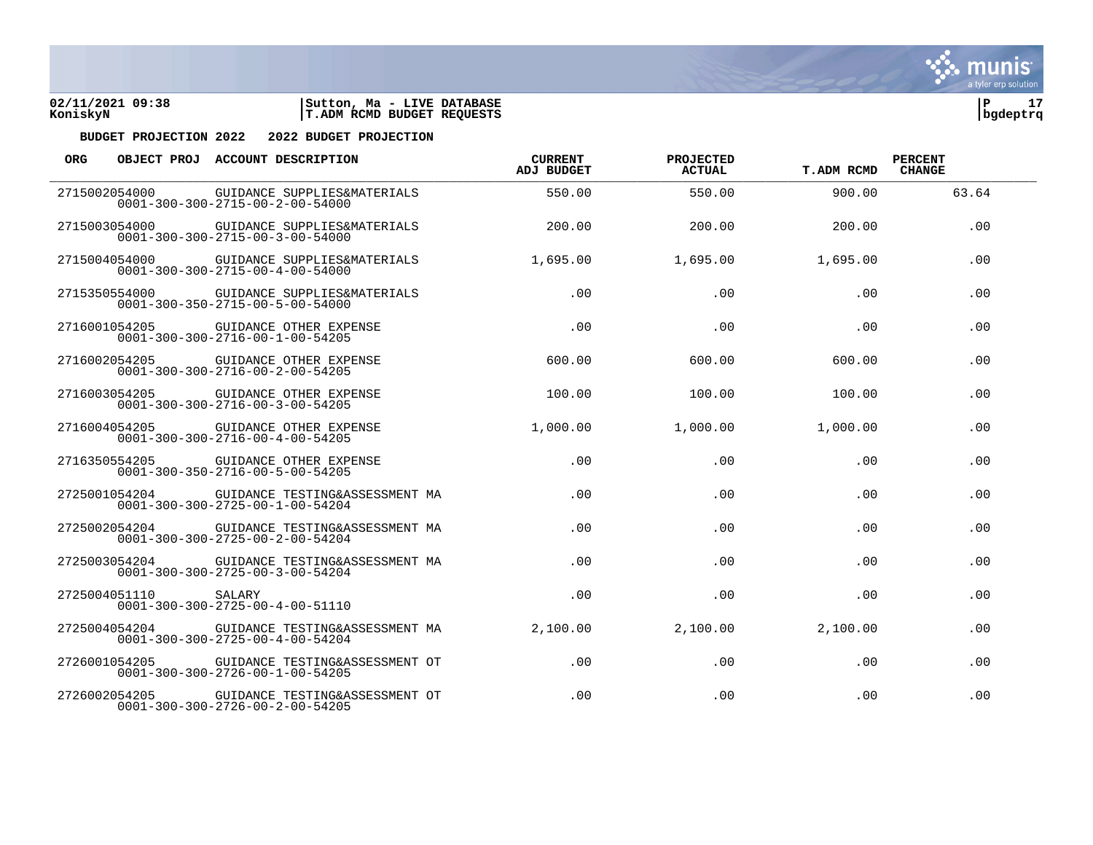



| <b>ORG</b>    |               | OBJECT PROJ ACCOUNT DESCRIPTION                                                              | <b>CURRENT</b><br><b>ADJ BUDGET</b> | PROJECTED<br><b>ACTUAL</b> | <b>T.ADM RCMD</b> | <b>PERCENT</b><br><b>CHANGE</b> |  |
|---------------|---------------|----------------------------------------------------------------------------------------------|-------------------------------------|----------------------------|-------------------|---------------------------------|--|
| 2715002054000 |               | GUIDANCE SUPPLIES&MATERIALS<br>$0001 - 300 - 300 - 2715 - 00 - 2 - 00 - 54000$               | 550.00                              | 550.00                     | 900.00            | 63.64                           |  |
|               | 2715003054000 | GUIDANCE SUPPLIES&MATERIALS<br>$0001 - 300 - 300 - 2715 - 00 - 3 - 00 - 54000$               | 200.00                              | 200.00                     | 200.00            | .00                             |  |
|               | 2715004054000 | GUIDANCE SUPPLIES&MATERIALS<br>$0001 - 300 - 300 - 2715 - 00 - 4 - 00 - 54000$               | 1,695.00                            | 1,695.00                   | 1,695.00          | .00                             |  |
|               |               | 2715350554000 GUIDANCE SUPPLIES&MATERIALS<br>$0001 - 300 - 350 - 2715 - 00 - 5 - 00 - 54000$ | .00.                                | .00.                       | .00.              | .00                             |  |
|               | 2716001054205 | GUIDANCE OTHER EXPENSE<br>$0001 - 300 - 300 - 2716 - 00 - 1 - 00 - 54205$                    | .00                                 | .00                        | .00               | .00                             |  |
|               | 2716002054205 | GUIDANCE OTHER EXPENSE<br>$0001 - 300 - 300 - 2716 - 00 - 2 - 00 - 54205$                    | 600.00                              | 600.00                     | 600.00            | .00                             |  |
|               |               | 2716003054205 GUIDANCE OTHER EXPENSE<br>$0001 - 300 - 300 - 2716 - 00 - 3 - 00 - 54205$      | 100.00                              | 100.00                     | 100.00            | .00                             |  |
|               | 2716004054205 | GUIDANCE OTHER EXPENSE<br>$0001 - 300 - 300 - 2716 - 00 - 4 - 00 - 54205$                    | 1,000.00                            | 1,000.00                   | 1,000.00          | .00                             |  |
| 2716350554205 |               | GUIDANCE OTHER EXPENSE<br>$0001 - 300 - 350 - 2716 - 00 - 5 - 00 - 54205$                    | .00                                 | .00.                       | .00               | .00                             |  |
|               | 2725001054204 | GUIDANCE TESTING&ASSESSMENT MA<br>$0001 - 300 - 300 - 2725 - 00 - 1 - 00 - 54204$            | .00                                 | .00                        | .00               | .00                             |  |
|               | 2725002054204 | GUIDANCE TESTING&ASSESSMENT MA<br>$0001 - 300 - 300 - 2725 - 00 - 2 - 00 - 54204$            | .00                                 | .00                        | .00               | .00                             |  |
|               | 2725003054204 | GUIDANCE TESTING&ASSESSMENT MA<br>$0001 - 300 - 300 - 2725 - 00 - 3 - 00 - 54204$            | .00.                                | .00                        | .00               | .00                             |  |
|               | 2725004051110 | SALARY<br>$0001 - 300 - 300 - 2725 - 00 - 4 - 00 - 51110$                                    | .00                                 | .00                        | .00               | .00                             |  |
|               | 2725004054204 | GUIDANCE TESTING&ASSESSMENT MA<br>$0001 - 300 - 300 - 2725 - 00 - 4 - 00 - 54204$            | 2,100.00                            | 2,100.00                   | 2,100.00          | .00                             |  |
|               | 2726001054205 | GUIDANCE TESTING&ASSESSMENT OT<br>$0001 - 300 - 300 - 2726 - 00 - 1 - 00 - 54205$            | .00                                 | .00                        | .00               | .00                             |  |
|               | 2726002054205 | GUIDANCE TESTING&ASSESSMENT OT<br>$0001 - 300 - 300 - 2726 - 00 - 2 - 00 - 54205$            | .00                                 | .00                        | .00               | .00                             |  |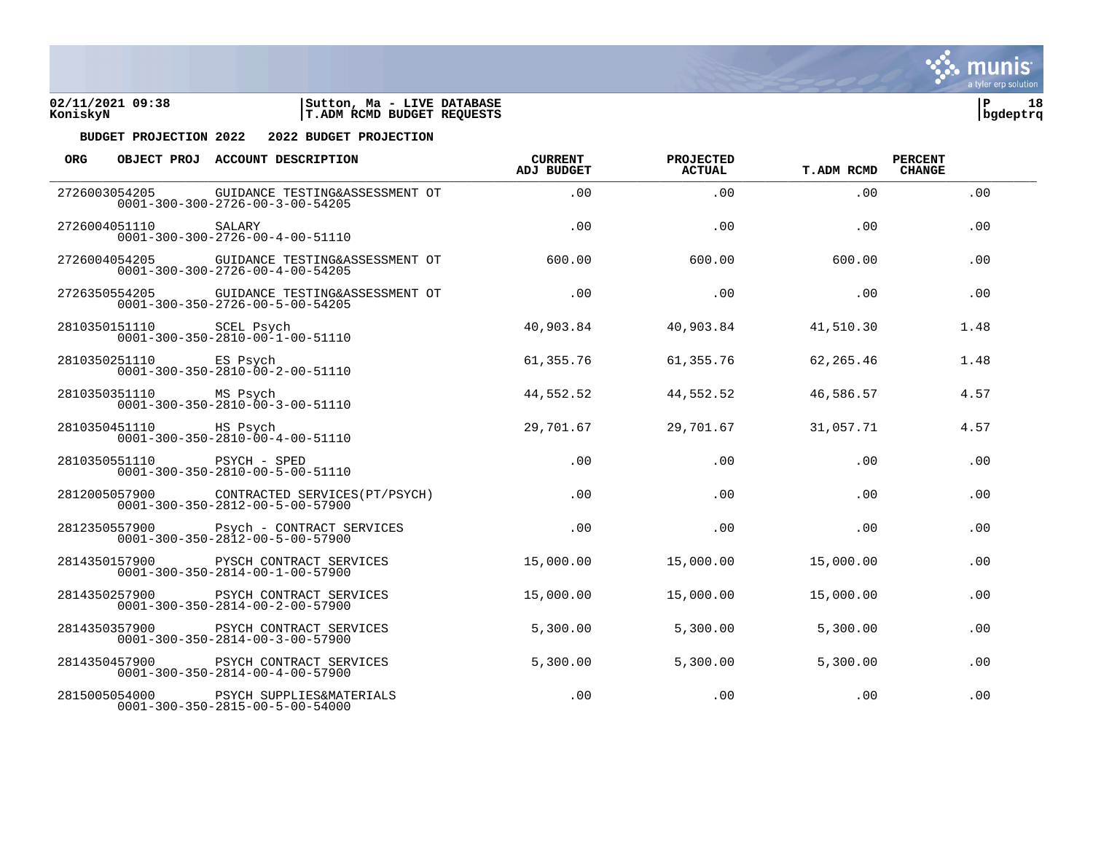



| ORG. |                        | OBJECT PROJ ACCOUNT DESCRIPTION                                                            | <b>CURRENT</b><br><b>ADJ BUDGET</b> | PROJECTED<br><b>ACTUAL</b> | <b>T.ADM RCMD</b> | <b>PERCENT</b><br><b>CHANGE</b> |  |
|------|------------------------|--------------------------------------------------------------------------------------------|-------------------------------------|----------------------------|-------------------|---------------------------------|--|
|      | 2726003054205          | GUIDANCE TESTING&ASSESSMENT OT<br>$0001 - 300 - 300 - 2726 - 00 - 3 - 00 - 54205$          | .00                                 | .00                        | .00               | .00                             |  |
|      | 2726004051110          | SALARY<br>$0001 - 300 - 300 - 2726 - 00 - 4 - 00 - 51110$                                  | .00                                 | .00                        | .00               | .00                             |  |
|      | 2726004054205          | GUIDANCE TESTING&ASSESSMENT OT<br>$0001 - 300 - 300 - 2726 - 00 - 4 - 00 - 54205$          | 600.00                              | 600.00                     | 600.00            | .00                             |  |
|      | 2726350554205          | GUIDANCE TESTING&ASSESSMENT OT<br>$0001 - 300 - 350 - 2726 - 00 - 5 - 00 - 54205$          | .00                                 | .00                        | .00               | .00                             |  |
|      | 2810350151110          | SCEL Psych<br>$0001 - 300 - 350 - 2810 - 00 - 1 - 00 - 51110$                              | 40,903.84                           | 40,903.84                  | 41,510.30         | 1.48                            |  |
|      | 2810350251110          | ES Psych<br>$0001 - 300 - 350 - 2810 - 00 - 2 - 00 - 51110$                                | 61,355.76                           | 61,355.76                  | 62,265.46         | 1.48                            |  |
|      | 2810350351110 MS Psych | $0001 - 300 - 350 - 2810 - 00 - 3 - 00 - 51110$                                            | 44,552.52                           | 44,552.52                  | 46,586.57         | 4.57                            |  |
|      | 2810350451110          | HS Psych<br>$0001 - 300 - 350 - 2810 - 00 - 4 - 00 - 51110$                                | 29,701.67                           | 29,701.67                  | 31,057.71         | 4.57                            |  |
|      | 2810350551110          | PSYCH - SPED<br>$0001 - 300 - 350 - 2810 - 00 - 5 - 00 - 51110$                            | .00                                 | .00                        | .00               | .00                             |  |
|      | 2812005057900          | CONTRACTED SERVICES (PT/PSYCH)<br>$0001 - 300 - 350 - 2812 - 00 - 5 - 00 - 57900$          | .00                                 | .00.                       | .00               | .00                             |  |
|      |                        | 2812350557900 Psych - CONTRACT SERVICES<br>$0001 - 300 - 350 - 2812 - 00 - 5 - 00 - 57900$ | .00                                 | .00                        | .00               | .00                             |  |
|      | 2814350157900          | PYSCH CONTRACT SERVICES<br>$0001 - 300 - 350 - 2814 - 00 - 1 - 00 - 57900$                 | 15,000.00                           | 15,000.00                  | 15,000.00         | .00                             |  |
|      | 2814350257900          | PSYCH CONTRACT SERVICES<br>$0001 - 300 - 350 - 2814 - 00 - 2 - 00 - 57900$                 | 15,000.00                           | 15,000.00                  | 15,000.00         | .00                             |  |
|      | 2814350357900          | PSYCH CONTRACT SERVICES<br>$0001 - 300 - 350 - 2814 - 00 - 3 - 00 - 57900$                 | 5,300.00                            | 5,300.00                   | 5,300.00          | .00                             |  |
|      | 2814350457900          | PSYCH CONTRACT SERVICES<br>$0001 - 300 - 350 - 2814 - 00 - 4 - 00 - 57900$                 | 5,300.00                            | 5,300.00                   | 5,300.00          | .00                             |  |
|      | 2815005054000          | PSYCH SUPPLIES&MATERIALS<br>$0001 - 300 - 350 - 2815 - 00 - 5 - 00 - 54000$                | .00                                 | .00                        | .00               | .00                             |  |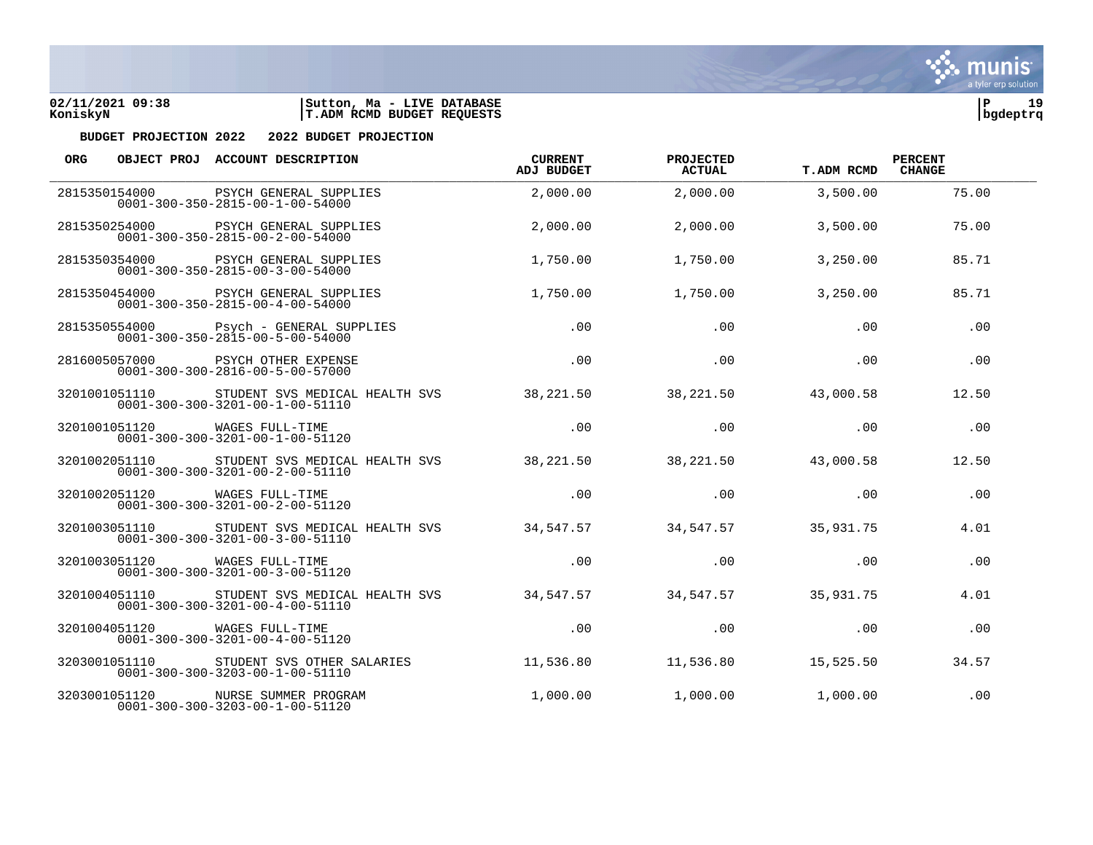



| <b>ORG</b> |               | OBJECT PROJ ACCOUNT DESCRIPTION                                                                 | <b>CURRENT</b><br><b>ADJ BUDGET</b> | <b>PROJECTED</b><br><b>ACTUAL</b> | <b>T.ADM RCMD</b> | <b>PERCENT</b><br><b>CHANGE</b> |  |
|------------|---------------|-------------------------------------------------------------------------------------------------|-------------------------------------|-----------------------------------|-------------------|---------------------------------|--|
|            | 2815350154000 | PSYCH GENERAL SUPPLIES<br>$0001 - 300 - 350 - 2815 - 00 - 1 - 00 - 54000$                       | 2,000.00                            | 2,000.00                          | 3,500.00          | 75.00                           |  |
|            | 2815350254000 | PSYCH GENERAL SUPPLIES<br>$0001 - 300 - 350 - 2815 - 00 - 2 - 00 - 54000$                       | 2,000.00                            | 2,000.00                          | 3,500.00          | 75.00                           |  |
|            |               | 2815350354000 PSYCH GENERAL SUPPLIES<br>$0001 - 300 - 350 - 2815 - 00 - 3 - 00 - 54000$         | 1,750.00                            | 1,750.00                          | 3,250.00          | 85.71                           |  |
|            |               | 2815350454000 PSYCH GENERAL SUPPLIES<br>$0001 - 300 - 350 - 2815 - 00 - 4 - 00 - 54000$         | 1,750.00                            | 1,750.00                          | 3,250.00          | 85.71                           |  |
|            | 2815350554000 | Psych - GENERAL SUPPLIES<br>$0001 - 300 - 350 - 2815 - 00 - 5 - 00 - 54000$                     | .00                                 | .00                               | .00               | .00                             |  |
|            | 2816005057000 | PSYCH OTHER EXPENSE<br>$0001 - 300 - 300 - 2816 - 00 - 5 - 00 - 57000$                          | .00                                 | .00                               | .00               | .00                             |  |
|            |               | 3201001051110 STUDENT SVS MEDICAL HEALTH SVS<br>$0001 - 300 - 300 - 3201 - 00 - 1 - 00 - 51110$ | 38,221.50                           | 38,221.50                         | 43,000.58         | 12.50                           |  |
|            |               | 3201001051120 WAGES FULL-TIME<br>$0001 - 300 - 300 - 3201 - 00 - 1 - 00 - 51120$                | .00                                 | .00                               | .00               | .00                             |  |
|            | 3201002051110 | STUDENT SVS MEDICAL HEALTH SVS<br>$0001 - 300 - 300 - 3201 - 00 - 2 - 00 - 51110$               | 38,221.50                           | 38,221.50                         | 43,000.58         | 12.50                           |  |
|            | 3201002051120 | WAGES FULL-TIME<br>$0001 - 300 - 300 - 3201 - 00 - 2 - 00 - 51120$                              | .00                                 | .00                               | .00               | .00                             |  |
|            |               | 3201003051110 STUDENT SVS MEDICAL HEALTH SVS<br>$0001 - 300 - 300 - 3201 - 00 - 3 - 00 - 51110$ | 34,547.57                           | 34,547.57                         | 35,931.75         | 4.01                            |  |
|            |               | 3201003051120 WAGES FULL-TIME<br>$0001 - 300 - 300 - 3201 - 00 - 3 - 00 - 51120$                | .00                                 | .00                               | .00               | .00                             |  |
|            | 3201004051110 | STUDENT SVS MEDICAL HEALTH SVS<br>$0001 - 300 - 300 - 3201 - 00 - 4 - 00 - 51110$               | 34,547.57                           | 34,547.57                         | 35,931.75         | 4.01                            |  |
|            | 3201004051120 | WAGES FULL-TIME<br>$0001 - 300 - 300 - 3201 - 00 - 4 - 00 - 51120$                              | .00                                 | .00                               | .00               | .00                             |  |
|            | 3203001051110 | STUDENT SVS OTHER SALARIES<br>$0001 - 300 - 300 - 3203 - 00 - 1 - 00 - 51110$                   | 11,536.80                           | 11,536.80                         | 15,525.50         | 34.57                           |  |
|            | 3203001051120 | NURSE SUMMER PROGRAM<br>$0001 - 300 - 300 - 3203 - 00 - 1 - 00 - 51120$                         | 1,000.00                            | 1,000.00                          | 1,000.00          | .00                             |  |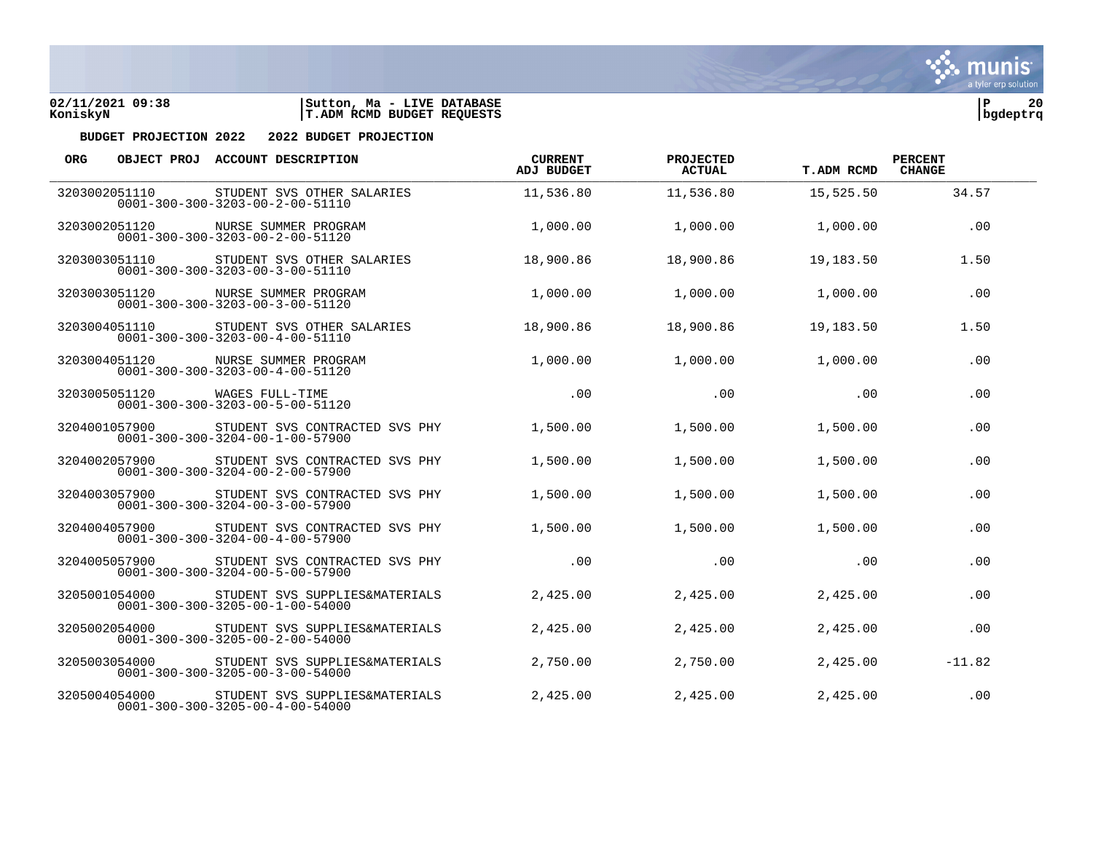



| ORG |               | OBJECT PROJ ACCOUNT DESCRIPTION                                                       | <b>CURRENT</b><br><b>ADJ BUDGET</b> | PROJECTED<br><b>ACTUAL</b> | <b>T.ADM RCMD</b> | <b>PERCENT</b><br><b>CHANGE</b> |  |
|-----|---------------|---------------------------------------------------------------------------------------|-------------------------------------|----------------------------|-------------------|---------------------------------|--|
|     | 3203002051110 | STUDENT SVS OTHER SALARIES<br>$0001 - 300 - 300 - 3203 - 00 - 2 - 00 - 51110$         | 11,536.80                           | 11,536.80                  | 15,525.50         | 34.57                           |  |
|     | 3203002051120 | NURSE SUMMER PROGRAM<br>$0001 - 300 - 300 - 3203 - 00 - 2 - 00 - 51120$               | 1,000.00                            | 1,000.00                   | 1,000.00          | .00                             |  |
|     | 3203003051110 | STUDENT SVS OTHER SALARIES<br>$0001 - 300 - 300 - 3203 - 00 - 3 - 00 - 51110$         | 18,900.86                           | 18,900.86                  | 19,183.50         | 1.50                            |  |
|     |               | 3203003051120 NURSE SUMMER PROGRAM<br>$0001 - 300 - 300 - 3203 - 00 - 3 - 00 - 51120$ | 1,000.00                            | 1,000.00                   | 1,000.00          | .00                             |  |
|     | 3203004051110 | STUDENT SVS OTHER SALARIES<br>$0001 - 300 - 300 - 3203 - 00 - 4 - 00 - 51110$         | 18,900.86                           | 18,900.86                  | 19,183.50         | 1.50                            |  |
|     | 3203004051120 | NURSE SUMMER PROGRAM<br>$0001 - 300 - 300 - 3203 - 00 - 4 - 00 - 51120$               | 1,000.00                            | 1,000.00                   | 1,000.00          | .00                             |  |
|     | 3203005051120 | WAGES FULL-TIME<br>$0001 - 300 - 300 - 3203 - 00 - 5 - 00 - 51120$                    | .00                                 | .00                        | .00               | .00                             |  |
|     | 3204001057900 | STUDENT SVS CONTRACTED SVS PHY<br>$0001 - 300 - 300 - 3204 - 00 - 1 - 00 - 57900$     | 1,500.00                            | 1,500.00                   | 1,500.00          | .00                             |  |
|     | 3204002057900 | STUDENT SVS CONTRACTED SVS PHY<br>$0001 - 300 - 300 - 3204 - 00 - 2 - 00 - 57900$     | 1,500.00                            | 1,500.00                   | 1,500.00          | .00                             |  |
|     | 3204003057900 | STUDENT SVS CONTRACTED SVS PHY<br>$0001 - 300 - 300 - 3204 - 00 - 3 - 00 - 57900$     | 1,500.00                            | 1,500.00                   | 1,500.00          | .00                             |  |
|     | 3204004057900 | STUDENT SVS CONTRACTED SVS PHY<br>$0001 - 300 - 300 - 3204 - 00 - 4 - 00 - 57900$     | 1,500.00                            | 1,500.00                   | 1,500.00          | .00                             |  |
|     | 3204005057900 | STUDENT SVS CONTRACTED SVS PHY<br>$0001 - 300 - 300 - 3204 - 00 - 5 - 00 - 57900$     | .00                                 | .00                        | .00               | .00                             |  |
|     | 3205001054000 | STUDENT SVS SUPPLIES&MATERIALS<br>$0001 - 300 - 300 - 3205 - 00 - 1 - 00 - 54000$     | 2,425.00                            | 2,425.00                   | 2,425.00          | .00                             |  |
|     | 3205002054000 | STUDENT SVS SUPPLIES&MATERIALS<br>$0001 - 300 - 300 - 3205 - 00 - 2 - 00 - 54000$     | 2,425.00                            | 2,425.00                   | 2,425.00          | .00                             |  |
|     | 3205003054000 | STUDENT SVS SUPPLIES&MATERIALS<br>$0001 - 300 - 300 - 3205 - 00 - 3 - 00 - 54000$     | 2,750.00                            | 2,750.00                   | 2,425.00          | $-11.82$                        |  |
|     | 3205004054000 | STUDENT SVS SUPPLIES&MATERIALS<br>$0001 - 300 - 300 - 3205 - 00 - 4 - 00 - 54000$     | 2,425.00                            | 2,425.00                   | 2,425.00          | .00.                            |  |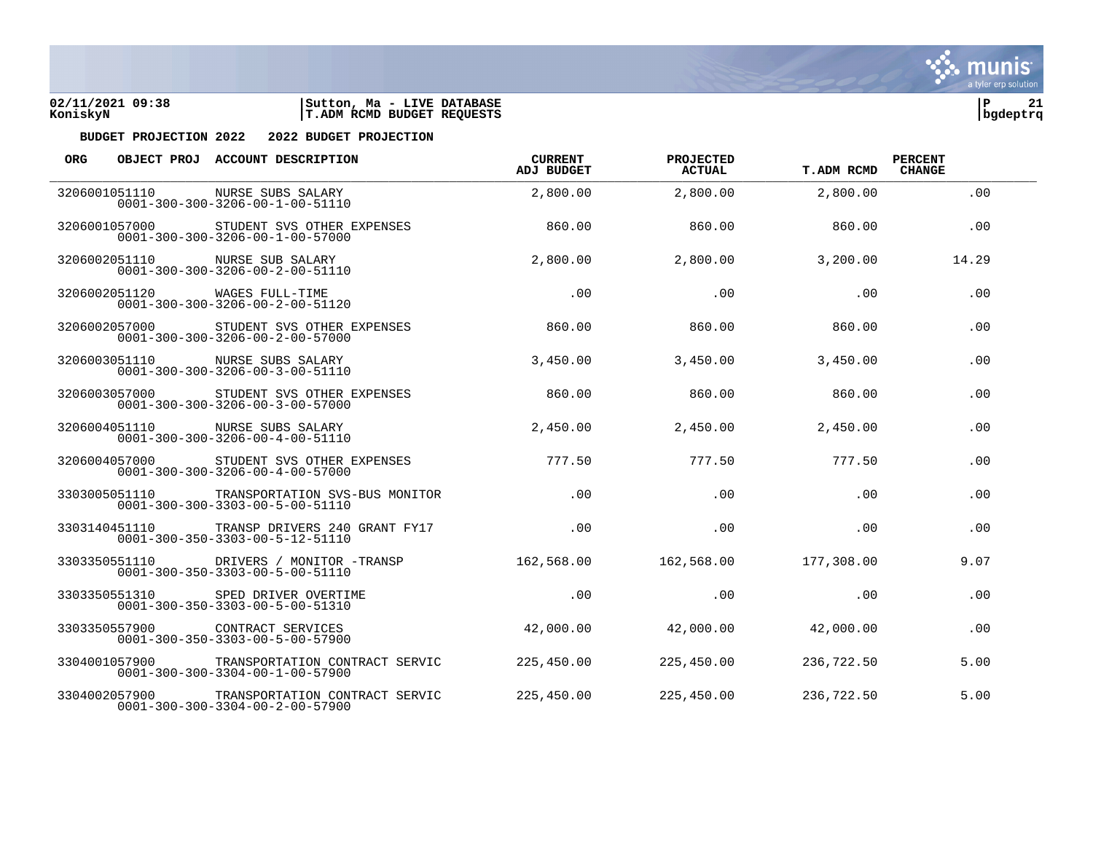

| <b>ORG</b> |               | OBJECT PROJ ACCOUNT DESCRIPTION                                                            | <b>CURRENT</b><br><b>ADJ BUDGET</b> | PROJECTED<br><b>ACTUAL</b> | <b>T.ADM RCMD</b> | <b>PERCENT</b><br><b>CHANGE</b> |  |
|------------|---------------|--------------------------------------------------------------------------------------------|-------------------------------------|----------------------------|-------------------|---------------------------------|--|
|            | 3206001051110 | NURSE SUBS SALARY<br>$0001 - 300 - 300 - 3206 - 00 - 1 - 00 - 51110$                       | 2,800.00                            | 2,800.00                   | 2,800.00          | .00                             |  |
|            | 3206001057000 | STUDENT SVS OTHER EXPENSES<br>$0001 - 300 - 300 - 3206 - 00 - 1 - 00 - 57000$              | 860.00                              | 860.00                     | 860.00            | .00                             |  |
|            | 3206002051110 | NURSE SUB SALARY<br>$0001 - 300 - 300 - 3206 - 00 - 2 - 00 - 51110$                        | 2,800.00                            | 2,800.00                   | 3,200.00          | 14.29                           |  |
|            |               | 3206002051120 WAGES FULL-TIME<br>$0001 - 300 - 300 - 3206 - 00 - 2 - 00 - 51120$           | .00                                 | .00                        | .00               | .00                             |  |
|            | 3206002057000 | STUDENT SVS OTHER EXPENSES<br>$0001 - 300 - 300 - 3206 - 00 - 2 - 00 - 57000$              | 860.00                              | 860.00                     | 860.00            | .00                             |  |
|            | 3206003051110 | NURSE SUBS SALARY<br>$0001 - 300 - 300 - 3206 - 00 - 3 - 00 - 51110$                       | 3,450.00                            | 3,450.00                   | 3,450.00          | .00                             |  |
|            | 3206003057000 | STUDENT SVS OTHER EXPENSES<br>$0001 - 300 - 300 - 3206 - 00 - 3 - 00 - 57000$              | 860.00                              | 860.00                     | 860.00            | .00                             |  |
|            |               | 3206004051110 NURSE SUBS SALARY<br>$0001 - 300 - 300 - 3206 - 00 - 4 - 00 - 51110$         | 2,450.00                            | 2,450.00                   | 2,450.00          | .00                             |  |
|            | 3206004057000 | STUDENT SVS OTHER EXPENSES<br>$0001 - 300 - 300 - 3206 - 00 - 4 - 00 - 57000$              | 777.50                              | 777.50                     | 777.50            | .00                             |  |
|            | 3303005051110 | TRANSPORTATION SVS-BUS MONITOR<br>$0001 - 300 - 300 - 3303 - 00 - 5 - 00 - 51110$          | .00                                 | .00                        | .00               | .00                             |  |
|            | 3303140451110 | TRANSP DRIVERS 240 GRANT FY17<br>$0001 - 300 - 350 - 3303 - 00 - 5 - 12 - 51110$           | .00                                 | .00                        | .00               | .00                             |  |
|            |               | 3303350551110 DRIVERS / MONITOR -TRANSP<br>$0001 - 300 - 350 - 3303 - 00 - 5 - 00 - 51110$ | 162,568.00                          | 162,568.00                 | 177,308.00        | 9.07                            |  |
|            | 3303350551310 | SPED DRIVER OVERTIME<br>$0001 - 300 - 350 - 3303 - 00 - 5 - 00 - 51310$                    | .00.                                | .00                        | .00.              | .00                             |  |
|            | 3303350557900 | CONTRACT SERVICES<br>$0001 - 300 - 350 - 3303 - 00 - 5 - 00 - 57900$                       | 42,000.00                           | 42,000.00                  | 42,000.00         | .00                             |  |
|            | 3304001057900 | TRANSPORTATION CONTRACT SERVIC<br>$0001 - 300 - 300 - 3304 - 00 - 1 - 00 - 57900$          | 225,450.00                          | 225,450.00                 | 236,722.50        | 5.00                            |  |
|            | 3304002057900 | TRANSPORTATION CONTRACT SERVIC<br>$0001 - 300 - 300 - 3304 - 00 - 2 - 00 - 57900$          | 225,450.00                          | 225,450.00                 | 236,722.50        | 5.00                            |  |

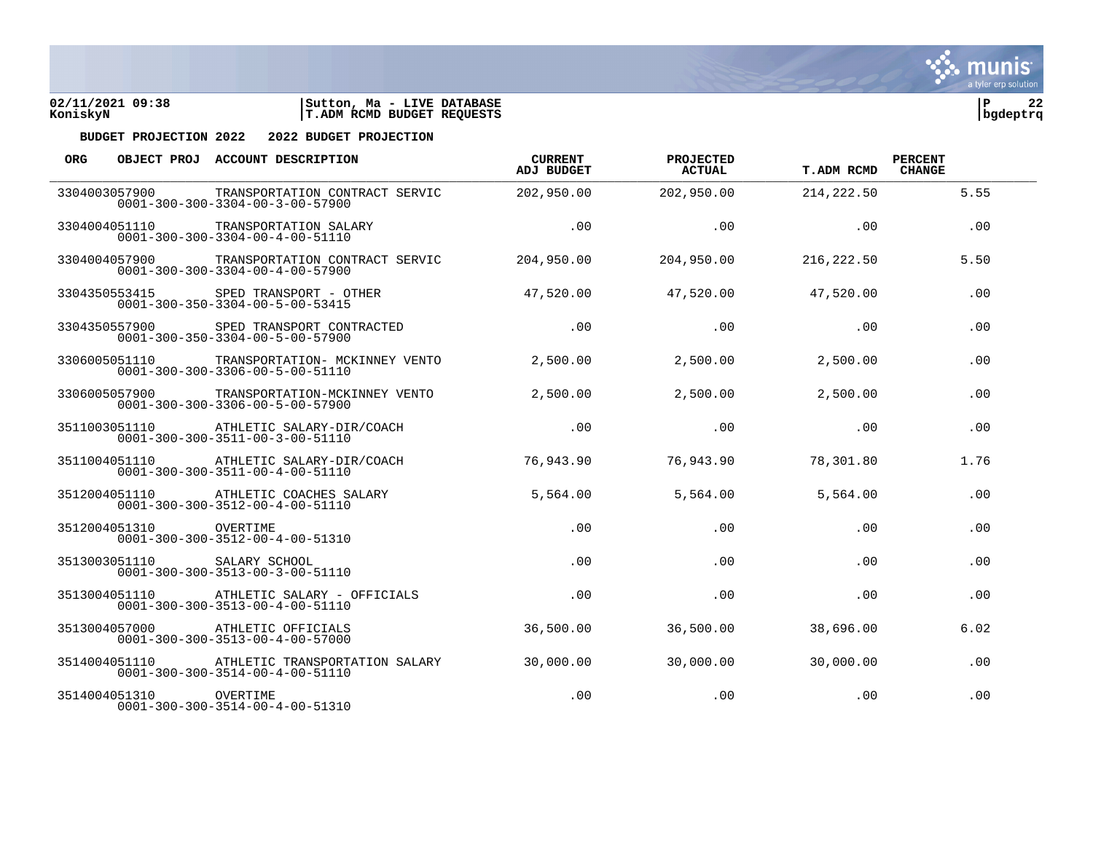



| <b>ORG</b> |               | OBJECT PROJ ACCOUNT DESCRIPTION                                                   | <b>CURRENT</b><br><b>ADJ BUDGET</b> | PROJECTED<br><b>ACTUAL</b> | <b>T.ADM RCMD</b> | <b>PERCENT</b><br><b>CHANGE</b> |  |
|------------|---------------|-----------------------------------------------------------------------------------|-------------------------------------|----------------------------|-------------------|---------------------------------|--|
|            | 3304003057900 | TRANSPORTATION CONTRACT SERVIC<br>$0001 - 300 - 300 - 3304 - 00 - 3 - 00 - 57900$ | 202,950.00                          | 202,950.00                 | 214, 222.50       | 5.55                            |  |
|            | 3304004051110 | TRANSPORTATION SALARY<br>$0001 - 300 - 300 - 3304 - 00 - 4 - 00 - 51110$          | .00                                 | .00                        | .00               | .00                             |  |
|            | 3304004057900 | TRANSPORTATION CONTRACT SERVIC<br>$0001 - 300 - 300 - 3304 - 00 - 4 - 00 - 57900$ | 204,950.00                          | 204,950.00                 | 216, 222.50       | 5.50                            |  |
|            | 3304350553415 | SPED TRANSPORT - OTHER<br>$0001 - 300 - 350 - 3304 - 00 - 5 - 00 - 53415$         | 47,520.00                           | 47,520.00                  | 47,520.00         | .00                             |  |
|            | 3304350557900 | SPED TRANSPORT CONTRACTED<br>$0001 - 300 - 350 - 3304 - 00 - 5 - 00 - 57900$      | .00                                 | .00                        | .00               | .00                             |  |
|            | 3306005051110 | TRANSPORTATION- MCKINNEY VENTO<br>$0001 - 300 - 300 - 3306 - 00 - 5 - 00 - 51110$ | 2,500.00                            | 2,500.00                   | 2,500.00          | .00                             |  |
|            | 3306005057900 | TRANSPORTATION-MCKINNEY VENTO<br>$0001 - 300 - 300 - 3306 - 00 - 5 - 00 - 57900$  | 2,500.00                            | 2,500.00                   | 2,500.00          | .00                             |  |
|            | 3511003051110 | ATHLETIC SALARY-DIR/COACH<br>$0001 - 300 - 300 - 3511 - 00 - 3 - 00 - 51110$      | .00.                                | .00                        | .00.              | .00                             |  |
|            | 3511004051110 | ATHLETIC SALARY-DIR/COACH<br>$0001 - 300 - 300 - 3511 - 00 - 4 - 00 - 51110$      | 76,943.90                           | 76,943.90                  | 78,301.80         | 1.76                            |  |
|            | 3512004051110 | ATHLETIC COACHES SALARY<br>$0001 - 300 - 300 - 3512 - 00 - 4 - 00 - 51110$        | 5,564.00                            | 5,564.00                   | 5,564.00          | .00                             |  |
|            | 3512004051310 | OVERTIME<br>$0001 - 300 - 300 - 3512 - 00 - 4 - 00 - 51310$                       | .00                                 | .00                        | .00               | .00                             |  |
|            | 3513003051110 | SALARY SCHOOL<br>$0001 - 300 - 300 - 3513 - 00 - 3 - 00 - 51110$                  | .00                                 | .00                        | .00               | .00                             |  |
|            | 3513004051110 | ATHLETIC SALARY - OFFICIALS<br>$0001 - 300 - 300 - 3513 - 00 - 4 - 00 - 51110$    | .00                                 | .00                        | .00               | .00                             |  |
|            | 3513004057000 | ATHLETIC OFFICIALS<br>$0001 - 300 - 300 - 3513 - 00 - 4 - 00 - 57000$             | 36,500.00                           | 36,500.00                  | 38,696.00         | 6.02                            |  |
|            | 3514004051110 | ATHLETIC TRANSPORTATION SALARY<br>$0001 - 300 - 300 - 3514 - 00 - 4 - 00 - 51110$ | 30,000.00                           | 30,000.00                  | 30,000.00         | .00                             |  |
|            | 3514004051310 | OVERTIME<br>$0001 - 300 - 300 - 3514 - 00 - 4 - 00 - 51310$                       | .00.                                | .00                        | .00               | .00                             |  |

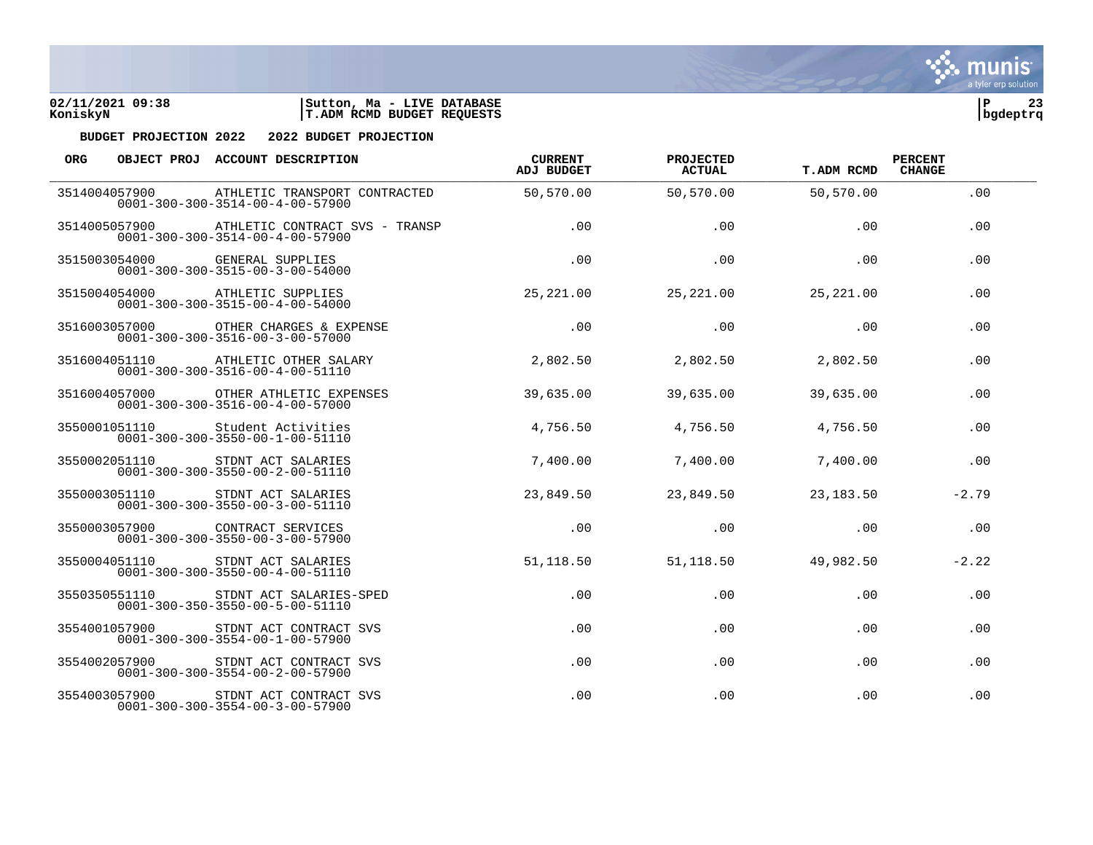

| <b>ORG</b> |               | OBJECT PROJ ACCOUNT DESCRIPTION                                                          | <b>CURRENT</b><br><b>ADJ BUDGET</b> | PROJECTED<br><b>ACTUAL</b> | <b>T.ADM RCMD</b> | <b>PERCENT</b><br><b>CHANGE</b> |  |
|------------|---------------|------------------------------------------------------------------------------------------|-------------------------------------|----------------------------|-------------------|---------------------------------|--|
|            | 3514004057900 | ATHLETIC TRANSPORT CONTRACTED<br>$0001 - 300 - 300 - 3514 - 00 - 4 - 00 - 57900$         | 50,570.00                           | 50,570.00                  | 50,570.00         | .00                             |  |
|            | 3514005057900 | ATHLETIC CONTRACT SVS - TRANSP<br>$0001 - 300 - 300 - 3514 - 00 - 4 - 00 - 57900$        | .00                                 | .00                        | .00               | .00                             |  |
|            | 3515003054000 | GENERAL SUPPLIES<br>$0001 - 300 - 300 - 3515 - 00 - 3 - 00 - 54000$                      | .00                                 | .00                        | .00               | .00                             |  |
|            |               | 3515004054000 ATHLETIC SUPPLIES<br>$0001 - 300 - 300 - 3515 - 00 - 4 - 00 - 54000$       | 25,221.00                           | 25,221.00                  | 25,221.00         | .00                             |  |
|            | 3516003057000 | OTHER CHARGES & EXPENSE<br>$0001 - 300 - 300 - 3516 - 00 - 3 - 00 - 57000$               | .00                                 | .00                        | .00               | .00                             |  |
|            | 3516004051110 | ATHLETIC OTHER SALARY<br>$0001 - 300 - 300 - 3516 - 00 - 4 - 00 - 51110$                 | 2,802.50                            | 2,802.50                   | 2,802.50          | .00                             |  |
|            |               | 3516004057000 OTHER ATHLETIC EXPENSES<br>$0001 - 300 - 300 - 3516 - 00 - 4 - 00 - 57000$ | 39,635.00                           | 39,635.00                  | 39,635.00         | .00                             |  |
|            | 3550001051110 | Student Activities<br>$0001 - 300 - 300 - 3550 - 00 - 1 - 00 - 51110$                    | 4,756.50                            | 4,756.50                   | 4,756.50          | .00                             |  |
|            | 3550002051110 | STDNT ACT SALARIES<br>$0001 - 300 - 300 - 3550 - 00 - 2 - 00 - 51110$                    | 7,400.00                            | 7,400.00                   | 7,400.00          | .00                             |  |
|            | 3550003051110 | STDNT ACT SALARIES<br>$0001 - 300 - 300 - 3550 - 00 - 3 - 00 - 51110$                    | 23,849.50                           | 23,849.50                  | 23,183.50         | $-2.79$                         |  |
|            | 3550003057900 | CONTRACT SERVICES<br>$0001 - 300 - 300 - 3550 - 00 - 3 - 00 - 57900$                     | .00                                 | .00                        | .00               | .00                             |  |
|            | 3550004051110 | STDNT ACT SALARIES<br>$0001 - 300 - 300 - 3550 - 00 - 4 - 00 - 51110$                    | 51,118.50                           | 51,118.50                  | 49,982.50         | $-2.22$                         |  |
|            | 3550350551110 | STDNT ACT SALARIES-SPED<br>$0001 - 300 - 350 - 3550 - 00 - 5 - 00 - 51110$               | .00                                 | .00                        | .00               | .00                             |  |
|            | 3554001057900 | STDNT ACT CONTRACT SVS<br>$0001 - 300 - 300 - 3554 - 00 - 1 - 00 - 57900$                | .00                                 | .00                        | .00               | .00                             |  |
|            | 3554002057900 | STDNT ACT CONTRACT SVS<br>$0001 - 300 - 300 - 3554 - 00 - 2 - 00 - 57900$                | .00                                 | .00                        | $.00 \,$          | .00                             |  |
|            | 3554003057900 | STDNT ACT CONTRACT SVS<br>$0001 - 300 - 300 - 3554 - 00 - 3 - 00 - 57900$                | .00                                 | .00                        | .00               | .00                             |  |

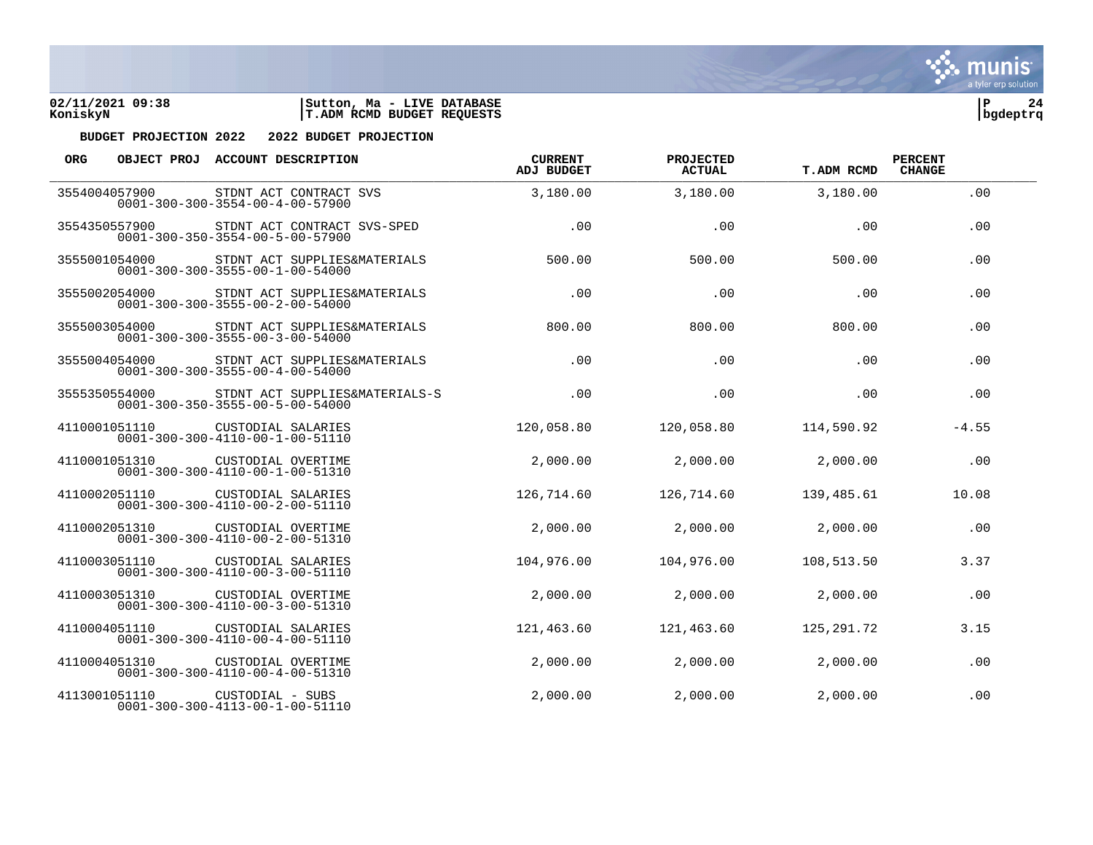



| ORG. |               | OBJECT PROJ ACCOUNT DESCRIPTION                                                   | <b>CURRENT</b><br><b>ADJ BUDGET</b> | PROJECTED<br><b>ACTUAL</b> | <b>T.ADM RCMD</b> | <b>PERCENT</b><br><b>CHANGE</b> |  |
|------|---------------|-----------------------------------------------------------------------------------|-------------------------------------|----------------------------|-------------------|---------------------------------|--|
|      | 3554004057900 | STDNT ACT CONTRACT SVS<br>$0001 - 300 - 300 - 3554 - 00 - 4 - 00 - 57900$         | 3,180.00                            | 3,180.00                   | 3,180.00          | .00                             |  |
|      | 3554350557900 | STDNT ACT CONTRACT SVS-SPED<br>$0001 - 300 - 350 - 3554 - 00 - 5 - 00 - 57900$    | .00                                 | .00                        | .00               | .00                             |  |
|      | 3555001054000 | STDNT ACT SUPPLIES&MATERIALS<br>$0001 - 300 - 300 - 3555 - 00 - 1 - 00 - 54000$   | 500.00                              | 500.00                     | 500.00            | .00                             |  |
|      | 3555002054000 | STDNT ACT SUPPLIES&MATERIALS<br>$0001 - 300 - 300 - 3555 - 00 - 2 - 00 - 54000$   | .00                                 | .00                        | .00               | .00                             |  |
|      | 3555003054000 | STDNT ACT SUPPLIES&MATERIALS<br>$0001 - 300 - 300 - 3555 - 00 - 3 - 00 - 54000$   | 800.00                              | 800.00                     | 800.00            | .00                             |  |
|      | 3555004054000 | STDNT ACT SUPPLIES&MATERIALS<br>$0001 - 300 - 300 - 3555 - 00 - 4 - 00 - 54000$   | .00                                 | .00                        | .00               | .00                             |  |
|      | 3555350554000 | STDNT ACT SUPPLIES&MATERIALS-S<br>$0001 - 300 - 350 - 3555 - 00 - 5 - 00 - 54000$ | .00                                 | .00                        | .00               | .00                             |  |
|      | 4110001051110 | CUSTODIAL SALARIES<br>$0001 - 300 - 300 - 4110 - 00 - 1 - 00 - 51110$             | 120,058.80                          | 120,058.80                 | 114,590.92        | $-4.55$                         |  |
|      | 4110001051310 | CUSTODIAL OVERTIME<br>$0001 - 300 - 300 - 4110 - 00 - 1 - 00 - 51310$             | 2,000.00                            | 2,000.00                   | 2,000.00          | .00                             |  |
|      | 4110002051110 | CUSTODIAL SALARIES<br>$0001 - 300 - 300 - 4110 - 00 - 2 - 00 - 51110$             | 126,714.60                          | 126,714.60                 | 139,485.61        | 10.08                           |  |
|      | 4110002051310 | CUSTODIAL OVERTIME<br>$0001 - 300 - 300 - 4110 - 00 - 2 - 00 - 51310$             | 2,000.00                            | 2,000.00                   | 2,000.00          | .00                             |  |
|      | 4110003051110 | CUSTODIAL SALARIES<br>$0001 - 300 - 300 - 4110 - 00 - 3 - 00 - 51110$             | 104,976.00                          | 104,976.00                 | 108,513.50        | 3.37                            |  |
|      | 4110003051310 | CUSTODIAL OVERTIME<br>$0001 - 300 - 300 - 4110 - 00 - 3 - 00 - 51310$             | 2,000.00                            | 2,000.00                   | 2,000.00          | .00                             |  |
|      | 4110004051110 | CUSTODIAL SALARIES<br>$0001 - 300 - 300 - 4110 - 00 - 4 - 00 - 51110$             | 121,463.60                          | 121,463.60                 | 125,291.72        | 3.15                            |  |
|      | 4110004051310 | CUSTODIAL OVERTIME<br>$0001 - 300 - 300 - 4110 - 00 - 4 - 00 - 51310$             | 2,000.00                            | 2,000.00                   | 2,000.00          | .00                             |  |
|      | 4113001051110 | CUSTODIAL - SUBS<br>$0001 - 300 - 300 - 4113 - 00 - 1 - 00 - 51110$               | 2,000.00                            | 2,000.00                   | 2,000.00          | .00                             |  |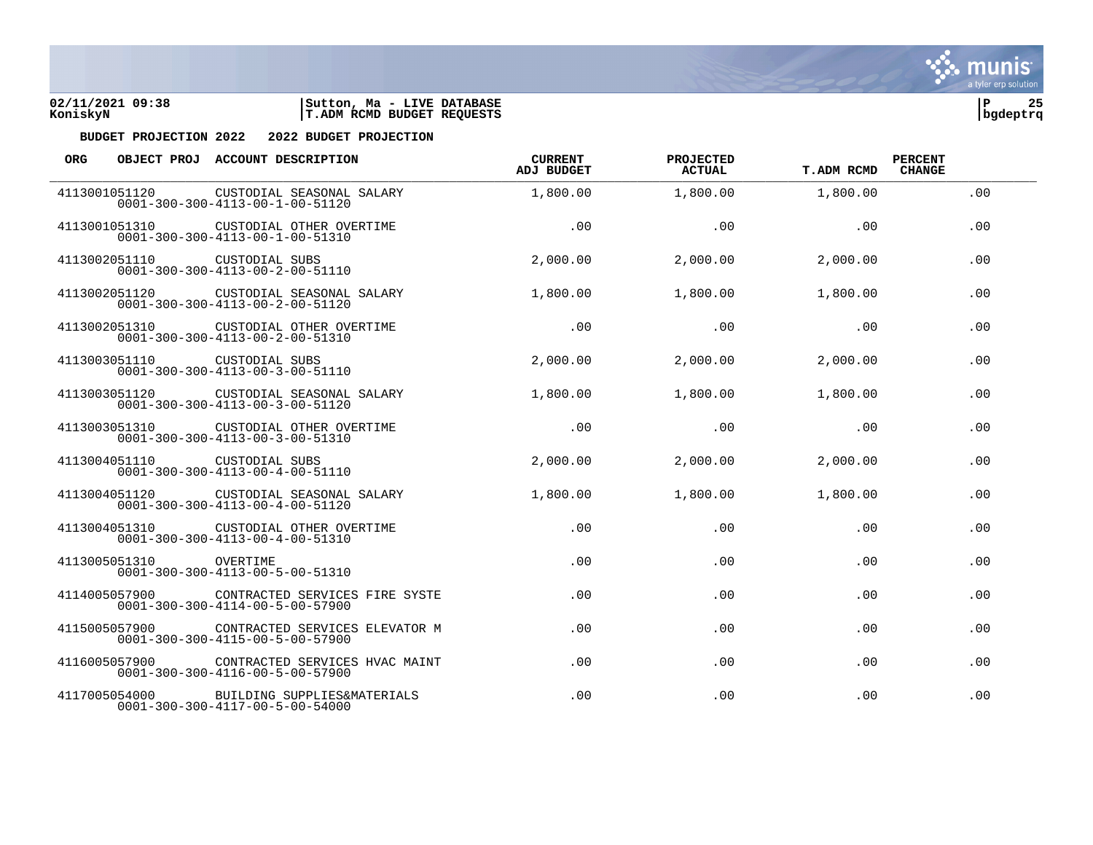



| <b>ORG</b>    |               | OBJECT PROJ ACCOUNT DESCRIPTION                                                   | <b>CURRENT</b><br><b>ADJ BUDGET</b> | PROJECTED<br><b>ACTUAL</b> | <b>T.ADM RCMD</b> | <b>PERCENT</b><br><b>CHANGE</b> |
|---------------|---------------|-----------------------------------------------------------------------------------|-------------------------------------|----------------------------|-------------------|---------------------------------|
| 4113001051120 |               | CUSTODIAL SEASONAL SALARY<br>$0001 - 300 - 300 - 4113 - 00 - 1 - 00 - 51120$      | 1,800.00                            | 1,800.00                   | 1,800.00          | .00.                            |
| 4113001051310 |               | CUSTODIAL OTHER OVERTIME<br>$0001 - 300 - 300 - 4113 - 00 - 1 - 00 - 51310$       | .00                                 | .00                        | .00               | .00                             |
|               | 4113002051110 | CUSTODIAL SUBS<br>$0001 - 300 - 300 - 4113 - 00 - 2 - 00 - 51110$                 | 2,000.00                            | 2,000.00                   | 2,000.00          | .00                             |
|               | 4113002051120 | CUSTODIAL SEASONAL SALARY<br>$0001 - 300 - 300 - 4113 - 00 - 2 - 00 - 51120$      | 1,800.00                            | 1,800.00                   | 1,800.00          | .00                             |
| 4113002051310 |               | CUSTODIAL OTHER OVERTIME<br>$0001 - 300 - 300 - 4113 - 00 - 2 - 00 - 51310$       | .00                                 | .00                        | .00               | .00                             |
|               | 4113003051110 | CUSTODIAL SUBS<br>$0001 - 300 - 300 - 4113 - 00 - 3 - 00 - 51110$                 | 2,000.00                            | 2,000.00                   | 2,000.00          | .00                             |
|               | 4113003051120 | CUSTODIAL SEASONAL SALARY<br>$0001 - 300 - 300 - 4113 - 00 - 3 - 00 - 51120$      | 1,800.00                            | 1,800.00                   | 1,800.00          | .00                             |
|               | 4113003051310 | CUSTODIAL OTHER OVERTIME<br>$0001 - 300 - 300 - 4113 - 00 - 3 - 00 - 51310$       | .00                                 | .00                        | .00               | .00                             |
| 4113004051110 |               | CUSTODIAL SUBS<br>$0001 - 300 - 300 - 4113 - 00 - 4 - 00 - 51110$                 | 2,000.00                            | 2,000.00                   | 2,000.00          | .00                             |
| 4113004051120 |               | CUSTODIAL SEASONAL SALARY<br>$0001 - 300 - 300 - 4113 - 00 - 4 - 00 - 51120$      | 1,800.00                            | 1,800.00                   | 1,800.00          | .00                             |
|               | 4113004051310 | CUSTODIAL OTHER OVERTIME<br>$0001 - 300 - 300 - 4113 - 00 - 4 - 00 - 51310$       | .00                                 | .00                        | .00               | .00                             |
|               | 4113005051310 | OVERTIME<br>$0001 - 300 - 300 - 4113 - 00 - 5 - 00 - 51310$                       | .00                                 | .00                        | .00               | .00                             |
| 4114005057900 |               | CONTRACTED SERVICES FIRE SYSTE<br>$0001 - 300 - 300 - 4114 - 00 - 5 - 00 - 57900$ | .00                                 | .00                        | .00               | .00                             |
| 4115005057900 |               | CONTRACTED SERVICES ELEVATOR M<br>$0001 - 300 - 300 - 4115 - 00 - 5 - 00 - 57900$ | .00                                 | .00                        | .00               | .00                             |
|               | 4116005057900 | CONTRACTED SERVICES HVAC MAINT<br>$0001 - 300 - 300 - 4116 - 00 - 5 - 00 - 57900$ | .00                                 | .00                        | .00               | .00                             |
|               | 4117005054000 | BUILDING SUPPLIES&MATERIALS<br>$0001 - 300 - 300 - 4117 - 00 - 5 - 00 - 54000$    | .00                                 | .00                        | .00               | .00                             |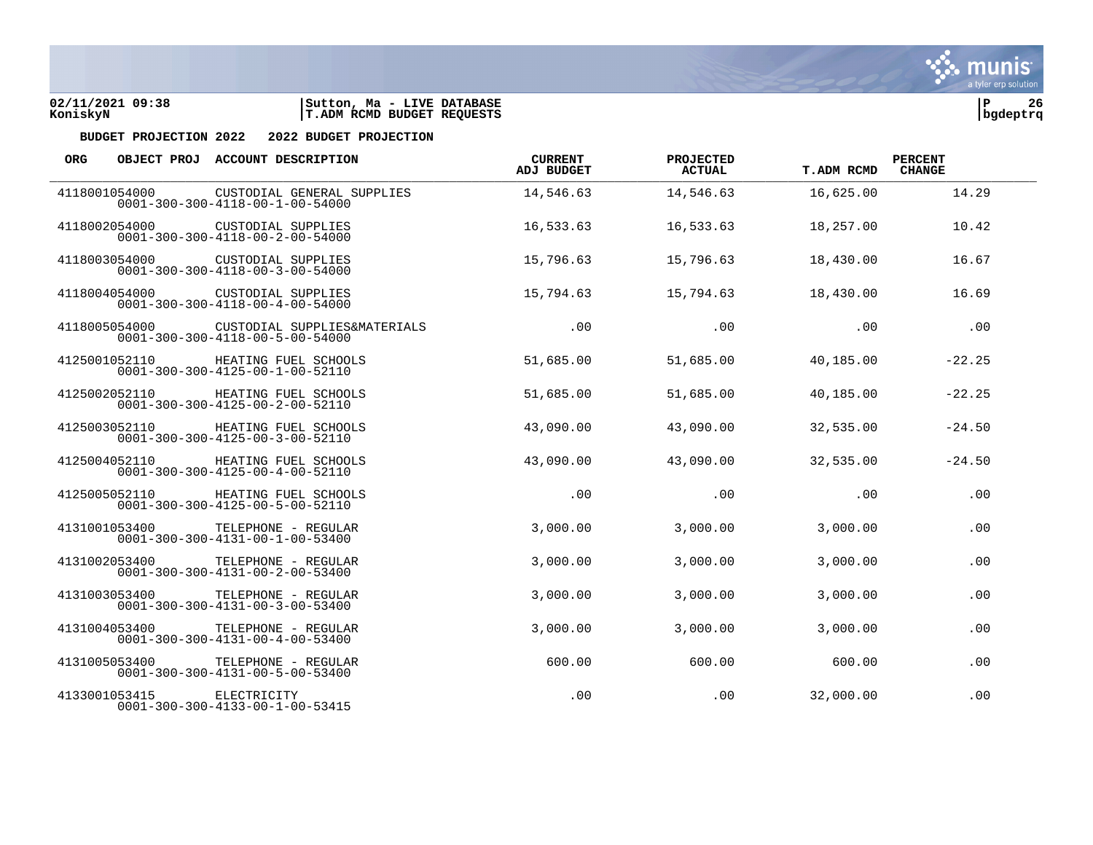



| <b>ORG</b> |               | OBJECT PROJ ACCOUNT DESCRIPTION                                                 | <b>CURRENT</b><br>ADJ BUDGET | PROJECTED<br>ACTUAL | T.ADM RCMD | <b>PERCENT</b><br><b>CHANGE</b> |  |
|------------|---------------|---------------------------------------------------------------------------------|------------------------------|---------------------|------------|---------------------------------|--|
|            | 4118001054000 | CUSTODIAL GENERAL SUPPLIES<br>$0001 - 300 - 300 - 4118 - 00 - 1 - 00 - 54000$   | 14,546.63                    | 14,546.63           | 16,625.00  | 14.29                           |  |
|            | 4118002054000 | CUSTODIAL SUPPLIES<br>$0001 - 300 - 300 - 4118 - 00 - 2 - 00 - 54000$           | 16,533.63                    | 16,533.63           | 18,257.00  | 10.42                           |  |
|            | 4118003054000 | CUSTODIAL SUPPLIES<br>$0001 - 300 - 300 - 4118 - 00 - 3 - 00 - 54000$           | 15,796.63                    | 15,796.63           | 18,430.00  | 16.67                           |  |
|            | 4118004054000 | CUSTODIAL SUPPLIES<br>$0001 - 300 - 300 - 4118 - 00 - 4 - 00 - 54000$           | 15,794.63                    | 15,794.63           | 18,430.00  | 16.69                           |  |
|            | 4118005054000 | CUSTODIAL SUPPLIES&MATERIALS<br>$0001 - 300 - 300 - 4118 - 00 - 5 - 00 - 54000$ | .00                          | .00                 | .00        | .00                             |  |
|            | 4125001052110 | HEATING FUEL SCHOOLS<br>$0001 - 300 - 300 - 4125 - 00 - 1 - 00 - 52110$         | 51,685.00                    | 51,685.00           | 40,185.00  | $-22.25$                        |  |
|            | 4125002052110 | HEATING FUEL SCHOOLS<br>$0001 - 300 - 300 - 4125 - 00 - 2 - 00 - 52110$         | 51,685.00                    | 51,685.00           | 40,185.00  | $-22.25$                        |  |
|            | 4125003052110 | HEATING FUEL SCHOOLS<br>$0001 - 300 - 300 - 4125 - 00 - 3 - 00 - 52110$         | 43,090.00                    | 43,090.00           | 32,535.00  | $-24.50$                        |  |
|            | 4125004052110 | HEATING FUEL SCHOOLS<br>$0001 - 300 - 300 - 4125 - 00 - 4 - 00 - 52110$         | 43,090.00                    | 43,090.00           | 32,535.00  | $-24.50$                        |  |
|            | 4125005052110 | HEATING FUEL SCHOOLS<br>$0001 - 300 - 300 - 4125 - 00 - 5 - 00 - 52110$         | .00                          | .00                 | .00        | .00                             |  |
|            | 4131001053400 | TELEPHONE - REGULAR<br>$0001 - 300 - 300 - 4131 - 00 - 1 - 00 - 53400$          | 3,000.00                     | 3,000.00            | 3,000.00   | .00                             |  |
|            | 4131002053400 | TELEPHONE - REGULAR<br>$0001 - 300 - 300 - 4131 - 00 - 2 - 00 - 53400$          | 3,000.00                     | 3,000.00            | 3,000.00   | .00                             |  |
|            | 4131003053400 | TELEPHONE - REGULAR<br>$0001 - 300 - 300 - 4131 - 00 - 3 - 00 - 53400$          | 3,000.00                     | 3,000.00            | 3,000.00   | .00                             |  |
|            | 4131004053400 | TELEPHONE - REGULAR<br>$0001 - 300 - 300 - 4131 - 00 - 4 - 00 - 53400$          | 3,000.00                     | 3,000.00            | 3,000.00   | .00                             |  |
|            | 4131005053400 | TELEPHONE - REGULAR<br>$0001 - 300 - 300 - 4131 - 00 - 5 - 00 - 53400$          | 600.00                       | 600.00              | 600.00     | .00                             |  |
|            | 4133001053415 | ELECTRICITY<br>$0001 - 300 - 300 - 4133 - 00 - 1 - 00 - 53415$                  | .00                          | .00                 | 32,000.00  | .00                             |  |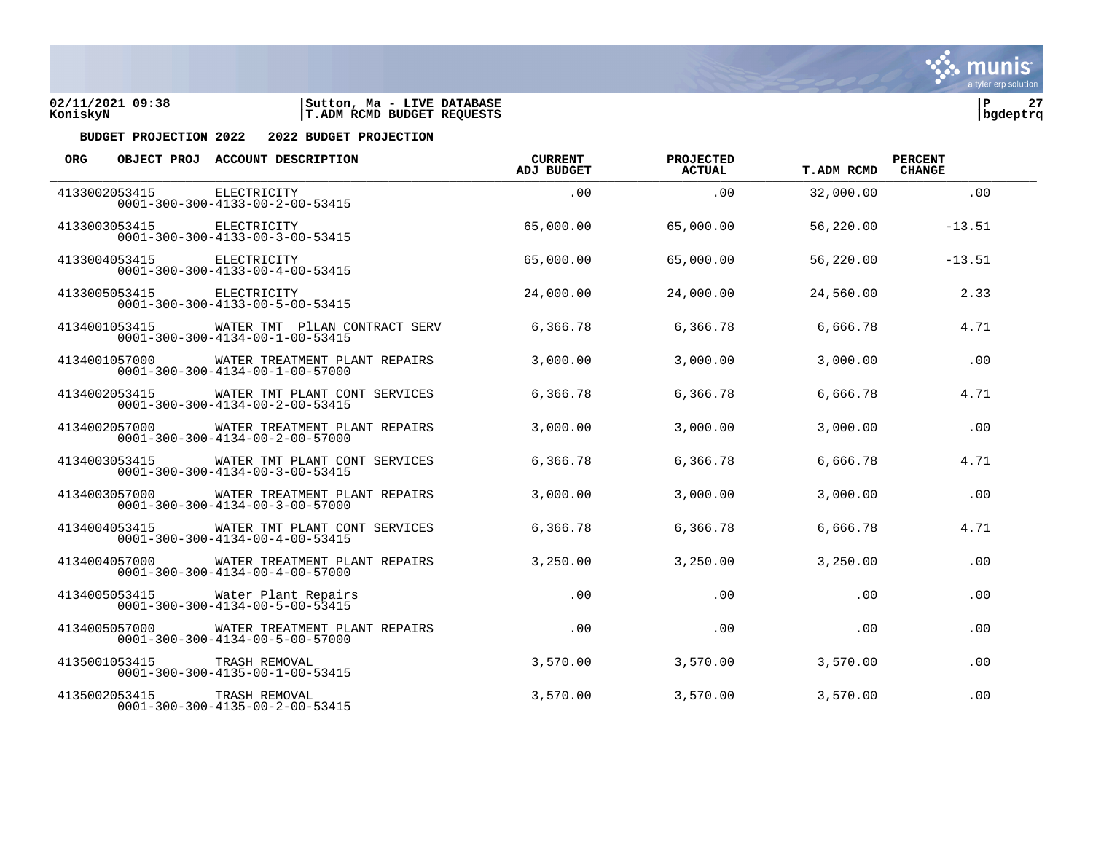



| <b>ORG</b>    |               | OBJECT PROJ ACCOUNT DESCRIPTION                                                  | <b>CURRENT</b><br><b>ADJ BUDGET</b> | PROJECTED<br><b>ACTUAL</b> | <b>T.ADM RCMD</b> | <b>PERCENT</b><br><b>CHANGE</b> |  |
|---------------|---------------|----------------------------------------------------------------------------------|-------------------------------------|----------------------------|-------------------|---------------------------------|--|
|               | 4133002053415 | ELECTRICITY<br>$0001 - 300 - 300 - 4133 - 00 - 2 - 00 - 53415$                   | .00                                 | .00                        | 32,000.00         | .00                             |  |
|               | 4133003053415 | ELECTRICITY<br>$0001 - 300 - 300 - 4133 - 00 - 3 - 00 - 53415$                   | 65,000.00                           | 65,000.00                  | 56,220.00         | $-13.51$                        |  |
|               | 4133004053415 | ELECTRICITY<br>$0001 - 300 - 300 - 4133 - 00 - 4 - 00 - 53415$                   | 65,000.00                           | 65,000.00                  | 56,220.00         | $-13.51$                        |  |
|               | 4133005053415 | ELECTRICITY<br>$0001 - 300 - 300 - 4133 - 00 - 5 - 00 - 53415$                   | 24,000.00                           | 24,000.00                  | 24,560.00         | 2.33                            |  |
| 4134001053415 |               | WATER TMT PILAN CONTRACT SERV<br>$0001 - 300 - 300 - 4134 - 00 - 1 - 00 - 53415$ | 6,366.78                            | 6,366.78                   | 6,666.78          | 4.71                            |  |
|               | 4134001057000 | WATER TREATMENT PLANT REPAIRS<br>$0001 - 300 - 300 - 4134 - 00 - 1 - 00 - 57000$ | 3,000.00                            | 3,000.00                   | 3,000.00          | .00                             |  |
|               | 4134002053415 | WATER TMT PLANT CONT SERVICES<br>$0001 - 300 - 300 - 4134 - 00 - 2 - 00 - 53415$ | 6,366.78                            | 6,366.78                   | 6,666.78          | 4.71                            |  |
|               | 4134002057000 | WATER TREATMENT PLANT REPAIRS<br>$0001 - 300 - 300 - 4134 - 00 - 2 - 00 - 57000$ | 3,000.00                            | 3,000.00                   | 3,000.00          | .00                             |  |
| 4134003053415 |               | WATER TMT PLANT CONT SERVICES<br>$0001 - 300 - 300 - 4134 - 00 - 3 - 00 - 53415$ | 6,366.78                            | 6,366.78                   | 6,666.78          | 4.71                            |  |
|               | 4134003057000 | WATER TREATMENT PLANT REPAIRS<br>$0001 - 300 - 300 - 4134 - 00 - 3 - 00 - 57000$ | 3,000.00                            | 3,000.00                   | 3,000.00          | .00                             |  |
|               | 4134004053415 | WATER TMT PLANT CONT SERVICES<br>$0001 - 300 - 300 - 4134 - 00 - 4 - 00 - 53415$ | 6,366.78                            | 6,366.78                   | 6,666.78          | 4.71                            |  |
|               | 4134004057000 | WATER TREATMENT PLANT REPAIRS<br>$0001 - 300 - 300 - 4134 - 00 - 4 - 00 - 57000$ | 3,250.00                            | 3,250.00                   | 3,250,00          | .00                             |  |
| 4134005053415 |               | Water Plant Repairs<br>$0001 - 300 - 300 - 4134 - 00 - 5 - 00 - 53415$           | .00                                 | .00                        | .00               | .00                             |  |
|               | 4134005057000 | WATER TREATMENT PLANT REPAIRS<br>$0001 - 300 - 300 - 4134 - 00 - 5 - 00 - 57000$ | .00                                 | .00                        | .00               | .00                             |  |
|               | 4135001053415 | TRASH REMOVAL<br>$0001 - 300 - 300 - 4135 - 00 - 1 - 00 - 53415$                 | 3,570.00                            | 3,570.00                   | 3,570.00          | .00                             |  |
|               | 4135002053415 | TRASH REMOVAL<br>$0001 - 300 - 300 - 4135 - 00 - 2 - 00 - 53415$                 | 3,570.00                            | 3,570.00                   | 3,570.00          | .00                             |  |

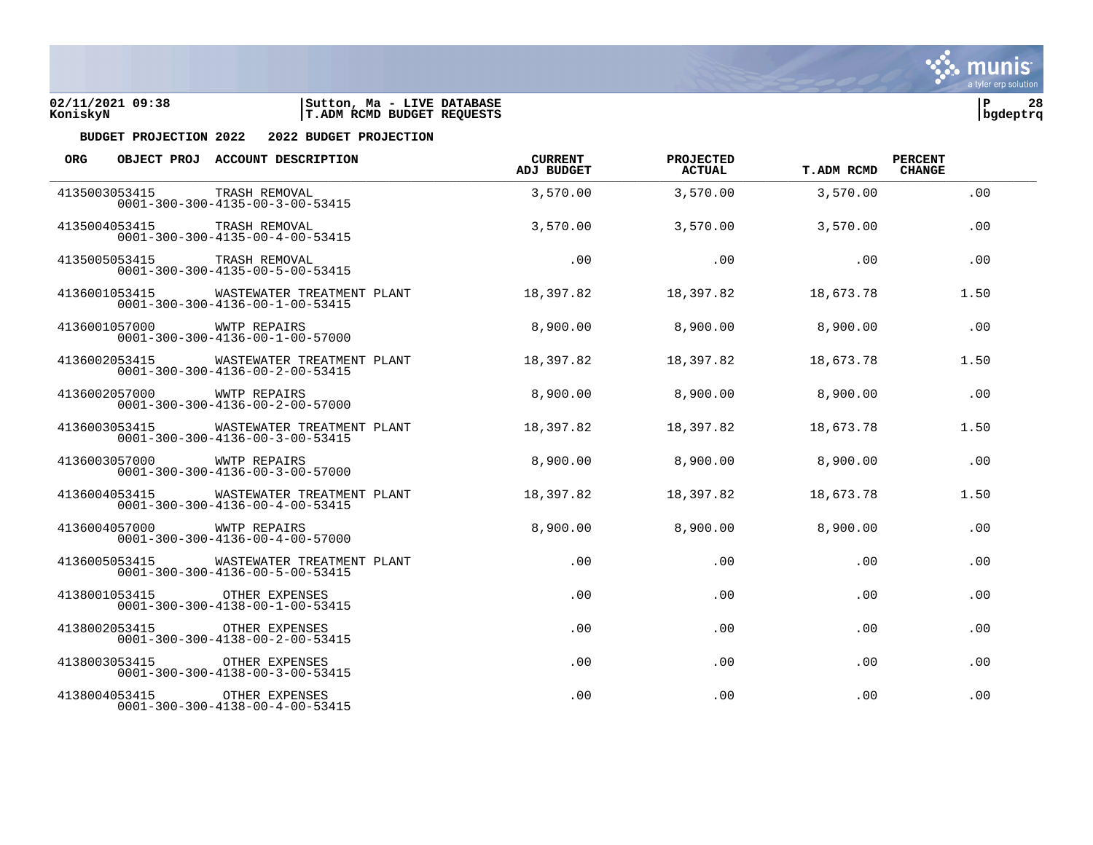



| <b>ORG</b> |               | OBJECT PROJ ACCOUNT DESCRIPTION                                               | <b>CURRENT</b><br><b>ADJ BUDGET</b> | PROJECTED<br><b>ACTUAL</b> | <b>T.ADM RCMD</b> | <b>PERCENT</b><br><b>CHANGE</b> |  |
|------------|---------------|-------------------------------------------------------------------------------|-------------------------------------|----------------------------|-------------------|---------------------------------|--|
|            | 4135003053415 | TRASH REMOVAL<br>$0001 - 300 - 300 - 4135 - 00 - 3 - 00 - 53415$              | 3,570.00                            | 3,570.00                   | 3,570.00          | .00                             |  |
|            | 4135004053415 | TRASH REMOVAL<br>$0001 - 300 - 300 - 4135 - 00 - 4 - 00 - 53415$              | 3,570.00                            | 3,570.00                   | 3,570.00          | .00                             |  |
|            | 4135005053415 | TRASH REMOVAL<br>$0001 - 300 - 300 - 4135 - 00 - 5 - 00 - 53415$              | .00                                 | .00                        | .00               | .00                             |  |
|            | 4136001053415 | WASTEWATER TREATMENT PLANT<br>$0001 - 300 - 300 - 4136 - 00 - 1 - 00 - 53415$ | 18,397.82                           | 18,397.82                  | 18,673.78         | 1.50                            |  |
|            | 4136001057000 | <b>WWTP REPAIRS</b><br>$0001 - 300 - 300 - 4136 - 00 - 1 - 00 - 57000$        | 8,900.00                            | 8,900.00                   | 8,900.00          | .00                             |  |
|            | 4136002053415 | WASTEWATER TREATMENT PLANT<br>$0001 - 300 - 300 - 4136 - 00 - 2 - 00 - 53415$ | 18,397.82                           | 18,397.82                  | 18,673.78         | 1.50                            |  |
|            | 4136002057000 | WWTP REPAIRS<br>$0001 - 300 - 300 - 4136 - 00 - 2 - 00 - 57000$               | 8,900.00                            | 8,900.00                   | 8,900.00          | .00                             |  |
|            | 4136003053415 | WASTEWATER TREATMENT PLANT<br>$0001 - 300 - 300 - 4136 - 00 - 3 - 00 - 53415$ | 18,397.82                           | 18,397.82                  | 18,673.78         | 1.50                            |  |
|            | 4136003057000 | <b>WWTP REPAIRS</b><br>$0001 - 300 - 300 - 4136 - 00 - 3 - 00 - 57000$        | 8,900.00                            | 8,900.00                   | 8,900.00          | .00                             |  |
|            | 4136004053415 | WASTEWATER TREATMENT PLANT<br>$0001 - 300 - 300 - 4136 - 00 - 4 - 00 - 53415$ | 18,397.82                           | 18,397.82                  | 18,673.78         | 1.50                            |  |
|            | 4136004057000 | WWTP REPAIRS<br>$0001 - 300 - 300 - 4136 - 00 - 4 - 00 - 57000$               | 8,900.00                            | 8,900.00                   | 8,900.00          | .00                             |  |
|            | 4136005053415 | WASTEWATER TREATMENT PLANT<br>$0001 - 300 - 300 - 4136 - 00 - 5 - 00 - 53415$ | .00                                 | .00                        | .00               | .00                             |  |
|            | 4138001053415 | OTHER EXPENSES<br>$0001 - 300 - 300 - 4138 - 00 - 1 - 00 - 53415$             | .00                                 | .00                        | .00               | .00                             |  |
|            | 4138002053415 | OTHER EXPENSES<br>$0001 - 300 - 300 - 4138 - 00 - 2 - 00 - 53415$             | .00                                 | .00                        | .00               | .00                             |  |
|            | 4138003053415 | OTHER EXPENSES<br>$0001 - 300 - 300 - 4138 - 00 - 3 - 00 - 53415$             | .00                                 | .00                        | .00               | .00                             |  |
|            | 4138004053415 | OTHER EXPENSES<br>$0001 - 300 - 300 - 4138 - 00 - 4 - 00 - 53415$             | .00                                 | .00                        | .00               | .00                             |  |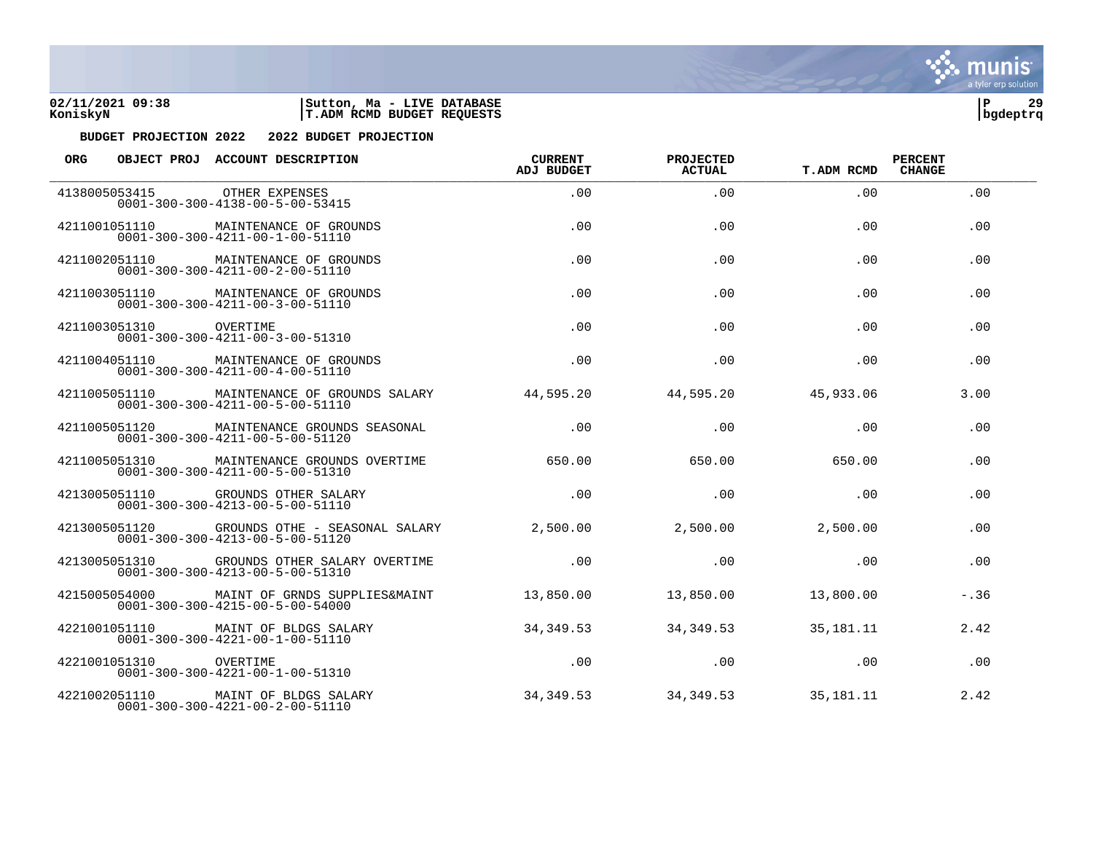



| <b>ORG</b> |                        | OBJECT PROJ ACCOUNT DESCRIPTION                                                                 | <b>CURRENT</b><br><b>ADJ BUDGET</b> | PROJECTED<br><b>ACTUAL</b> | <b>T.ADM RCMD</b> | <b>PERCENT</b><br><b>CHANGE</b> |  |
|------------|------------------------|-------------------------------------------------------------------------------------------------|-------------------------------------|----------------------------|-------------------|---------------------------------|--|
|            | 4138005053415          | OTHER EXPENSES<br>$0001 - 300 - 300 - 4138 - 00 - 5 - 00 - 53415$                               | .00.                                | .00.                       | .00.              | .00                             |  |
|            | 4211001051110          | MAINTENANCE OF GROUNDS<br>$0001 - 300 - 300 - 4211 - 00 - 1 - 00 - 51110$                       | .00.                                | .00.                       | .00.              | .00                             |  |
|            | 4211002051110          | MAINTENANCE OF GROUNDS<br>$0001 - 300 - 300 - 4211 - 00 - 2 - 00 - 51110$                       | .00.                                | .00                        | .00.              | .00                             |  |
|            |                        | 4211003051110 MAINTENANCE OF GROUNDS<br>$0001 - 300 - 300 - 4211 - 00 - 3 - 00 - 51110$         | .00.                                | .00                        | .00.              | .00                             |  |
|            | 4211003051310          | OVERTIME<br>$0001 - 300 - 300 - 4211 - 00 - 3 - 00 - 51310$                                     | .00.                                | .00                        | .00               | .00                             |  |
|            | 4211004051110          | MAINTENANCE OF GROUNDS<br>$0001 - 300 - 300 - 4211 - 00 - 4 - 00 - 51110$                       | .00.                                | .00                        | .00.              | .00                             |  |
|            | 4211005051110          | MAINTENANCE OF GROUNDS SALARY<br>$0001 - 300 - 300 - 4211 - 00 - 5 - 00 - 51110$                | 44,595.20                           | 44,595.20                  | 45,933.06         | 3.00                            |  |
|            | 4211005051120          | MAINTENANCE GROUNDS SEASONAL<br>$0001 - 300 - 300 - 4211 - 00 - 5 - 00 - 51120$                 | .00.                                | .00                        | .00.              | .00                             |  |
|            | 4211005051310          | MAINTENANCE GROUNDS OVERTIME<br>$0001 - 300 - 300 - 4211 - 00 - 5 - 00 - 51310$                 | 650.00                              | 650.00                     | 650.00            | .00                             |  |
|            | 4213005051110          | GROUNDS OTHER SALARY<br>$0001 - 300 - 300 - 4213 - 00 - 5 - 00 - 51110$                         | .00.                                | .00                        | .00.              | .00                             |  |
|            |                        | 4213005051120 GROUNDS OTHE - SEASONAL SALARY<br>$0001 - 300 - 300 - 4213 - 00 - 5 - 00 - 51120$ | 2,500.00                            | 2,500.00                   | 2,500.00          | .00                             |  |
|            |                        | 4213005051310 GROUNDS OTHER SALARY OVERTIME<br>$0001 - 300 - 300 - 4213 - 00 - 5 - 00 - 51310$  | .00.                                | .00                        | .00               | .00                             |  |
|            | 4215005054000          | MAINT OF GRNDS SUPPLIES&MAINT<br>$0001 - 300 - 300 - 4215 - 00 - 5 - 00 - 54000$                | 13,850.00                           | 13,850.00                  | 13,800.00         | $-.36$                          |  |
|            | 4221001051110          | MAINT OF BLDGS SALARY<br>$0001 - 300 - 300 - 4221 - 00 - 1 - 00 - 51110$                        | 34,349.53                           | 34,349.53                  | 35,181.11         | 2.42                            |  |
|            | 4221001051310 OVERTIME | $0001 - 300 - 300 - 4221 - 00 - 1 - 00 - 51310$                                                 | .00                                 | .00                        | .00.              | .00                             |  |
|            |                        | 4221002051110 MAINT OF BLDGS SALARY<br>$0001 - 300 - 300 - 4221 - 00 - 2 - 00 - 51110$          | 34,349.53                           | 34,349.53                  | 35, 181. 11       | 2.42                            |  |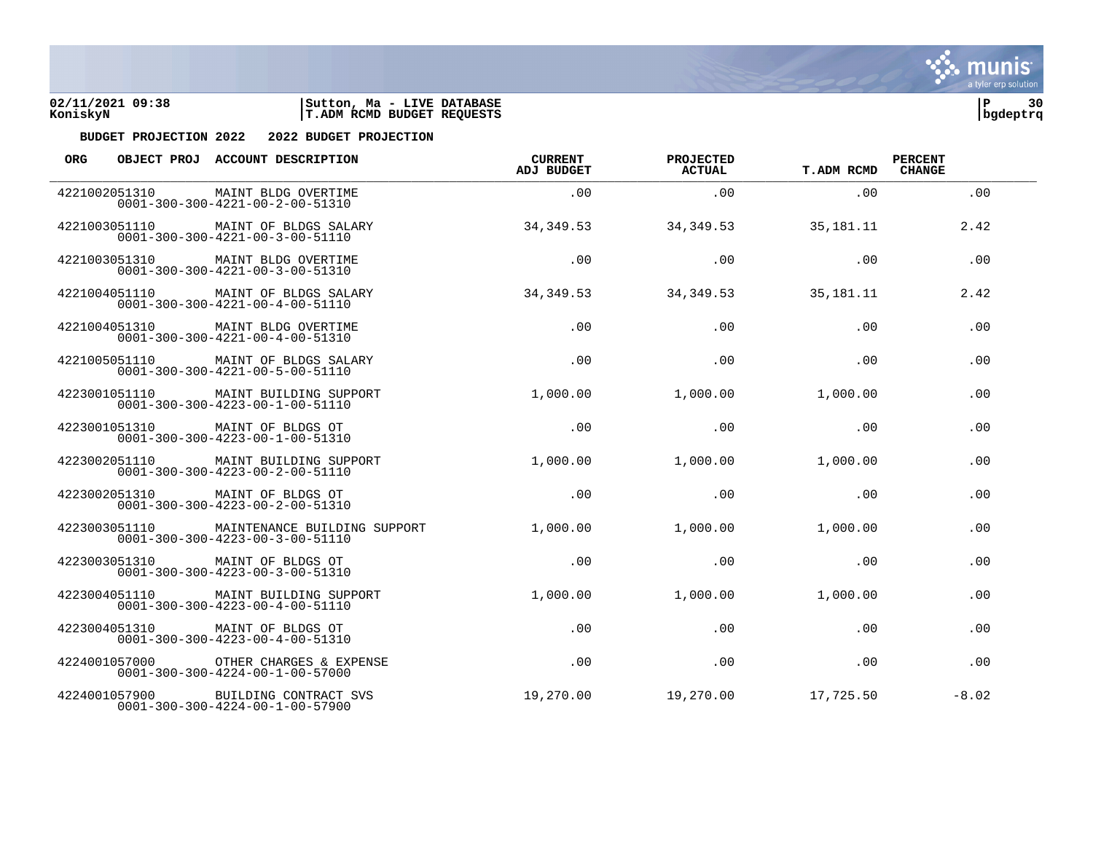



| <b>ORG</b> |               | OBJECT PROJ ACCOUNT DESCRIPTION                                                        | <b>CURRENT</b><br><b>ADJ BUDGET</b> | PROJECTED<br><b>ACTUAL</b> | <b>T.ADM RCMD</b> | <b>PERCENT</b><br><b>CHANGE</b> |  |
|------------|---------------|----------------------------------------------------------------------------------------|-------------------------------------|----------------------------|-------------------|---------------------------------|--|
|            | 4221002051310 | MAINT BLDG OVERTIME<br>$0001 - 300 - 300 - 4221 - 00 - 2 - 00 - 51310$                 | .00                                 | .00                        | .00.              | .00                             |  |
|            | 4221003051110 | MAINT OF BLDGS SALARY<br>$0001 - 300 - 300 - 4221 - 00 - 3 - 00 - 51110$               | 34, 349.53                          | 34, 349.53                 | 35, 181. 11       | 2.42                            |  |
|            | 4221003051310 | MAINT BLDG OVERTIME<br>$0001 - 300 - 300 - 4221 - 00 - 3 - 00 - 51310$                 | .00                                 | .00                        | .00               | .00                             |  |
|            |               | 4221004051110 MAINT OF BLDGS SALARY<br>$0001 - 300 - 300 - 4221 - 00 - 4 - 00 - 51110$ | 34, 349.53                          | 34, 349.53                 | 35,181.11         | 2.42                            |  |
|            | 4221004051310 | MAINT BLDG OVERTIME<br>$0001 - 300 - 300 - 4221 - 00 - 4 - 00 - 51310$                 | .00                                 | .00                        | .00               | .00                             |  |
|            | 4221005051110 | MAINT OF BLDGS SALARY<br>$0001 - 300 - 300 - 4221 - 00 - 5 - 00 - 51110$               | .00                                 | .00                        | .00               | .00                             |  |
|            | 4223001051110 | MAINT BUILDING SUPPORT<br>$0001 - 300 - 300 - 4223 - 00 - 1 - 00 - 51110$              | 1,000.00                            | 1,000.00                   | 1,000.00          | .00                             |  |
|            |               | 4223001051310 MAINT OF BLDGS OT<br>$0001 - 300 - 300 - 4223 - 00 - 1 - 00 - 51310$     | .00                                 | .00                        | .00               | .00                             |  |
|            | 4223002051110 | MAINT BUILDING SUPPORT<br>$0001 - 300 - 300 - 4223 - 00 - 2 - 00 - 51110$              | 1,000.00                            | 1,000.00                   | 1,000.00          | .00                             |  |
|            | 4223002051310 | MAINT OF BLDGS OT<br>$0001 - 300 - 300 - 4223 - 00 - 2 - 00 - 51310$                   | .00                                 | .00                        | .00               | .00                             |  |
|            | 4223003051110 | MAINTENANCE BUILDING SUPPORT<br>$0001 - 300 - 300 - 4223 - 00 - 3 - 00 - 51110$        | 1,000.00                            | 1,000.00                   | 1,000.00          | .00                             |  |
|            | 4223003051310 | MAINT OF BLDGS OT<br>$0001 - 300 - 300 - 4223 - 00 - 3 - 00 - 51310$                   | .00                                 | .00                        | .00               | .00                             |  |
|            | 4223004051110 | MAINT BUILDING SUPPORT<br>$0001 - 300 - 300 - 4223 - 00 - 4 - 00 - 51110$              | 1,000.00                            | 1,000.00                   | 1,000.00          | .00                             |  |
|            | 4223004051310 | MAINT OF BLDGS OT<br>$0001 - 300 - 300 - 4223 - 00 - 4 - 00 - 51310$                   | .00                                 | .00                        | .00               | .00                             |  |
|            | 4224001057000 | OTHER CHARGES & EXPENSE<br>$0001 - 300 - 300 - 4224 - 00 - 1 - 00 - 57000$             | .00                                 | .00                        | .00               | .00                             |  |
|            | 4224001057900 | BUILDING CONTRACT SVS<br>$0001 - 300 - 300 - 4224 - 00 - 1 - 00 - 57900$               | 19,270.00                           | 19,270.00                  | 17,725.50         | $-8.02$                         |  |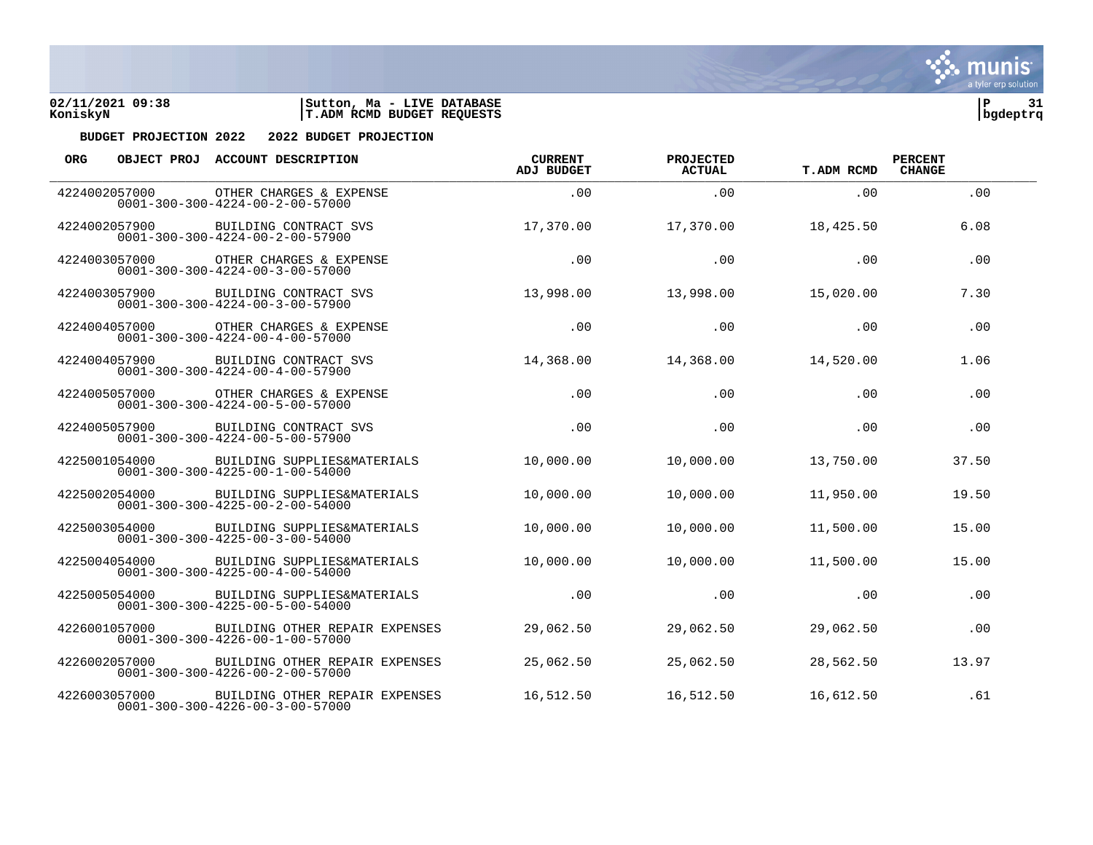



| <b>ORG</b>    |               | OBJECT PROJ ACCOUNT DESCRIPTION                                                   | <b>CURRENT</b><br>ADJ BUDGET | PROJECTED<br><b>ACTUAL</b> | <b>T.ADM RCMD</b> | <b>PERCENT</b><br><b>CHANGE</b> |  |
|---------------|---------------|-----------------------------------------------------------------------------------|------------------------------|----------------------------|-------------------|---------------------------------|--|
| 4224002057000 |               | OTHER CHARGES & EXPENSE<br>$0001 - 300 - 300 - 4224 - 00 - 2 - 00 - 57000$        | .00.                         | .00                        | .00               | .00                             |  |
| 4224002057900 |               | BUILDING CONTRACT SVS<br>$0001 - 300 - 300 - 4224 - 00 - 2 - 00 - 57900$          | 17,370.00                    | 17,370.00                  | 18,425.50         | 6.08                            |  |
|               | 4224003057000 | OTHER CHARGES & EXPENSE<br>$0001 - 300 - 300 - 4224 - 00 - 3 - 00 - 57000$        | .00                          | .00                        | .00               | .00                             |  |
|               | 4224003057900 | BUILDING CONTRACT SVS<br>$0001 - 300 - 300 - 4224 - 00 - 3 - 00 - 57900$          | 13,998.00                    | 13,998.00                  | 15,020.00         | 7.30                            |  |
| 4224004057000 |               | OTHER CHARGES & EXPENSE<br>$0001 - 300 - 300 - 4224 - 00 - 4 - 00 - 57000$        | .00                          | .00                        | .00               | .00                             |  |
| 4224004057900 |               | BUILDING CONTRACT SVS<br>$0001 - 300 - 300 - 4224 - 00 - 4 - 00 - 57900$          | 14,368.00                    | 14,368.00                  | 14,520.00         | 1.06                            |  |
|               | 4224005057000 | OTHER CHARGES & EXPENSE<br>$0001 - 300 - 300 - 4224 - 00 - 5 - 00 - 57000$        | .00                          | .00                        | .00               | .00                             |  |
|               | 4224005057900 | BUILDING CONTRACT SVS<br>$0001 - 300 - 300 - 4224 - 00 - 5 - 00 - 57900$          | .00                          | .00                        | .00               | .00                             |  |
|               | 4225001054000 | BUILDING SUPPLIES&MATERIALS<br>$0001 - 300 - 300 - 4225 - 00 - 1 - 00 - 54000$    | 10,000.00                    | 10,000.00                  | 13,750.00         | 37.50                           |  |
| 4225002054000 |               | BUILDING SUPPLIES&MATERIALS<br>$0001 - 300 - 300 - 4225 - 00 - 2 - 00 - 54000$    | 10,000.00                    | 10,000.00                  | 11,950.00         | 19.50                           |  |
|               | 4225003054000 | BUILDING SUPPLIES&MATERIALS<br>$0001 - 300 - 300 - 4225 - 00 - 3 - 00 - 54000$    | 10,000.00                    | 10,000.00                  | 11,500.00         | 15.00                           |  |
|               | 4225004054000 | BUILDING SUPPLIES&MATERIALS<br>$0001 - 300 - 300 - 4225 - 00 - 4 - 00 - 54000$    | 10,000.00                    | 10,000.00                  | 11,500.00         | 15.00                           |  |
|               | 4225005054000 | BUILDING SUPPLIES&MATERIALS<br>$0001 - 300 - 300 - 4225 - 00 - 5 - 00 - 54000$    | .00                          | .00                        | .00               | .00                             |  |
|               | 4226001057000 | BUILDING OTHER REPAIR EXPENSES<br>$0001 - 300 - 300 - 4226 - 00 - 1 - 00 - 57000$ | 29,062.50                    | 29,062.50                  | 29,062.50         | .00                             |  |
|               | 4226002057000 | BUILDING OTHER REPAIR EXPENSES<br>$0001 - 300 - 300 - 4226 - 00 - 2 - 00 - 57000$ | 25,062.50                    | 25,062.50                  | 28,562.50         | 13.97                           |  |
|               | 4226003057000 | BUILDING OTHER REPAIR EXPENSES<br>$0001 - 300 - 300 - 4226 - 00 - 3 - 00 - 57000$ | 16,512.50                    | 16,512.50                  | 16,612.50         | .61                             |  |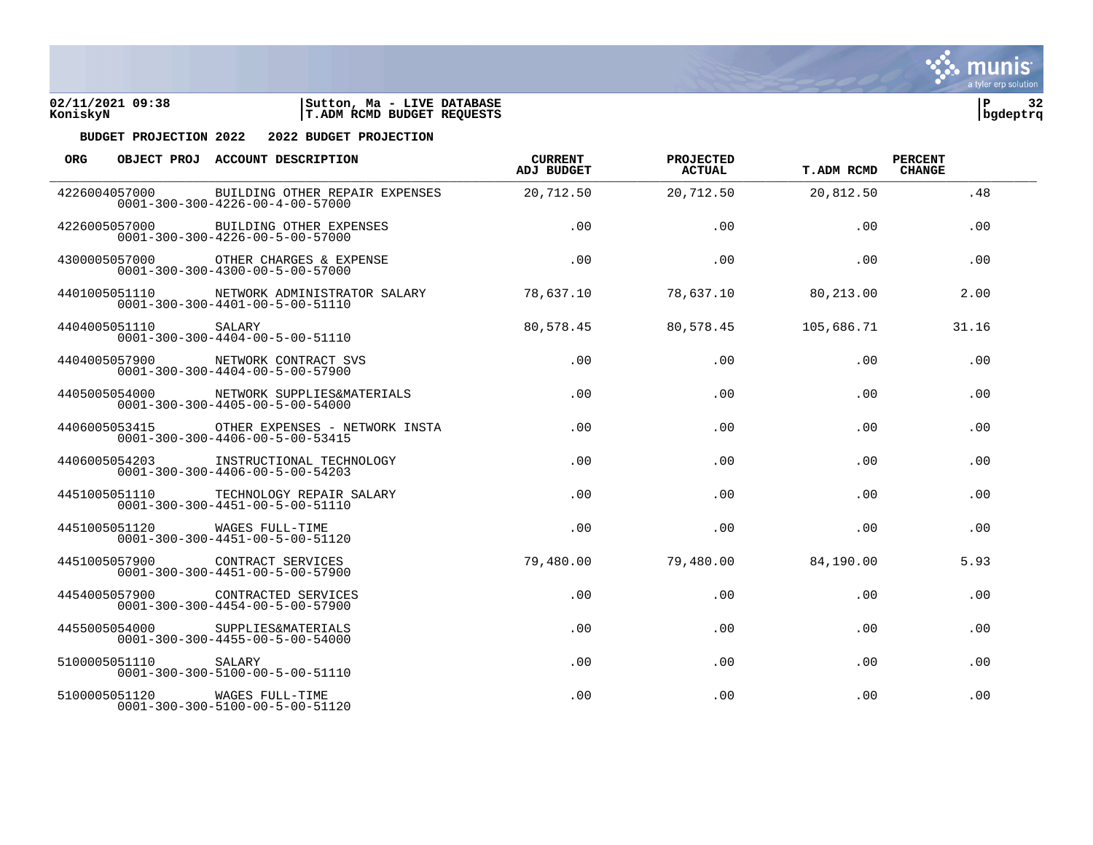



| <b>ORG</b>    |               | OBJECT PROJ ACCOUNT DESCRIPTION                                                    | <b>CURRENT</b><br><b>ADJ BUDGET</b> | PROJECTED<br><b>ACTUAL</b> | <b>T.ADM RCMD</b> | <b>PERCENT</b><br><b>CHANGE</b> |  |
|---------------|---------------|------------------------------------------------------------------------------------|-------------------------------------|----------------------------|-------------------|---------------------------------|--|
| 4226004057000 |               | BUILDING OTHER REPAIR EXPENSES<br>$0001 - 300 - 300 - 4226 - 00 - 4 - 00 - 57000$  | 20,712.50                           | 20,712.50                  | 20,812.50         | .48                             |  |
|               | 4226005057000 | BUILDING OTHER EXPENSES<br>$0001 - 300 - 300 - 4226 - 00 - 5 - 00 - 57000$         | .00                                 | .00                        | .00               | .00                             |  |
|               | 4300005057000 | OTHER CHARGES & EXPENSE<br>$0001 - 300 - 300 - 4300 - 00 - 5 - 00 - 57000$         | .00                                 | .00                        | .00               | .00                             |  |
|               | 4401005051110 | NETWORK ADMINISTRATOR SALARY<br>$0001 - 300 - 300 - 4401 - 00 - 5 - 00 - 51110$    | 78,637.10                           | 78,637.10                  | 80,213.00         | 2.00                            |  |
|               | 4404005051110 | SALARY<br>$0001 - 300 - 300 - 4404 - 00 - 5 - 00 - 51110$                          | 80,578.45                           | 80,578.45                  | 105,686.71        | 31.16                           |  |
|               | 4404005057900 | NETWORK CONTRACT SVS<br>$0001 - 300 - 300 - 4404 - 00 - 5 - 00 - 57900$            | .00                                 | .00                        | .00               | .00                             |  |
|               | 4405005054000 | NETWORK SUPPLIES&MATERIALS<br>$0001 - 300 - 300 - 4405 - 00 - 5 - 00 - 54000$      | .00                                 | .00                        | .00               | .00                             |  |
|               | 4406005053415 | OTHER EXPENSES - NETWORK INSTA<br>$0001 - 300 - 300 - 4406 - 00 - 5 - 00 - 53415$  | .00.                                | .00                        | .00               | .00                             |  |
|               | 4406005054203 | INSTRUCTIONAL TECHNOLOGY<br>$0001 - 300 - 300 - 4406 - 00 - 5 - 00 - 54203$        | .00.                                | .00.                       | .00               | .00                             |  |
|               | 4451005051110 | TECHNOLOGY REPAIR SALARY<br>$0001 - 300 - 300 - 4451 - 00 - 5 - 00 - 51110$        | .00                                 | .00                        | .00               | .00                             |  |
|               | 4451005051120 | WAGES FULL-TIME<br>$0001 - 300 - 300 - 4451 - 00 - 5 - 00 - 51120$                 | .00                                 | .00                        | .00               | .00                             |  |
|               |               | 4451005057900 CONTRACT SERVICES<br>$0001 - 300 - 300 - 4451 - 00 - 5 - 00 - 57900$ | 79,480.00                           | 79,480.00                  | 84,190.00         | 5.93                            |  |
|               | 4454005057900 | CONTRACTED SERVICES<br>$0001 - 300 - 300 - 4454 - 00 - 5 - 00 - 57900$             | .00                                 | .00                        | .00               | .00                             |  |
|               | 4455005054000 | SUPPLIES&MATERIALS<br>$0001 - 300 - 300 - 4455 - 00 - 5 - 00 - 54000$              | .00.                                | .00                        | .00               | .00                             |  |
|               | 5100005051110 | SALARY<br>$0001 - 300 - 300 - 5100 - 00 - 5 - 00 - 51110$                          | .00.                                | .00                        | .00.              | .00                             |  |
|               | 5100005051120 | WAGES FULL-TIME<br>$0001 - 300 - 300 - 5100 - 00 - 5 - 00 - 51120$                 | .00                                 | .00                        | .00               | .00                             |  |

**्रैं: munis** a tyler erp solution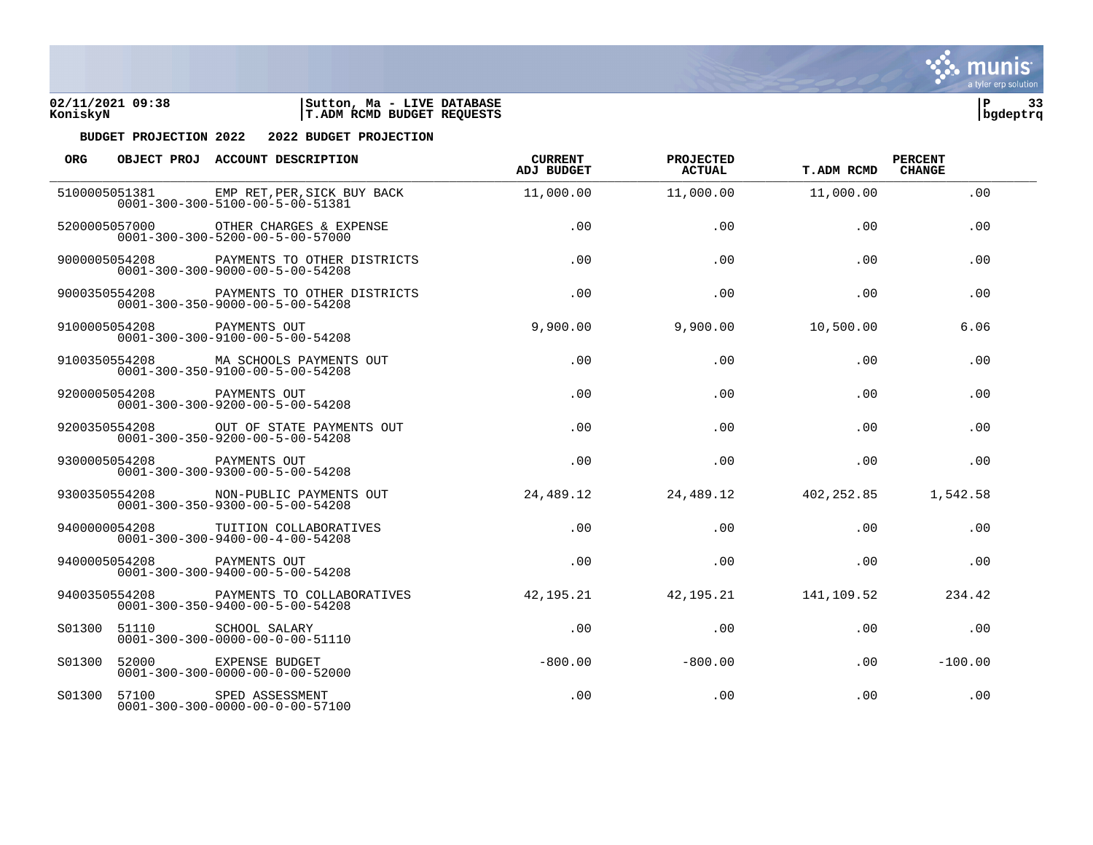



| ORG           |                            | OBJECT PROJ ACCOUNT DESCRIPTION                                                              | <b>CURRENT</b><br><b>ADJ BUDGET</b> | PROJECTED<br>ACTUAL | <b>T.ADM RCMD</b> | <b>PERCENT</b><br><b>CHANGE</b> |  |
|---------------|----------------------------|----------------------------------------------------------------------------------------------|-------------------------------------|---------------------|-------------------|---------------------------------|--|
|               |                            | 5100005051381 EMP RET, PER, SICK BUY BACK<br>$0001 - 300 - 300 - 5100 - 00 - 5 - 00 - 51381$ | 11,000.00                           | 11,000.00           | 11,000.00         | .00                             |  |
|               | 5200005057000              | OTHER CHARGES & EXPENSE<br>$0001 - 300 - 300 - 5200 - 00 - 5 - 00 - 57000$                   | .00.                                | .00                 | .00               | .00                             |  |
|               | 9000005054208              | PAYMENTS TO OTHER DISTRICTS<br>$0001 - 300 - 300 - 9000 - 00 - 5 - 00 - 54208$               | .00                                 | .00                 | .00               | .00                             |  |
|               | 9000350554208              | PAYMENTS TO OTHER DISTRICTS<br>$0001 - 300 - 350 - 9000 - 00 - 5 - 00 - 54208$               | .00                                 | .00                 | .00               | .00.                            |  |
| 9100005054208 |                            | PAYMENTS OUT<br>$0001 - 300 - 300 - 9100 - 00 - 5 - 00 - 54208$                              | 9,900.00                            | 9,900.00            | 10,500.00         | 6.06                            |  |
|               | 9100350554208              | MA SCHOOLS PAYMENTS OUT<br>$0001 - 300 - 350 - 9100 - 00 - 5 - 00 - 54208$                   | .00                                 | .00                 | .00               | .00                             |  |
|               | 9200005054208 PAYMENTS OUT | $0001 - 300 - 300 - 9200 - 00 - 5 - 00 - 54208$                                              | .00                                 | .00                 | .00               | .00                             |  |
|               |                            | 9200350554208 OUT OF STATE PAYMENTS OUT<br>$0001 - 300 - 350 - 9200 - 00 - 5 - 00 - 54208$   | .00                                 | .00                 | .00               | .00                             |  |
|               | 9300005054208              | PAYMENTS OUT<br>$0001 - 300 - 300 - 9300 - 00 - 5 - 00 - 54208$                              | .00                                 | .00                 | .00               | .00                             |  |
|               | 9300350554208              | NON-PUBLIC PAYMENTS OUT<br>$0001 - 300 - 350 - 9300 - 00 - 5 - 00 - 54208$                   | 24,489.12                           | 24,489.12           | 402,252.85        | 1,542.58                        |  |
|               | 9400000054208              | TUITION COLLABORATIVES<br>$0001 - 300 - 300 - 9400 - 00 - 4 - 00 - 54208$                    | .00                                 | .00                 | .00               | .00                             |  |
|               | 9400005054208 PAYMENTS OUT | $0001 - 300 - 300 - 9400 - 00 - 5 - 00 - 54208$                                              | .00                                 | .00                 | .00               | .00                             |  |
|               | 9400350554208              | PAYMENTS TO COLLABORATIVES<br>$0001 - 300 - 350 - 9400 - 00 - 5 - 00 - 54208$                | 42, 195. 21                         | 42,195.21           | 141,109.52        | 234.42                          |  |
| S01300        | 51110                      | SCHOOL SALARY<br>$0001 - 300 - 300 - 0000 - 00 - 0 - 00 - 51110$                             | .00                                 | .00                 | .00               | .00                             |  |
| S01300        | 52000                      | EXPENSE BUDGET<br>$0001 - 300 - 300 - 0000 - 00 - 0 - 00 - 52000$                            | $-800.00$                           | $-800.00$           | .00.              | $-100.00$                       |  |
| S01300        | 57100                      | SPED ASSESSMENT<br>$0001 - 300 - 300 - 0000 - 00 - 0 - 00 - 57100$                           | .00                                 | .00                 | .00               | .00                             |  |